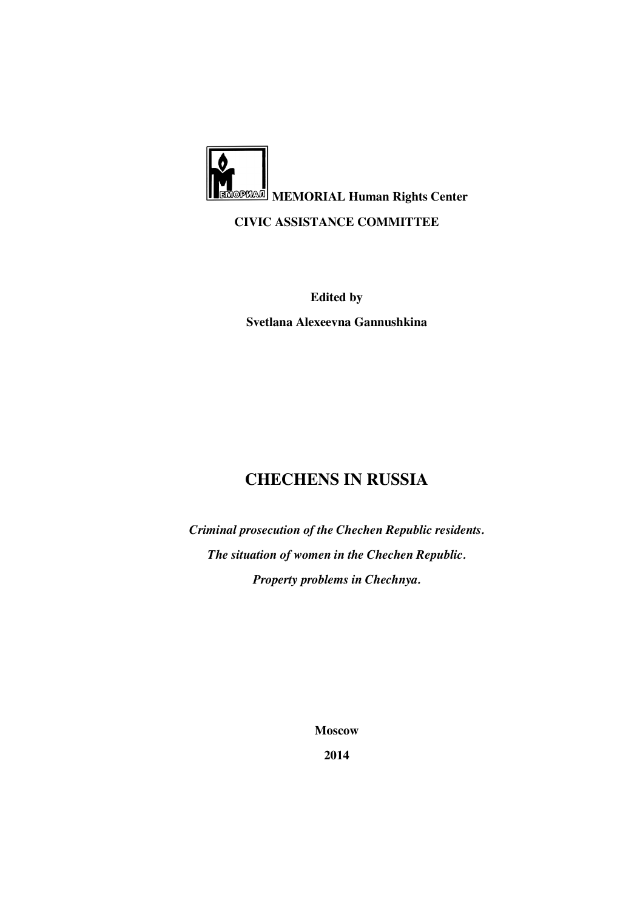

**Svetlana Alexeevna Gannushkina** 

**Edited by** 

# **CHECHENS IN RUSSIA**

*Criminal prosecution of the Chechen Republic residents. The situation of women in the Chechen Republic. Property problems in Chechnya.* 

**Moscow** 

**2014**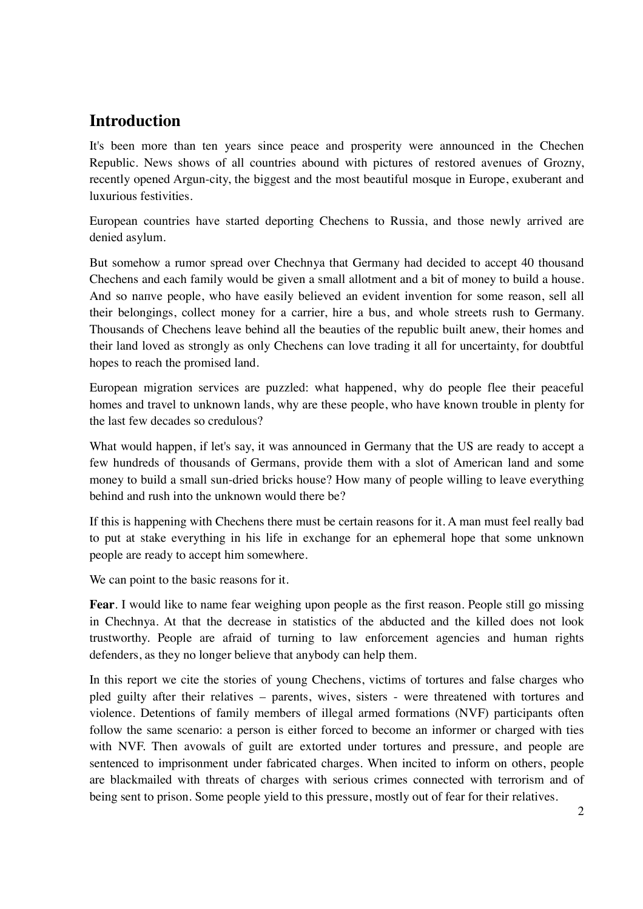# **Introduction**

It's been more than ten years since peace and prosperity were announced in the Chechen Republic. News shows of all countries abound with pictures of restored avenues of Grozny, recently opened Argun-city, the biggest and the most beautiful mosque in Europe, exuberant and luxurious festivities.

European countries have started deporting Chechens to Russia, and those newly arrived are denied asylum.

But somehow a rumor spread over Chechnya that Germany had decided to accept 40 thousand Chechens and each family would be given a small allotment and a bit of money to build a house. And so naпve people, who have easily believed an evident invention for some reason, sell all their belongings, collect money for a carrier, hire a bus, and whole streets rush to Germany. Thousands of Chechens leave behind all the beauties of the republic built anew, their homes and their land loved as strongly as only Chechens can love trading it all for uncertainty, for doubtful hopes to reach the promised land.

European migration services are puzzled: what happened, why do people flee their peaceful homes and travel to unknown lands, why are these people, who have known trouble in plenty for the last few decades so credulous?

What would happen, if let's say, it was announced in Germany that the US are ready to accept a few hundreds of thousands of Germans, provide them with a slot of American land and some money to build a small sun-dried bricks house? How many of people willing to leave everything behind and rush into the unknown would there be?

If this is happening with Chechens there must be certain reasons for it. A man must feel really bad to put at stake everything in his life in exchange for an ephemeral hope that some unknown people are ready to accept him somewhere.

We can point to the basic reasons for it.

**Fear**. I would like to name fear weighing upon people as the first reason. People still go missing in Chechnya. At that the decrease in statistics of the abducted and the killed does not look trustworthy. People are afraid of turning to law enforcement agencies and human rights defenders, as they no longer believe that anybody can help them.

In this report we cite the stories of young Chechens, victims of tortures and false charges who pled guilty after their relatives – parents, wives, sisters - were threatened with tortures and violence. Detentions of family members of illegal armed formations (NVF) participants often follow the same scenario: a person is either forced to become an informer or charged with ties with NVF. Then avowals of guilt are extorted under tortures and pressure, and people are sentenced to imprisonment under fabricated charges. When incited to inform on others, people are blackmailed with threats of charges with serious crimes connected with terrorism and of being sent to prison. Some people yield to this pressure, mostly out of fear for their relatives.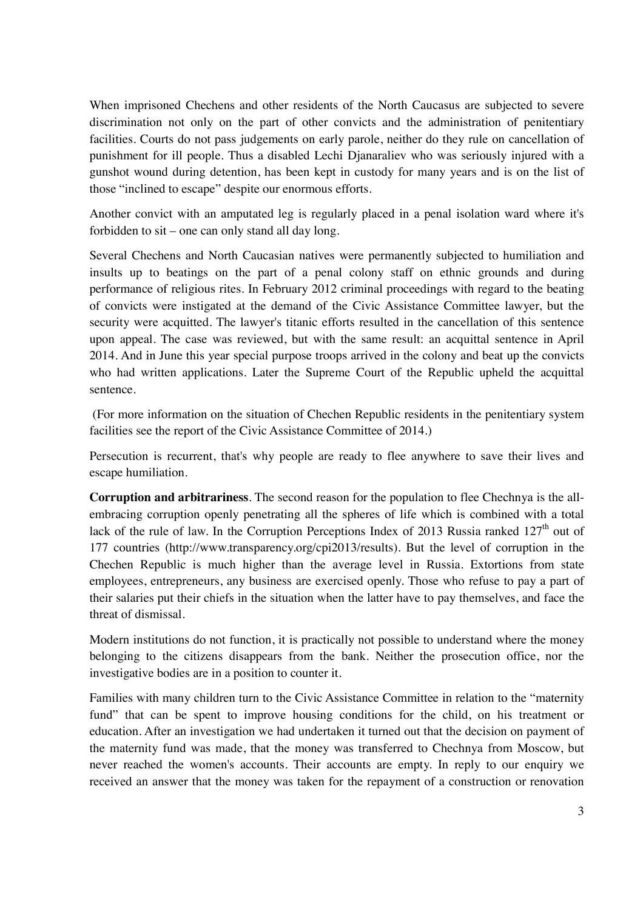When imprisoned Chechens and other residents of the North Caucasus are subjected to severe discrimination not only on the part of other convicts and the administration of penitentiary facilities. Courts do not pass judgements on early parole, neither do they rule on cancellation of punishment for ill people. Thus a disabled Lechi Djanaraliev who was seriously injured with a gunshot wound during detention, has been kept in custody for many years and is on the list of those "inclined to escape" despite our enormous efforts.

Another convict with an amputated leg is regularly placed in a penal isolation ward where it's forbidden to sit – one can only stand all day long.

Several Chechens and North Caucasian natives were permanently subjected to humiliation and insults up to beatings on the part of a penal colony staff on ethnic grounds and during performance of religious rites. In February 2012 criminal proceedings with regard to the beating of convicts were instigated at the demand of the Civic Assistance Committee lawyer, but the security were acquitted. The lawyer's titanic efforts resulted in the cancellation of this sentence upon appeal. The case was reviewed, but with the same result: an acquittal sentence in April 2014. And in June this year special purpose troops arrived in the colony and beat up the convicts who had written applications. Later the Supreme Court of the Republic upheld the acquittal sentence.

 (For more information on the situation of Chechen Republic residents in the penitentiary system facilities see the report of the Civic Assistance Committee of 2014.)

Persecution is recurrent, that's why people are ready to flee anywhere to save their lives and escape humiliation.

**Corruption and arbitrariness**. The second reason for the population to flee Chechnya is the allembracing corruption openly penetrating all the spheres of life which is combined with a total lack of the rule of law. In the Corruption Perceptions Index of 2013 Russia ranked  $127<sup>th</sup>$  out of 177 countries (http://www.transparency.org/cpi2013/results). But the level of corruption in the Chechen Republic is much higher than the average level in Russia. Extortions from state employees, entrepreneurs, any business are exercised openly. Those who refuse to pay a part of their salaries put their chiefs in the situation when the latter have to pay themselves, and face the threat of dismissal.

Modern institutions do not function, it is practically not possible to understand where the money belonging to the citizens disappears from the bank. Neither the prosecution office, nor the investigative bodies are in a position to counter it.

Families with many children turn to the Civic Assistance Committee in relation to the "maternity fund" that can be spent to improve housing conditions for the child, on his treatment or education. After an investigation we had undertaken it turned out that the decision on payment of the maternity fund was made, that the money was transferred to Chechnya from Moscow, but never reached the women's accounts. Their accounts are empty. In reply to our enquiry we received an answer that the money was taken for the repayment of a construction or renovation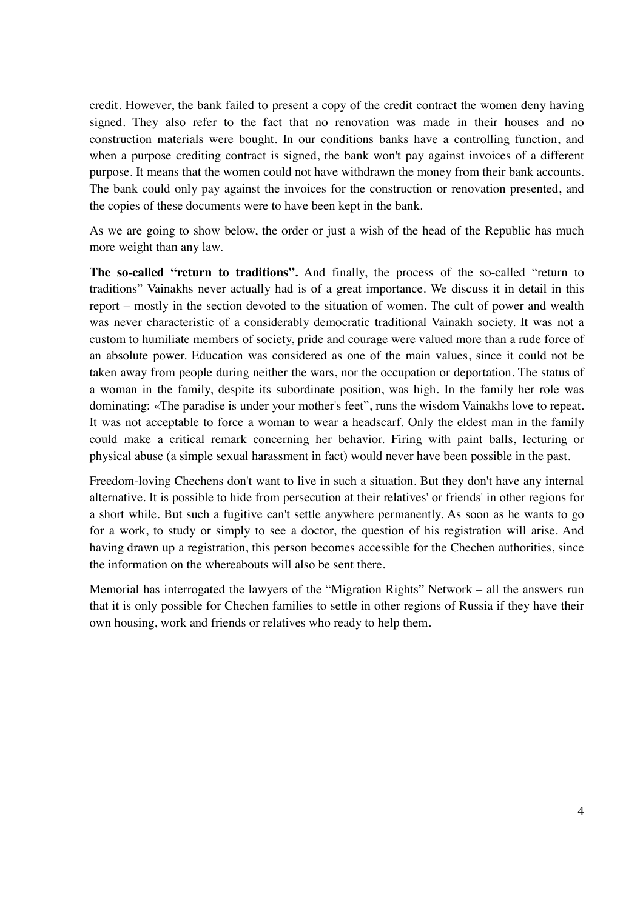credit. However, the bank failed to present a copy of the credit contract the women deny having signed. They also refer to the fact that no renovation was made in their houses and no construction materials were bought. In our conditions banks have a controlling function, and when a purpose crediting contract is signed, the bank won't pay against invoices of a different purpose. It means that the women could not have withdrawn the money from their bank accounts. The bank could only pay against the invoices for the construction or renovation presented, and the copies of these documents were to have been kept in the bank.

As we are going to show below, the order or just a wish of the head of the Republic has much more weight than any law.

**The so-called "return to traditions".** And finally, the process of the so-called "return to traditions" Vainakhs never actually had is of a great importance. We discuss it in detail in this report – mostly in the section devoted to the situation of women. The cult of power and wealth was never characteristic of a considerably democratic traditional Vainakh society. It was not a custom to humiliate members of society, pride and courage were valued more than a rude force of an absolute power. Education was considered as one of the main values, since it could not be taken away from people during neither the wars, nor the occupation or deportation. The status of a woman in the family, despite its subordinate position, was high. In the family her role was dominating: «The paradise is under your mother's feet", runs the wisdom Vainakhs love to repeat. It was not acceptable to force a woman to wear a headscarf. Only the eldest man in the family could make a critical remark concerning her behavior. Firing with paint balls, lecturing or physical abuse (a simple sexual harassment in fact) would never have been possible in the past.

Freedom-loving Chechens don't want to live in such a situation. But they don't have any internal alternative. It is possible to hide from persecution at their relatives' or friends' in other regions for a short while. But such a fugitive can't settle anywhere permanently. As soon as he wants to go for a work, to study or simply to see a doctor, the question of his registration will arise. And having drawn up a registration, this person becomes accessible for the Chechen authorities, since the information on the whereabouts will also be sent there.

Memorial has interrogated the lawyers of the "Migration Rights" Network – all the answers run that it is only possible for Chechen families to settle in other regions of Russia if they have their own housing, work and friends or relatives who ready to help them.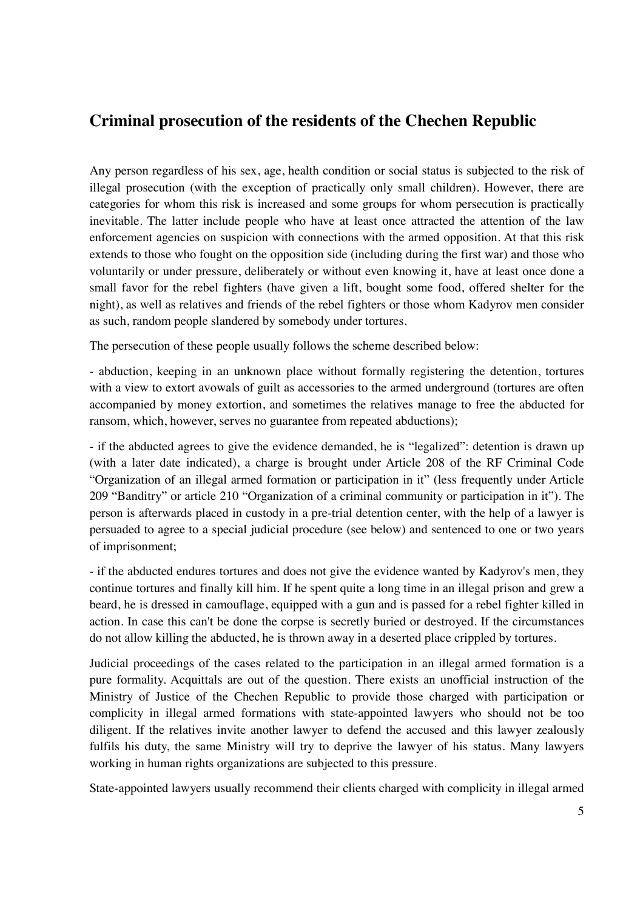## **Criminal prosecution of the residents of the Chechen Republic**

Any person regardless of his sex, age, health condition or social status is subjected to the risk of illegal prosecution (with the exception of practically only small children). However, there are categories for whom this risk is increased and some groups for whom persecution is practically inevitable. The latter include people who have at least once attracted the attention of the law enforcement agencies on suspicion with connections with the armed opposition. At that this risk extends to those who fought on the opposition side (including during the first war) and those who voluntarily or under pressure, deliberately or without even knowing it, have at least once done a small favor for the rebel fighters (have given a lift, bought some food, offered shelter for the night), as well as relatives and friends of the rebel fighters or those whom Kadyrov men consider as such, random people slandered by somebody under tortures.

The persecution of these people usually follows the scheme described below:

- abduction, keeping in an unknown place without formally registering the detention, tortures with a view to extort avowals of guilt as accessories to the armed underground (tortures are often accompanied by money extortion, and sometimes the relatives manage to free the abducted for ransom, which, however, serves no guarantee from repeated abductions);

- if the abducted agrees to give the evidence demanded, he is "legalized": detention is drawn up (with a later date indicated), a charge is brought under Article 208 of the RF Criminal Code "Organization of an illegal armed formation or participation in it" (less frequently under Article 209 "Banditry" or article 210 "Organization of a criminal community or participation in it"). The person is afterwards placed in custody in a pre-trial detention center, with the help of a lawyer is persuaded to agree to a special judicial procedure (see below) and sentenced to one or two years of imprisonment;

- if the abducted endures tortures and does not give the evidence wanted by Kadyrov's men, they continue tortures and finally kill him. If he spent quite a long time in an illegal prison and grew a beard, he is dressed in camouflage, equipped with a gun and is passed for a rebel fighter killed in action. In case this can't be done the corpse is secretly buried or destroyed. If the circumstances do not allow killing the abducted, he is thrown away in a deserted place crippled by tortures.

Judicial proceedings of the cases related to the participation in an illegal armed formation is a pure formality. Acquittals are out of the question. There exists an unofficial instruction of the Ministry of Justice of the Chechen Republic to provide those charged with participation or complicity in illegal armed formations with state-appointed lawyers who should not be too diligent. If the relatives invite another lawyer to defend the accused and this lawyer zealously fulfils his duty, the same Ministry will try to deprive the lawyer of his status. Many lawyers working in human rights organizations are subjected to this pressure.

State-appointed lawyers usually recommend their clients charged with complicity in illegal armed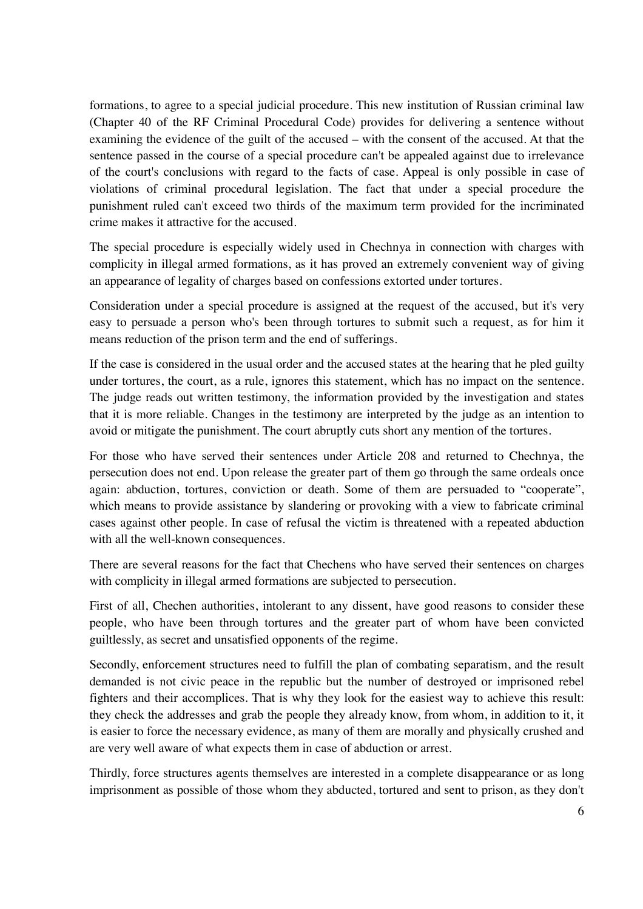formations, to agree to a special judicial procedure. This new institution of Russian criminal law (Chapter 40 of the RF Criminal Procedural Code) provides for delivering a sentence without examining the evidence of the guilt of the accused – with the consent of the accused. At that the sentence passed in the course of a special procedure can't be appealed against due to irrelevance of the court's conclusions with regard to the facts of case. Appeal is only possible in case of violations of criminal procedural legislation. The fact that under a special procedure the punishment ruled can't exceed two thirds of the maximum term provided for the incriminated crime makes it attractive for the accused.

The special procedure is especially widely used in Chechnya in connection with charges with complicity in illegal armed formations, as it has proved an extremely convenient way of giving an appearance of legality of charges based on confessions extorted under tortures.

Consideration under a special procedure is assigned at the request of the accused, but it's very easy to persuade a person who's been through tortures to submit such a request, as for him it means reduction of the prison term and the end of sufferings.

If the case is considered in the usual order and the accused states at the hearing that he pled guilty under tortures, the court, as a rule, ignores this statement, which has no impact on the sentence. The judge reads out written testimony, the information provided by the investigation and states that it is more reliable. Changes in the testimony are interpreted by the judge as an intention to avoid or mitigate the punishment. The court abruptly cuts short any mention of the tortures.

For those who have served their sentences under Article 208 and returned to Chechnya, the persecution does not end. Upon release the greater part of them go through the same ordeals once again: abduction, tortures, conviction or death. Some of them are persuaded to "cooperate", which means to provide assistance by slandering or provoking with a view to fabricate criminal cases against other people. In case of refusal the victim is threatened with a repeated abduction with all the well-known consequences.

There are several reasons for the fact that Chechens who have served their sentences on charges with complicity in illegal armed formations are subjected to persecution.

First of all, Chechen authorities, intolerant to any dissent, have good reasons to consider these people, who have been through tortures and the greater part of whom have been convicted guiltlessly, as secret and unsatisfied opponents of the regime.

Secondly, enforcement structures need to fulfill the plan of combating separatism, and the result demanded is not civic peace in the republic but the number of destroyed or imprisoned rebel fighters and their accomplices. That is why they look for the easiest way to achieve this result: they check the addresses and grab the people they already know, from whom, in addition to it, it is easier to force the necessary evidence, as many of them are morally and physically crushed and are very well aware of what expects them in case of abduction or arrest.

Thirdly, force structures agents themselves are interested in a complete disappearance or as long imprisonment as possible of those whom they abducted, tortured and sent to prison, as they don't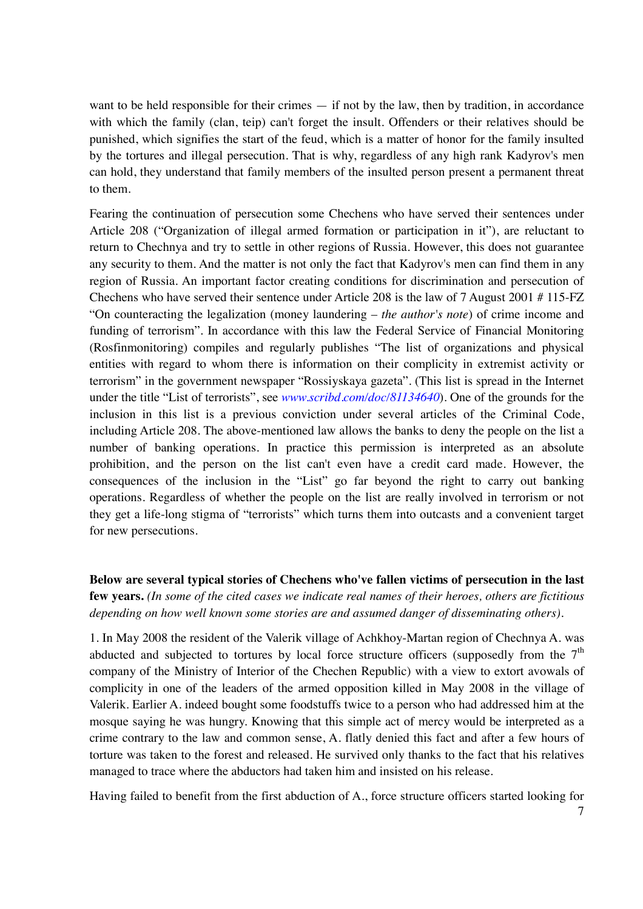want to be held responsible for their crimes — if not by the law, then by tradition, in accordance with which the family (clan, teip) can't forget the insult. Offenders or their relatives should be punished, which signifies the start of the feud, which is a matter of honor for the family insulted by the tortures and illegal persecution. That is why, regardless of any high rank Kadyrov's men can hold, they understand that family members of the insulted person present a permanent threat to them.

Fearing the continuation of persecution some Chechens who have served their sentences under Article 208 ("Organization of illegal armed formation or participation in it"), are reluctant to return to Chechnya and try to settle in other regions of Russia. However, this does not guarantee any security to them. And the matter is not only the fact that Kadyrov's men can find them in any region of Russia. An important factor creating conditions for discrimination and persecution of Chechens who have served their sentence under Article 208 is the law of 7 August 2001 # 115-FZ "On counteracting the legalization (money laundering – *the author's note*) of crime income and funding of terrorism". In accordance with this law the Federal Service of Financial Monitoring (Rosfinmonitoring) compiles and regularly publishes "The list of organizations and physical entities with regard to whom there is information on their complicity in extremist activity or terrorism" in the government newspaper "Rossiyskaya gazeta". (This list is spread in the Internet under the title "List of terrorists", see *www.scribd.com/doc/81134640*). One of the grounds for the inclusion in this list is a previous conviction under several articles of the Criminal Code, including Article 208. The above-mentioned law allows the banks to deny the people on the list a number of banking operations. In practice this permission is interpreted as an absolute prohibition, and the person on the list can't even have a credit card made. However, the consequences of the inclusion in the "List" go far beyond the right to carry out banking operations. Regardless of whether the people on the list are really involved in terrorism or not they get a life-long stigma of "terrorists" which turns them into outcasts and a convenient target for new persecutions.

**Below are several typical stories of Chechens who've fallen victims of persecution in the last few years.** *(In some of the cited cases we indicate real names of their heroes, others are fictitious depending on how well known some stories are and assumed danger of disseminating others).* 

1. In May 2008 the resident of the Valerik village of Achkhoy-Martan region of Chechnya A. was abducted and subjected to tortures by local force structure officers (supposedly from the  $7<sup>th</sup>$ company of the Ministry of Interior of the Chechen Republic) with a view to extort avowals of complicity in one of the leaders of the armed opposition killed in May 2008 in the village of Valerik. Earlier A. indeed bought some foodstuffs twice to a person who had addressed him at the mosque saying he was hungry. Knowing that this simple act of mercy would be interpreted as a crime contrary to the law and common sense, A. flatly denied this fact and after a few hours of torture was taken to the forest and released. He survived only thanks to the fact that his relatives managed to trace where the abductors had taken him and insisted on his release.

Having failed to benefit from the first abduction of A., force structure officers started looking for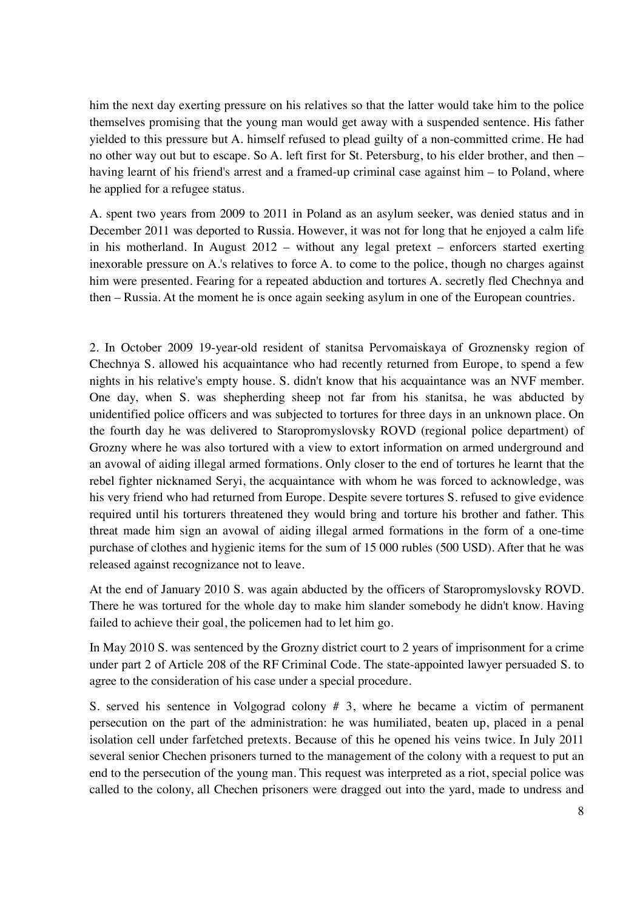him the next day exerting pressure on his relatives so that the latter would take him to the police themselves promising that the young man would get away with a suspended sentence. His father yielded to this pressure but A. himself refused to plead guilty of a non-committed crime. He had no other way out but to escape. So A. left first for St. Petersburg, to his elder brother, and then – having learnt of his friend's arrest and a framed-up criminal case against him – to Poland, where he applied for a refugee status.

A. spent two years from 2009 to 2011 in Poland as an asylum seeker, was denied status and in December 2011 was deported to Russia. However, it was not for long that he enjoyed a calm life in his motherland. In August 2012 – without any legal pretext – enforcers started exerting inexorable pressure on A.'s relatives to force A. to come to the police, though no charges against him were presented. Fearing for a repeated abduction and tortures A. secretly fled Chechnya and then – Russia. At the moment he is once again seeking asylum in one of the European countries.

2. In October 2009 19-year-old resident of stanitsa Pervomaiskaya of Groznensky region of Chechnya S. allowed his acquaintance who had recently returned from Europe, to spend a few nights in his relative's empty house. S. didn't know that his acquaintance was an NVF member. One day, when S. was shepherding sheep not far from his stanitsa, he was abducted by unidentified police officers and was subjected to tortures for three days in an unknown place. On the fourth day he was delivered to Staropromyslovsky ROVD (regional police department) of Grozny where he was also tortured with a view to extort information on armed underground and an avowal of aiding illegal armed formations. Only closer to the end of tortures he learnt that the rebel fighter nicknamed Seryi, the acquaintance with whom he was forced to acknowledge, was his very friend who had returned from Europe. Despite severe tortures S. refused to give evidence required until his torturers threatened they would bring and torture his brother and father. This threat made him sign an avowal of aiding illegal armed formations in the form of a one-time purchase of clothes and hygienic items for the sum of 15 000 rubles (500 USD). After that he was released against recognizance not to leave.

At the end of January 2010 S. was again abducted by the officers of Staropromyslovsky ROVD. There he was tortured for the whole day to make him slander somebody he didn't know. Having failed to achieve their goal, the policemen had to let him go.

In May 2010 S. was sentenced by the Grozny district court to 2 years of imprisonment for a crime under part 2 of Article 208 of the RF Criminal Code. The state-appointed lawyer persuaded S. to agree to the consideration of his case under a special procedure.

S. served his sentence in Volgograd colony  $# 3$ , where he became a victim of permanent persecution on the part of the administration: he was humiliated, beaten up, placed in a penal isolation cell under farfetched pretexts. Because of this he opened his veins twice. In July 2011 several senior Chechen prisoners turned to the management of the colony with a request to put an end to the persecution of the young man. This request was interpreted as a riot, special police was called to the colony, all Chechen prisoners were dragged out into the yard, made to undress and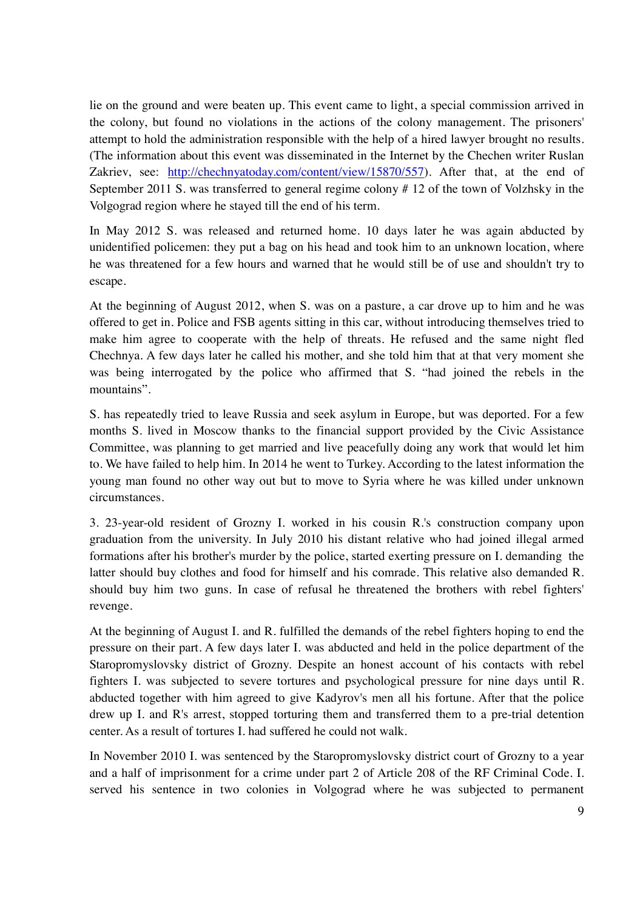lie on the ground and were beaten up. This event came to light, a special commission arrived in the colony, but found no violations in the actions of the colony management. The prisoners' attempt to hold the administration responsible with the help of a hired lawyer brought no results. (The information about this event was disseminated in the Internet by the Chechen writer Ruslan Zakriev, see: http://chechnyatoday.com/content/view/15870/557). After that, at the end of September 2011 S. was transferred to general regime colony #12 of the town of Volzhsky in the Volgograd region where he stayed till the end of his term.

In May 2012 S. was released and returned home. 10 days later he was again abducted by unidentified policemen: they put a bag on his head and took him to an unknown location, where he was threatened for a few hours and warned that he would still be of use and shouldn't try to escape.

At the beginning of August 2012, when S. was on a pasture, a car drove up to him and he was offered to get in. Police and FSB agents sitting in this car, without introducing themselves tried to make him agree to cooperate with the help of threats. He refused and the same night fled Chechnya. A few days later he called his mother, and she told him that at that very moment she was being interrogated by the police who affirmed that S. "had joined the rebels in the mountains".

S. has repeatedly tried to leave Russia and seek asylum in Europe, but was deported. For a few months S. lived in Moscow thanks to the financial support provided by the Civic Assistance Committee, was planning to get married and live peacefully doing any work that would let him to. We have failed to help him. In 2014 he went to Turkey. According to the latest information the young man found no other way out but to move to Syria where he was killed under unknown circumstances.

3. 23-year-old resident of Grozny I. worked in his cousin R.'s construction company upon graduation from the university. In July 2010 his distant relative who had joined illegal armed formations after his brother's murder by the police, started exerting pressure on I. demanding the latter should buy clothes and food for himself and his comrade. This relative also demanded R. should buy him two guns. In case of refusal he threatened the brothers with rebel fighters' revenge.

At the beginning of August I. and R. fulfilled the demands of the rebel fighters hoping to end the pressure on their part. A few days later I. was abducted and held in the police department of the Staropromyslovsky district of Grozny. Despite an honest account of his contacts with rebel fighters I. was subjected to severe tortures and psychological pressure for nine days until R. abducted together with him agreed to give Kadyrov's men all his fortune. After that the police drew up I. and R's arrest, stopped torturing them and transferred them to a pre-trial detention center. As a result of tortures I. had suffered he could not walk.

In November 2010 I. was sentenced by the Staropromyslovsky district court of Grozny to a year and a half of imprisonment for a crime under part 2 of Article 208 of the RF Criminal Code. I. served his sentence in two colonies in Volgograd where he was subjected to permanent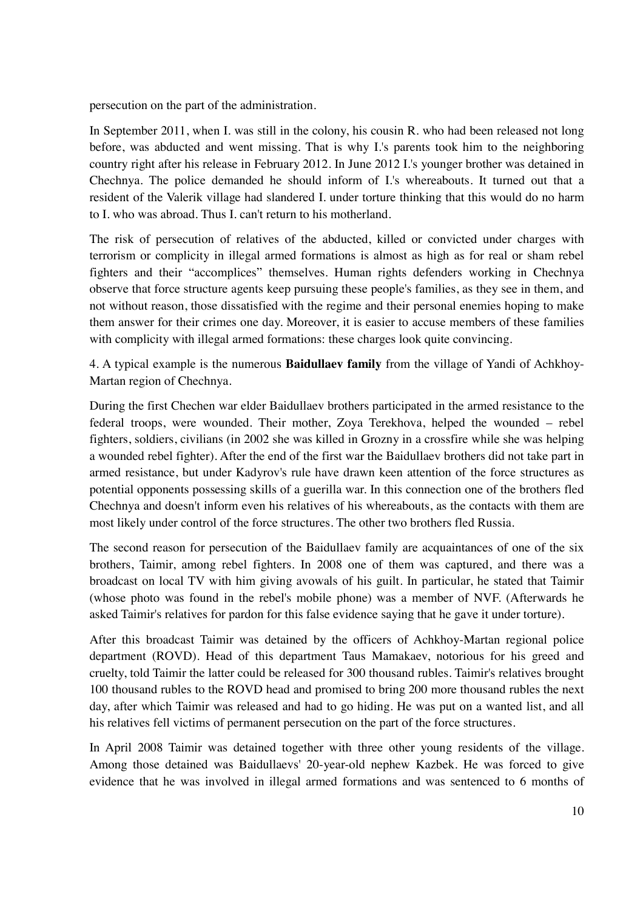persecution on the part of the administration.

In September 2011, when I. was still in the colony, his cousin R. who had been released not long before, was abducted and went missing. That is why I.'s parents took him to the neighboring country right after his release in February 2012. In June 2012 I.'s younger brother was detained in Chechnya. The police demanded he should inform of I.'s whereabouts. It turned out that a resident of the Valerik village had slandered I. under torture thinking that this would do no harm to I. who was abroad. Thus I. can't return to his motherland.

The risk of persecution of relatives of the abducted, killed or convicted under charges with terrorism or complicity in illegal armed formations is almost as high as for real or sham rebel fighters and their "accomplices" themselves. Human rights defenders working in Chechnya observe that force structure agents keep pursuing these people's families, as they see in them, and not without reason, those dissatisfied with the regime and their personal enemies hoping to make them answer for their crimes one day. Moreover, it is easier to accuse members of these families with complicity with illegal armed formations: these charges look quite convincing.

4. A typical example is the numerous **Baidullaev family** from the village of Yandi of Achkhoy-Martan region of Chechnya.

During the first Chechen war elder Baidullaev brothers participated in the armed resistance to the federal troops, were wounded. Their mother, Zoya Terekhova, helped the wounded – rebel fighters, soldiers, civilians (in 2002 she was killed in Grozny in a crossfire while she was helping a wounded rebel fighter). After the end of the first war the Baidullaev brothers did not take part in armed resistance, but under Kadyrov's rule have drawn keen attention of the force structures as potential opponents possessing skills of a guerilla war. In this connection one of the brothers fled Chechnya and doesn't inform even his relatives of his whereabouts, as the contacts with them are most likely under control of the force structures. The other two brothers fled Russia.

The second reason for persecution of the Baidullaev family are acquaintances of one of the six brothers, Taimir, among rebel fighters. In 2008 one of them was captured, and there was a broadcast on local TV with him giving avowals of his guilt. In particular, he stated that Taimir (whose photo was found in the rebel's mobile phone) was a member of NVF. (Afterwards he asked Taimir's relatives for pardon for this false evidence saying that he gave it under torture).

After this broadcast Taimir was detained by the officers of Achkhoy-Martan regional police department (ROVD). Head of this department Taus Mamakaev, notorious for his greed and cruelty, told Taimir the latter could be released for 300 thousand rubles. Taimir's relatives brought 100 thousand rubles to the ROVD head and promised to bring 200 more thousand rubles the next day, after which Taimir was released and had to go hiding. He was put on a wanted list, and all his relatives fell victims of permanent persecution on the part of the force structures.

In April 2008 Taimir was detained together with three other young residents of the village. Among those detained was Baidullaevs' 20-year-old nephew Kazbek. He was forced to give evidence that he was involved in illegal armed formations and was sentenced to 6 months of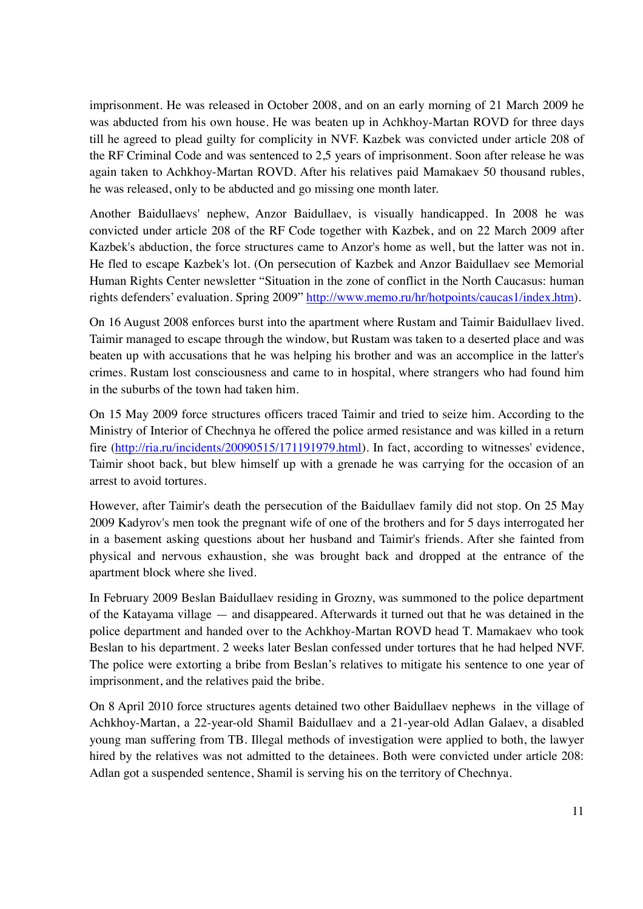imprisonment. He was released in October 2008, and on an early morning of 21 March 2009 he was abducted from his own house. He was beaten up in Achkhoy-Martan ROVD for three days till he agreed to plead guilty for complicity in NVF. Kazbek was convicted under article 208 of the RF Criminal Code and was sentenced to 2,5 years of imprisonment. Soon after release he was again taken to Achkhoy-Martan ROVD. After his relatives paid Mamakaev 50 thousand rubles, he was released, only to be abducted and go missing one month later.

Another Baidullaevs' nephew, Anzor Baidullaev, is visually handicapped. In 2008 he was convicted under article 208 of the RF Code together with Kazbek, and on 22 March 2009 after Kazbek's abduction, the force structures came to Anzor's home as well, but the latter was not in. He fled to escape Kazbek's lot. (On persecution of Kazbek and Anzor Baidullaev see Memorial Human Rights Center newsletter "Situation in the zone of conflict in the North Caucasus: human rights defenders' evaluation. Spring 2009" http://www.memo.ru/hr/hotpoints/caucas1/index.htm).

On 16 August 2008 enforces burst into the apartment where Rustam and Taimir Baidullaev lived. Taimir managed to escape through the window, but Rustam was taken to a deserted place and was beaten up with accusations that he was helping his brother and was an accomplice in the latter's crimes. Rustam lost consciousness and came to in hospital, where strangers who had found him in the suburbs of the town had taken him.

On 15 May 2009 force structures officers traced Taimir and tried to seize him. According to the Ministry of Interior of Chechnya he offered the police armed resistance and was killed in a return fire (http://ria.ru/incidents/20090515/171191979.html). In fact, according to witnesses' evidence, Taimir shoot back, but blew himself up with a grenade he was carrying for the occasion of an arrest to avoid tortures.

However, after Taimir's death the persecution of the Baidullaev family did not stop. On 25 May 2009 Kadyrov's men took the pregnant wife of one of the brothers and for 5 days interrogated her in a basement asking questions about her husband and Taimir's friends. After she fainted from physical and nervous exhaustion, she was brought back and dropped at the entrance of the apartment block where she lived.

In February 2009 Beslan Baidullaev residing in Grozny, was summoned to the police department of the Katayama village — and disappeared. Afterwards it turned out that he was detained in the police department and handed over to the Achkhoy-Martan ROVD head T. Mamakaev who took Beslan to his department. 2 weeks later Beslan confessed under tortures that he had helped NVF. The police were extorting a bribe from Beslan's relatives to mitigate his sentence to one year of imprisonment, and the relatives paid the bribe.

On 8 April 2010 force structures agents detained two other Baidullaev nephews in the village of Achkhoy-Martan, a 22-year-old Shamil Baidullaev and a 21-year-old Adlan Galaev, a disabled young man suffering from TB. Illegal methods of investigation were applied to both, the lawyer hired by the relatives was not admitted to the detainees. Both were convicted under article 208: Adlan got a suspended sentence, Shamil is serving his on the territory of Chechnya.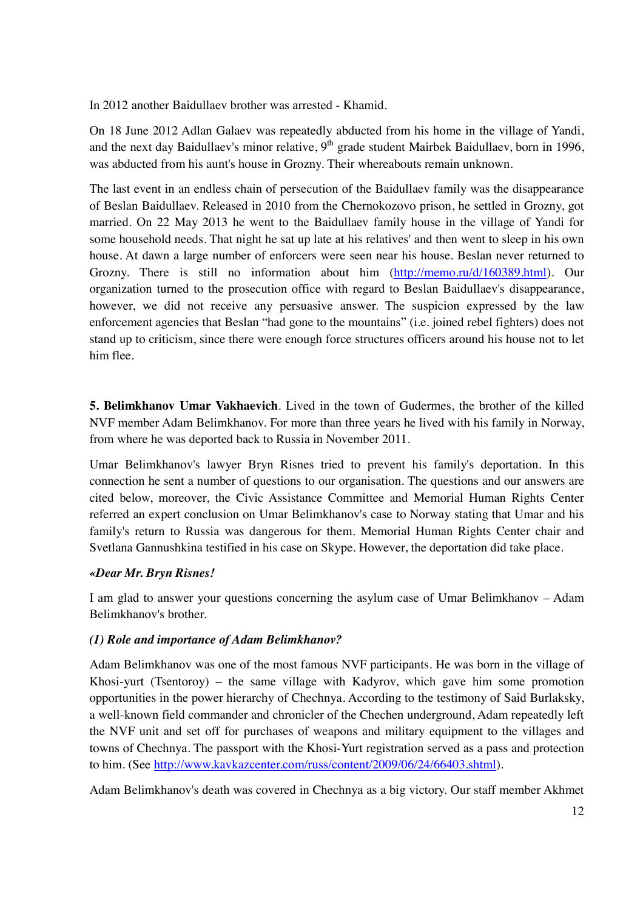In 2012 another Baidullaev brother was arrested - Khamid.

On 18 June 2012 Adlan Galaev was repeatedly abducted from his home in the village of Yandi, and the next day Baidullaev's minor relative,  $9<sup>th</sup>$  grade student Mairbek Baidullaev, born in 1996, was abducted from his aunt's house in Grozny. Their whereabouts remain unknown.

The last event in an endless chain of persecution of the Baidullaev family was the disappearance of Beslan Baidullaev. Released in 2010 from the Chernokozovo prison, he settled in Grozny, got married. On 22 May 2013 he went to the Baidullaev family house in the village of Yandi for some household needs. That night he sat up late at his relatives' and then went to sleep in his own house. At dawn a large number of enforcers were seen near his house. Beslan never returned to Grozny. There is still no information about him (http://memo.ru/d/160389.html). Our organization turned to the prosecution office with regard to Beslan Baidullaev's disappearance, however, we did not receive any persuasive answer. The suspicion expressed by the law enforcement agencies that Beslan "had gone to the mountains" (i.e. joined rebel fighters) does not stand up to criticism, since there were enough force structures officers around his house not to let him flee.

**5. Belimkhanov Umar Vakhaevich**. Lived in the town of Gudermes, the brother of the killed NVF member Adam Belimkhanov. For more than three years he lived with his family in Norway, from where he was deported back to Russia in November 2011.

Umar Belimkhanov's lawyer Bryn Risnes tried to prevent his family's deportation. In this connection he sent a number of questions to our organisation. The questions and our answers are cited below, moreover, the Civic Assistance Committee and Memorial Human Rights Center referred an expert conclusion on Umar Belimkhanov's case to Norway stating that Umar and his family's return to Russia was dangerous for them. Memorial Human Rights Center chair and Svetlana Gannushkina testified in his case on Skype. However, the deportation did take place.

#### *«Dear Mr. Bryn Risnes!*

I am glad to answer your questions concerning the asylum case of Umar Belimkhanov – Adam Belimkhanov's brother.

#### *(1) Role and importance of Adam Belimkhanov?*

Adam Belimkhanov was one of the most famous NVF participants. He was born in the village of Khosi-yurt (Tsentoroy) – the same village with Kadyrov, which gave him some promotion opportunities in the power hierarchy of Chechnya. According to the testimony of Said Burlaksky, a well-known field commander and chronicler of the Chechen underground, Adam repeatedly left the NVF unit and set off for purchases of weapons and military equipment to the villages and towns of Chechnya. The passport with the Khosi-Yurt registration served as a pass and protection to him. (See http://www.kavkazcenter.com/russ/content/2009/06/24/66403.shtml).

Adam Belimkhanov's death was covered in Chechnya as a big victory. Our staff member Akhmet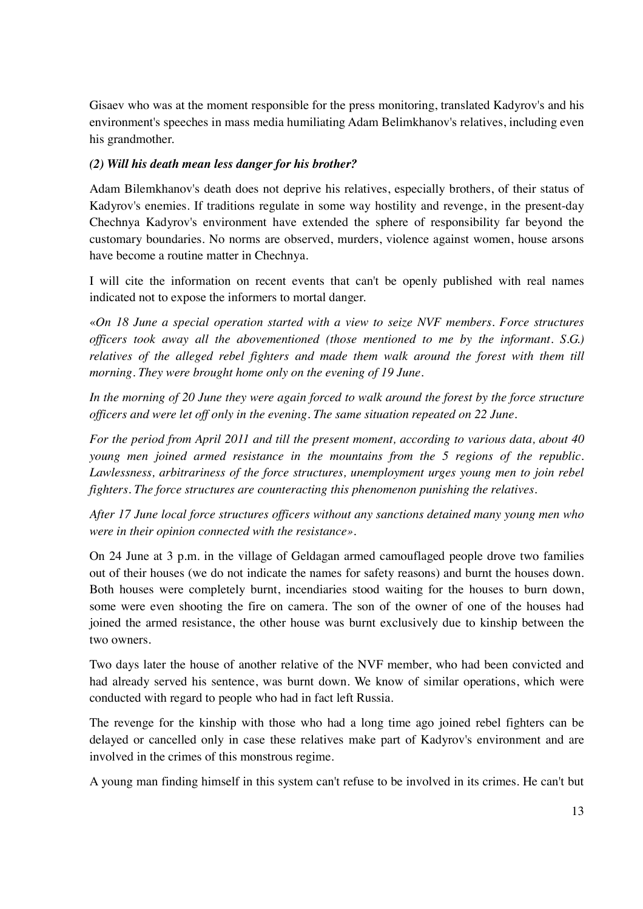Gisaev who was at the moment responsible for the press monitoring, translated Kadyrov's and his environment's speeches in mass media humiliating Adam Belimkhanov's relatives, including even his grandmother.

#### *(2) Will his death mean less danger for his brother?*

Adam Bilemkhanov's death does not deprive his relatives, especially brothers, of their status of Kadyrov's enemies. If traditions regulate in some way hostility and revenge, in the present-day Chechnya Kadyrov's environment have extended the sphere of responsibility far beyond the customary boundaries. No norms are observed, murders, violence against women, house arsons have become a routine matter in Chechnya.

I will cite the information on recent events that can't be openly published with real names indicated not to expose the informers to mortal danger.

«*On 18 June a special operation started with a view to seize NVF members. Force structures officers took away all the abovementioned (those mentioned to me by the informant. S.G.) relatives of the alleged rebel fighters and made them walk around the forest with them till morning. They were brought home only on the evening of 19 June.* 

*In the morning of 20 June they were again forced to walk around the forest by the force structure officers and were let off only in the evening. The same situation repeated on 22 June.* 

*For the period from April 2011 and till the present moment, according to various data, about 40 young men joined armed resistance in the mountains from the 5 regions of the republic. Lawlessness, arbitrariness of the force structures, unemployment urges young men to join rebel fighters. The force structures are counteracting this phenomenon punishing the relatives.* 

*After 17 June local force structures officers without any sanctions detained many young men who were in their opinion connected with the resistance».* 

On 24 June at 3 p.m. in the village of Geldagan armed camouflaged people drove two families out of their houses (we do not indicate the names for safety reasons) and burnt the houses down. Both houses were completely burnt, incendiaries stood waiting for the houses to burn down, some were even shooting the fire on camera. The son of the owner of one of the houses had joined the armed resistance, the other house was burnt exclusively due to kinship between the two owners.

Two days later the house of another relative of the NVF member, who had been convicted and had already served his sentence, was burnt down. We know of similar operations, which were conducted with regard to people who had in fact left Russia.

The revenge for the kinship with those who had a long time ago joined rebel fighters can be delayed or cancelled only in case these relatives make part of Kadyrov's environment and are involved in the crimes of this monstrous regime.

A young man finding himself in this system can't refuse to be involved in its crimes. He can't but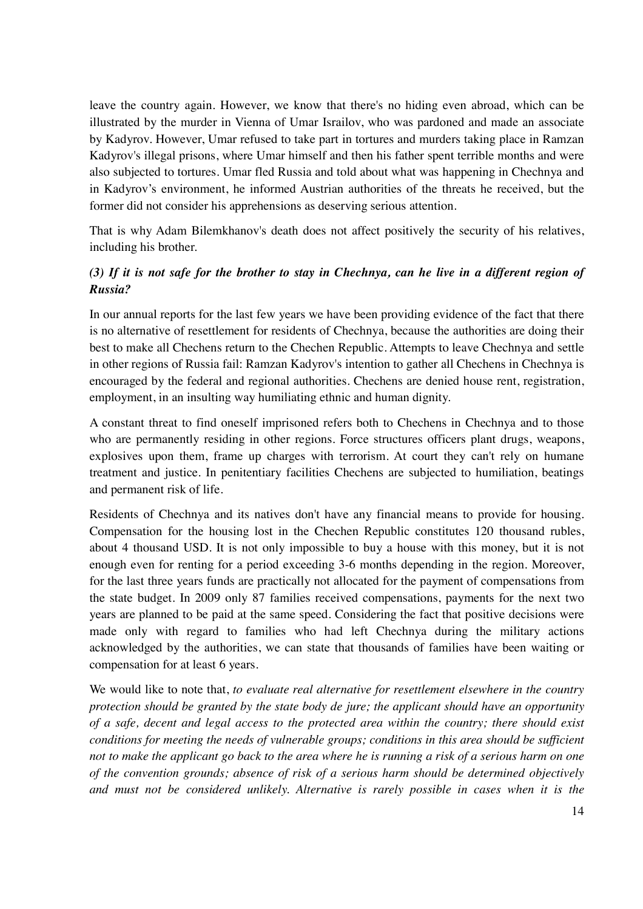leave the country again. However, we know that there's no hiding even abroad, which can be illustrated by the murder in Vienna of Umar Israilov, who was pardoned and made an associate by Kadyrov. However, Umar refused to take part in tortures and murders taking place in Ramzan Kadyrov's illegal prisons, where Umar himself and then his father spent terrible months and were also subjected to tortures. Umar fled Russia and told about what was happening in Chechnya and in Kadyrov's environment, he informed Austrian authorities of the threats he received, but the former did not consider his apprehensions as deserving serious attention.

That is why Adam Bilemkhanov's death does not affect positively the security of his relatives, including his brother.

### *(3) If it is not safe for the brother to stay in Chechnya, can he live in a different region of Russia?*

In our annual reports for the last few years we have been providing evidence of the fact that there is no alternative of resettlement for residents of Chechnya, because the authorities are doing their best to make all Chechens return to the Chechen Republic. Attempts to leave Chechnya and settle in other regions of Russia fail: Ramzan Kadyrov's intention to gather all Chechens in Chechnya is encouraged by the federal and regional authorities. Chechens are denied house rent, registration, employment, in an insulting way humiliating ethnic and human dignity.

A constant threat to find oneself imprisoned refers both to Chechens in Chechnya and to those who are permanently residing in other regions. Force structures officers plant drugs, weapons, explosives upon them, frame up charges with terrorism. At court they can't rely on humane treatment and justice. In penitentiary facilities Chechens are subjected to humiliation, beatings and permanent risk of life.

Residents of Chechnya and its natives don't have any financial means to provide for housing. Compensation for the housing lost in the Chechen Republic constitutes 120 thousand rubles, about 4 thousand USD. It is not only impossible to buy a house with this money, but it is not enough even for renting for a period exceeding 3-6 months depending in the region. Moreover, for the last three years funds are practically not allocated for the payment of compensations from the state budget. In 2009 only 87 families received compensations, payments for the next two years are planned to be paid at the same speed. Considering the fact that positive decisions were made only with regard to families who had left Chechnya during the military actions acknowledged by the authorities, we can state that thousands of families have been waiting or compensation for at least 6 years.

We would like to note that, *to evaluate real alternative for resettlement elsewhere in the country protection should be granted by the state body de jure; the applicant should have an opportunity of a safe, decent and legal access to the protected area within the country; there should exist conditions for meeting the needs of vulnerable groups; conditions in this area should be sufficient not to make the applicant go back to the area where he is running a risk of a serious harm on one of the convention grounds; absence of risk of a serious harm should be determined objectively and must not be considered unlikely. Alternative is rarely possible in cases when it is the*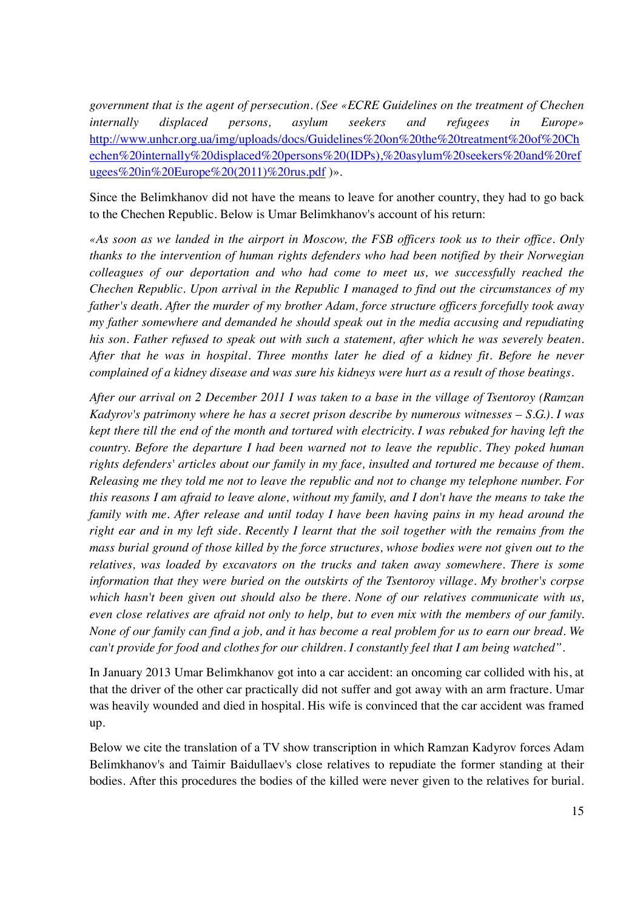*government that is the agent of persecution. (See «ECRE Guidelines on the treatment of Chechen internally displaced persons, asylum seekers and refugees in Europe»*  http://www.unhcr.org.ua/img/uploads/docs/Guidelines%20on%20the%20treatment%20of%20Ch echen%20internally%20displaced%20persons%20(IDPs),%20asylum%20seekers%20and%20ref ugees%20in%20Europe%20(2011)%20rus.pdf)».

Since the Belimkhanov did not have the means to leave for another country, they had to go back to the Chechen Republic. Below is Umar Belimkhanov's account of his return:

*«As soon as we landed in the airport in Moscow, the FSB officers took us to their office. Only thanks to the intervention of human rights defenders who had been notified by their Norwegian colleagues of our deportation and who had come to meet us, we successfully reached the Chechen Republic. Upon arrival in the Republic I managed to find out the circumstances of my father's death. After the murder of my brother Adam, force structure officers forcefully took away my father somewhere and demanded he should speak out in the media accusing and repudiating his son. Father refused to speak out with such a statement, after which he was severely beaten. After that he was in hospital. Three months later he died of a kidney fit. Before he never complained of a kidney disease and was sure his kidneys were hurt as a result of those beatings.* 

*After our arrival on 2 December 2011 I was taken to a base in the village of Tsentoroy (Ramzan Kadyrov's patrimony where he has a secret prison describe by numerous witnesses – S.G.). I was kept there till the end of the month and tortured with electricity. I was rebuked for having left the country. Before the departure I had been warned not to leave the republic. They poked human rights defenders' articles about our family in my face, insulted and tortured me because of them. Releasing me they told me not to leave the republic and not to change my telephone number. For this reasons I am afraid to leave alone, without my family, and I don't have the means to take the family with me. After release and until today I have been having pains in my head around the right ear and in my left side. Recently I learnt that the soil together with the remains from the mass burial ground of those killed by the force structures, whose bodies were not given out to the relatives, was loaded by excavators on the trucks and taken away somewhere. There is some information that they were buried on the outskirts of the Tsentoroy village. My brother's corpse which hasn't been given out should also be there. None of our relatives communicate with us, even close relatives are afraid not only to help, but to even mix with the members of our family. None of our family can find a job, and it has become a real problem for us to earn our bread. We can't provide for food and clothes for our children. I constantly feel that I am being watched".* 

In January 2013 Umar Belimkhanov got into a car accident: an oncoming car collided with his, at that the driver of the other car practically did not suffer and got away with an arm fracture. Umar was heavily wounded and died in hospital. His wife is convinced that the car accident was framed up.

Below we cite the translation of a TV show transcription in which Ramzan Kadyrov forces Adam Belimkhanov's and Taimir Baidullaev's close relatives to repudiate the former standing at their bodies. After this procedures the bodies of the killed were never given to the relatives for burial.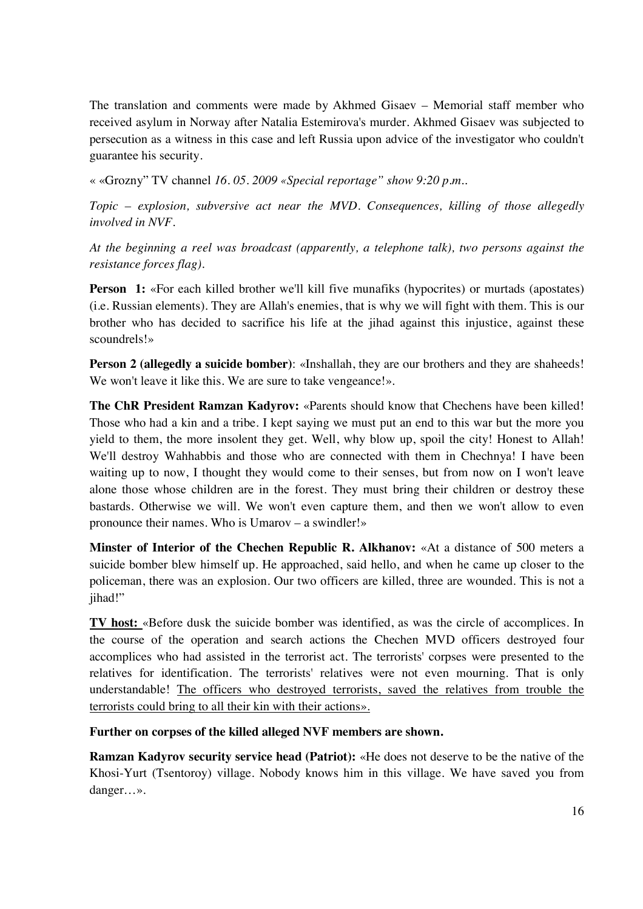The translation and comments were made by Akhmed Gisaev – Memorial staff member who received asylum in Norway after Natalia Estemirova's murder. Akhmed Gisaev was subjected to persecution as a witness in this case and left Russia upon advice of the investigator who couldn't guarantee his security.

« «Grozny" TV channel *16. 05. 2009 «Special reportage" show 9:20 p.m..* 

*Topic – explosion, subversive act near the MVD. Consequences, killing of those allegedly involved in NVF.* 

*At the beginning a reel was broadcast (apparently, a telephone talk), two persons against the resistance forces flag).*

**Person 1:** «For each killed brother we'll kill five munafiks (hypocrites) or murtads (apostates) (i.e. Russian elements). They are Allah's enemies, that is why we will fight with them. This is our brother who has decided to sacrifice his life at the jihad against this injustice, against these scoundrels!»

**Person 2 (allegedly a suicide bomber)**: «Inshallah, they are our brothers and they are shaheeds! We won't leave it like this. We are sure to take vengeance!».

**The ChR President Ramzan Kadyrov:** «Parents should know that Chechens have been killed! Those who had a kin and a tribe. I kept saying we must put an end to this war but the more you yield to them, the more insolent they get. Well, why blow up, spoil the city! Honest to Allah! We'll destroy Wahhabbis and those who are connected with them in Chechnya! I have been waiting up to now, I thought they would come to their senses, but from now on I won't leave alone those whose children are in the forest. They must bring their children or destroy these bastards. Otherwise we will. We won't even capture them, and then we won't allow to even pronounce their names. Who is Umarov – a swindler!»

**Minster of Interior of the Chechen Republic R. Alkhanov:** «At a distance of 500 meters a suicide bomber blew himself up. He approached, said hello, and when he came up closer to the policeman, there was an explosion. Our two officers are killed, three are wounded. This is not a jihad!"

**TV host:** «Before dusk the suicide bomber was identified, as was the circle of accomplices. In the course of the operation and search actions the Chechen MVD officers destroyed four accomplices who had assisted in the terrorist act. The terrorists' corpses were presented to the relatives for identification. The terrorists' relatives were not even mourning. That is only understandable! The officers who destroyed terrorists, saved the relatives from trouble the terrorists could bring to all their kin with their actions».

**Further on corpses of the killed alleged NVF members are shown.** 

**Ramzan Kadyrov security service head (Patriot):** «He does not deserve to be the native of the Khosi-Yurt (Tsentoroy) village. Nobody knows him in this village. We have saved you from danger…».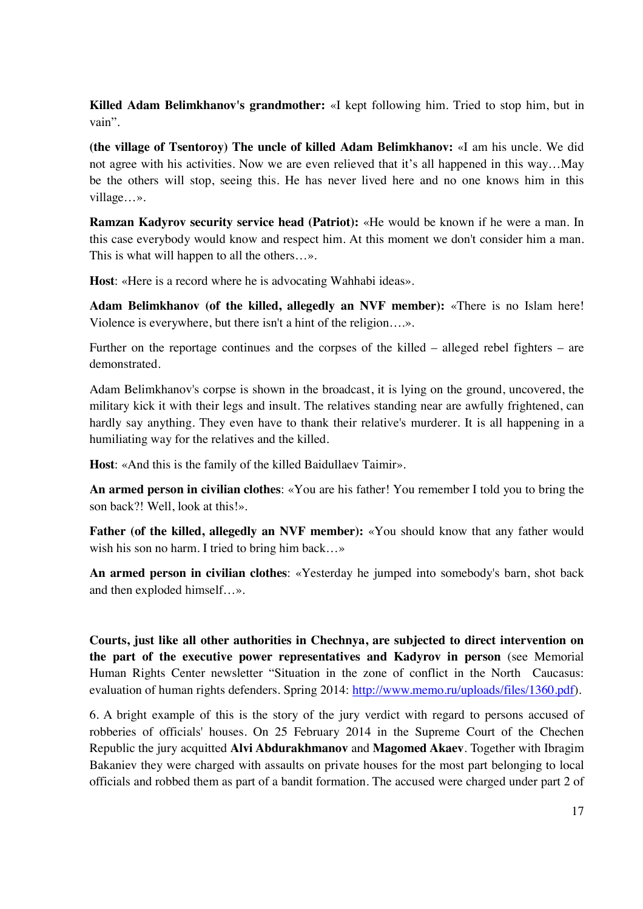**Killed Adam Belimkhanov's grandmother:** «I kept following him. Tried to stop him, but in vain".

**(the village of Tsentoroy) The uncle of killed Adam Belimkhanov:** «I am his uncle. We did not agree with his activities. Now we are even relieved that it's all happened in this way…May be the others will stop, seeing this. He has never lived here and no one knows him in this village…».

**Ramzan Kadyrov security service head (Patriot):** «He would be known if he were a man. In this case everybody would know and respect him. At this moment we don't consider him a man. This is what will happen to all the others…».

**Host**: «Here is a record where he is advocating Wahhabi ideas».

**Adam Belimkhanov (of the killed, allegedly an NVF member):** «There is no Islam here! Violence is everywhere, but there isn't a hint of the religion….».

Further on the reportage continues and the corpses of the killed – alleged rebel fighters – are demonstrated.

Adam Belimkhanov's corpse is shown in the broadcast, it is lying on the ground, uncovered, the military kick it with their legs and insult. The relatives standing near are awfully frightened, can hardly say anything. They even have to thank their relative's murderer. It is all happening in a humiliating way for the relatives and the killed.

**Host**: «And this is the family of the killed Baidullaev Taimir».

**An armed person in civilian clothes**: «You are his father! You remember I told you to bring the son back?! Well, look at this!».

**Father (of the killed, allegedly an NVF member):** «You should know that any father would wish his son no harm. I tried to bring him back…»

**An armed person in civilian clothes**: «Yesterday he jumped into somebody's barn, shot back and then exploded himself…».

**Courts, just like all other authorities in Chechnya, are subjected to direct intervention on the part of the executive power representatives and Kadyrov in person** (see Memorial Human Rights Center newsletter "Situation in the zone of conflict in the North Caucasus: evaluation of human rights defenders. Spring 2014: http://www.memo.ru/uploads/files/1360.pdf).

6. A bright example of this is the story of the jury verdict with regard to persons accused of robberies of officials' houses. On 25 February 2014 in the Supreme Court of the Chechen Republic the jury acquitted **Alvi Abdurakhmanov** and **Magomed Akaev**. Together with Ibragim Bakaniev they were charged with assaults on private houses for the most part belonging to local officials and robbed them as part of a bandit formation. The accused were charged under part 2 of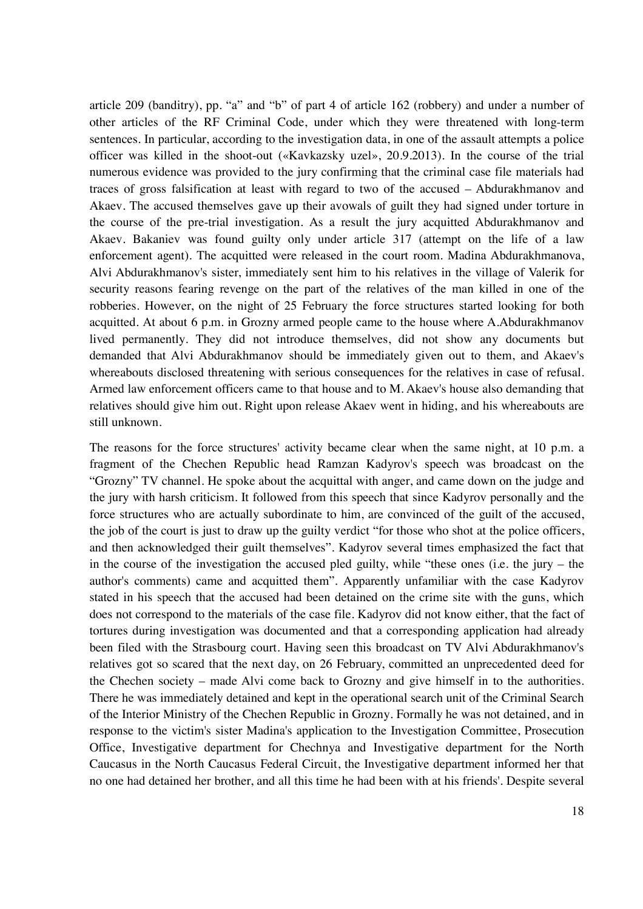article 209 (banditry), pp. "a" and "b" of part 4 of article 162 (robbery) and under a number of other articles of the RF Criminal Code, under which they were threatened with long-term sentences. In particular, according to the investigation data, in one of the assault attempts a police officer was killed in the shoot-out («Kavkazsky uzel», 20.9.2013). In the course of the trial numerous evidence was provided to the jury confirming that the criminal case file materials had traces of gross falsification at least with regard to two of the accused – Abdurakhmanov and Akaev. The accused themselves gave up their avowals of guilt they had signed under torture in the course of the pre-trial investigation. As a result the jury acquitted Abdurakhmanov and Akaev. Bakaniev was found guilty only under article 317 (attempt on the life of a law enforcement agent). The acquitted were released in the court room. Madina Abdurakhmanova, Alvi Abdurakhmanov's sister, immediately sent him to his relatives in the village of Valerik for security reasons fearing revenge on the part of the relatives of the man killed in one of the robberies. However, on the night of 25 February the force structures started looking for both acquitted. At about 6 p.m. in Grozny armed people came to the house where A.Abdurakhmanov lived permanently. They did not introduce themselves, did not show any documents but demanded that Alvi Abdurakhmanov should be immediately given out to them, and Akaev's whereabouts disclosed threatening with serious consequences for the relatives in case of refusal. Armed law enforcement officers came to that house and to M. Akaev's house also demanding that relatives should give him out. Right upon release Akaev went in hiding, and his whereabouts are still unknown.

The reasons for the force structures' activity became clear when the same night, at 10 p.m. a fragment of the Chechen Republic head Ramzan Kadyrov's speech was broadcast on the "Grozny" TV channel. He spoke about the acquittal with anger, and came down on the judge and the jury with harsh criticism. It followed from this speech that since Kadyrov personally and the force structures who are actually subordinate to him, are convinced of the guilt of the accused, the job of the court is just to draw up the guilty verdict "for those who shot at the police officers, and then acknowledged their guilt themselves". Kadyrov several times emphasized the fact that in the course of the investigation the accused pled guilty, while "these ones (i.e. the jury – the author's comments) came and acquitted them". Apparently unfamiliar with the case Kadyrov stated in his speech that the accused had been detained on the crime site with the guns, which does not correspond to the materials of the case file. Kadyrov did not know either, that the fact of tortures during investigation was documented and that a corresponding application had already been filed with the Strasbourg court. Having seen this broadcast on TV Alvi Abdurakhmanov's relatives got so scared that the next day, on 26 February, committed an unprecedented deed for the Chechen society – made Alvi come back to Grozny and give himself in to the authorities. There he was immediately detained and kept in the operational search unit of the Criminal Search of the Interior Ministry of the Chechen Republic in Grozny. Formally he was not detained, and in response to the victim's sister Madina's application to the Investigation Committee, Prosecution Office, Investigative department for Chechnya and Investigative department for the North Caucasus in the North Caucasus Federal Circuit, the Investigative department informed her that no one had detained her brother, and all this time he had been with at his friends'. Despite several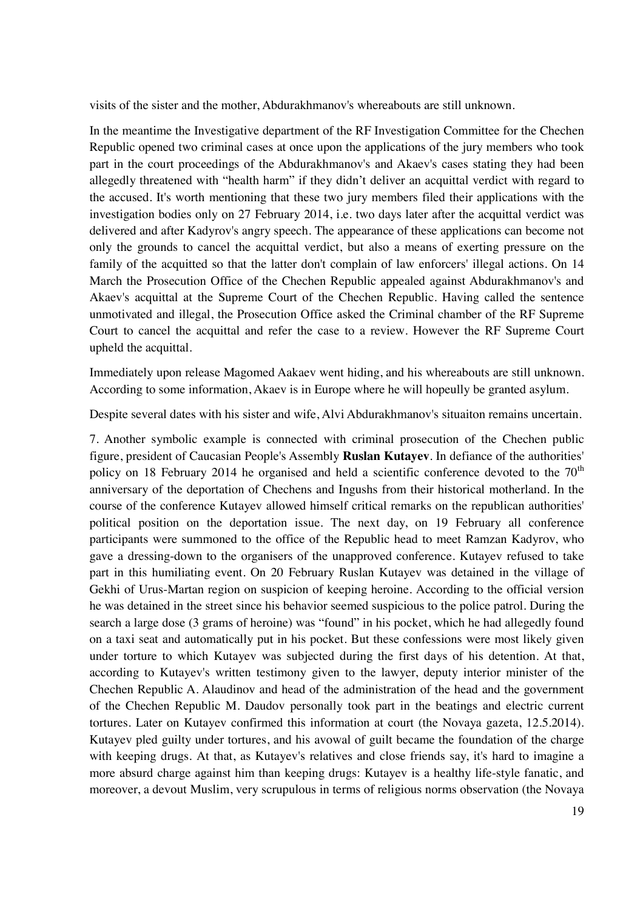visits of the sister and the mother, Abdurakhmanov's whereabouts are still unknown.

In the meantime the Investigative department of the RF Investigation Committee for the Chechen Republic opened two criminal cases at once upon the applications of the jury members who took part in the court proceedings of the Abdurakhmanov's and Akaev's cases stating they had been allegedly threatened with "health harm" if they didn't deliver an acquittal verdict with regard to the accused. It's worth mentioning that these two jury members filed their applications with the investigation bodies only on 27 February 2014, i.e. two days later after the acquittal verdict was delivered and after Kadyrov's angry speech. The appearance of these applications can become not only the grounds to cancel the acquittal verdict, but also a means of exerting pressure on the family of the acquitted so that the latter don't complain of law enforcers' illegal actions. On 14 March the Prosecution Office of the Chechen Republic appealed against Abdurakhmanov's and Akaev's acquittal at the Supreme Court of the Chechen Republic. Having called the sentence unmotivated and illegal, the Prosecution Office asked the Criminal chamber of the RF Supreme Court to cancel the acquittal and refer the case to a review. However the RF Supreme Court upheld the acquittal.

Immediately upon release Magomed Aakaev went hiding, and his whereabouts are still unknown. According to some information, Akaev is in Europe where he will hopeully be granted asylum.

Despite several dates with his sister and wife, Alvi Abdurakhmanov's situaiton remains uncertain.

7. Another symbolic example is connected with criminal prosecution of the Chechen public figure, president of Caucasian People's Assembly **Ruslan Kutayev**. In defiance of the authorities' policy on 18 February 2014 he organised and held a scientific conference devoted to the  $70<sup>th</sup>$ anniversary of the deportation of Chechens and Ingushs from their historical motherland. In the course of the conference Kutayev allowed himself critical remarks on the republican authorities' political position on the deportation issue. The next day, on 19 February all conference participants were summoned to the office of the Republic head to meet Ramzan Kadyrov, who gave a dressing-down to the organisers of the unapproved conference. Kutayev refused to take part in this humiliating event. On 20 February Ruslan Kutayev was detained in the village of Gekhi of Urus-Martan region on suspicion of keeping heroine. According to the official version he was detained in the street since his behavior seemed suspicious to the police patrol. During the search a large dose (3 grams of heroine) was "found" in his pocket, which he had allegedly found on a taxi seat and automatically put in his pocket. But these confessions were most likely given under torture to which Kutayev was subjected during the first days of his detention. At that, according to Kutayev's written testimony given to the lawyer, deputy interior minister of the Chechen Republic A. Alaudinov and head of the administration of the head and the government of the Chechen Republic M. Daudov personally took part in the beatings and electric current tortures. Later on Kutayev confirmed this information at court (the Novaya gazeta, 12.5.2014). Kutayev pled guilty under tortures, and his avowal of guilt became the foundation of the charge with keeping drugs. At that, as Kutayev's relatives and close friends say, it's hard to imagine a more absurd charge against him than keeping drugs: Kutayev is a healthy life-style fanatic, and moreover, a devout Muslim, very scrupulous in terms of religious norms observation (the Novaya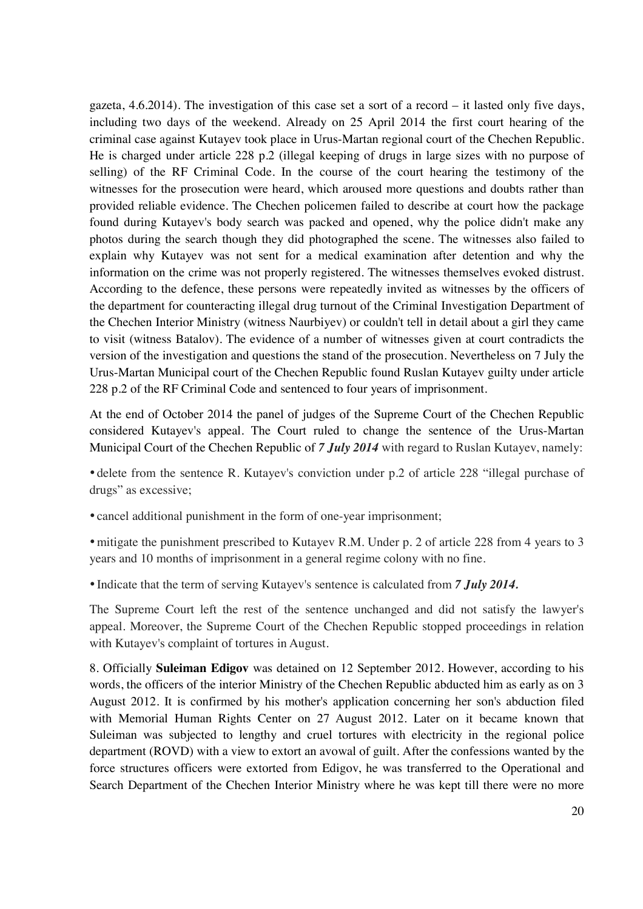gazeta, 4.6.2014). The investigation of this case set a sort of a record – it lasted only five days, including two days of the weekend. Already on 25 April 2014 the first court hearing of the criminal case against Kutayev took place in Urus-Martan regional court of the Chechen Republic. He is charged under article 228 p.2 (illegal keeping of drugs in large sizes with no purpose of selling) of the RF Criminal Code. In the course of the court hearing the testimony of the witnesses for the prosecution were heard, which aroused more questions and doubts rather than provided reliable evidence. The Chechen policemen failed to describe at court how the package found during Kutayev's body search was packed and opened, why the police didn't make any photos during the search though they did photographed the scene. The witnesses also failed to explain why Kutayev was not sent for a medical examination after detention and why the information on the crime was not properly registered. The witnesses themselves evoked distrust. According to the defence, these persons were repeatedly invited as witnesses by the officers of the department for counteracting illegal drug turnout of the Criminal Investigation Department of the Chechen Interior Ministry (witness Naurbiyev) or couldn't tell in detail about a girl they came to visit (witness Batalov). The evidence of a number of witnesses given at court contradicts the version of the investigation and questions the stand of the prosecution. Nevertheless on 7 July the Urus-Martan Municipal court of the Chechen Republic found Ruslan Kutayev guilty under article 228 p.2 of the RF Criminal Code and sentenced to four years of imprisonment.

At the end of October 2014 the panel of judges of the Supreme Court of the Chechen Republic considered Kutayev's appeal. The Court ruled to change the sentence of the Urus-Martan Municipal Court of the Chechen Republic of *7 July 2014* with regard to Ruslan Kutayev, namely:

• delete from the sentence R. Kutayev's conviction under p.2 of article 228 "illegal purchase of drugs" as excessive;

• cancel additional punishment in the form of one-year imprisonment;

• mitigate the punishment prescribed to Kutayev R.M. Under p. 2 of article 228 from 4 years to 3 years and 10 months of imprisonment in a general regime colony with no fine.

• Indicate that the term of serving Kutayev's sentence is calculated from *7 July 2014.*

The Supreme Court left the rest of the sentence unchanged and did not satisfy the lawyer's appeal. Moreover, the Supreme Court of the Chechen Republic stopped proceedings in relation with Kutayev's complaint of tortures in August.

8. Officially **Suleiman Edigov** was detained on 12 September 2012. However, according to his words, the officers of the interior Ministry of the Chechen Republic abducted him as early as on 3 August 2012. It is confirmed by his mother's application concerning her son's abduction filed with Memorial Human Rights Center on 27 August 2012. Later on it became known that Suleiman was subjected to lengthy and cruel tortures with electricity in the regional police department (ROVD) with a view to extort an avowal of guilt. After the confessions wanted by the force structures officers were extorted from Edigov, he was transferred to the Operational and Search Department of the Chechen Interior Ministry where he was kept till there were no more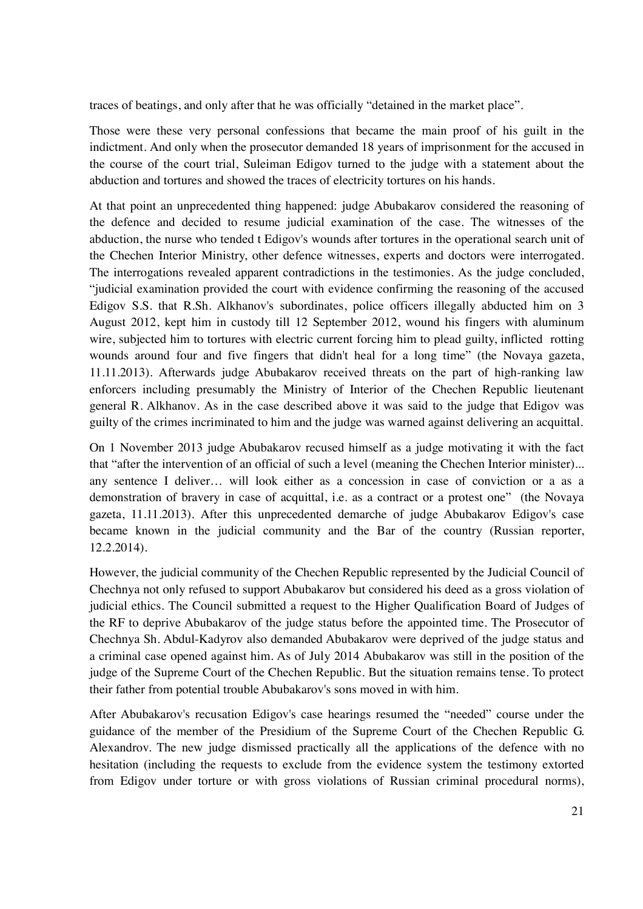traces of beatings, and only after that he was officially "detained in the market place".

Those were these very personal confessions that became the main proof of his guilt in the indictment. And only when the prosecutor demanded 18 years of imprisonment for the accused in the course of the court trial, Suleiman Edigov turned to the judge with a statement about the abduction and tortures and showed the traces of electricity tortures on his hands.

At that point an unprecedented thing happened: judge Abubakarov considered the reasoning of the defence and decided to resume judicial examination of the case. The witnesses of the abduction, the nurse who tended t Edigov's wounds after tortures in the operational search unit of the Chechen Interior Ministry, other defence witnesses, experts and doctors were interrogated. The interrogations revealed apparent contradictions in the testimonies. As the judge concluded, "judicial examination provided the court with evidence confirming the reasoning of the accused Edigov S.S. that R.Sh. Alkhanov's subordinates, police officers illegally abducted him on 3 August 2012, kept him in custody till 12 September 2012, wound his fingers with aluminum wire, subjected him to tortures with electric current forcing him to plead guilty, inflicted rotting wounds around four and five fingers that didn't heal for a long time" (the Novaya gazeta, 11.11.2013). Afterwards judge Abubakarov received threats on the part of high-ranking law enforcers including presumably the Ministry of Interior of the Chechen Republic lieutenant general R. Alkhanov. As in the case described above it was said to the judge that Edigov was guilty of the crimes incriminated to him and the judge was warned against delivering an acquittal.

On 1 November 2013 judge Abubakarov recused himself as a judge motivating it with the fact that "after the intervention of an official of such a level (meaning the Chechen Interior minister)... any sentence I deliver… will look either as a concession in case of conviction or a as a demonstration of bravery in case of acquittal, i.e. as a contract or a protest one" (the Novaya gazeta, 11.11.2013). After this unprecedented demarche of judge Abubakarov Edigov's case became known in the judicial community and the Bar of the country (Russian reporter, 12.2.2014).

However, the judicial community of the Chechen Republic represented by the Judicial Council of Chechnya not only refused to support Abubakarov but considered his deed as a gross violation of judicial ethics. The Council submitted a request to the Higher Qualification Board of Judges of the RF to deprive Abubakarov of the judge status before the appointed time. The Prosecutor of Chechnya Sh. Abdul-Kadyrov also demanded Abubakarov were deprived of the judge status and a criminal case opened against him. As of July 2014 Abubakarov was still in the position of the judge of the Supreme Court of the Chechen Republic. But the situation remains tense. To protect their father from potential trouble Abubakarov's sons moved in with him.

After Abubakarov's recusation Edigov's case hearings resumed the "needed" course under the guidance of the member of the Presidium of the Supreme Court of the Chechen Republic G. Alexandrov. The new judge dismissed practically all the applications of the defence with no hesitation (including the requests to exclude from the evidence system the testimony extorted from Edigov under torture or with gross violations of Russian criminal procedural norms),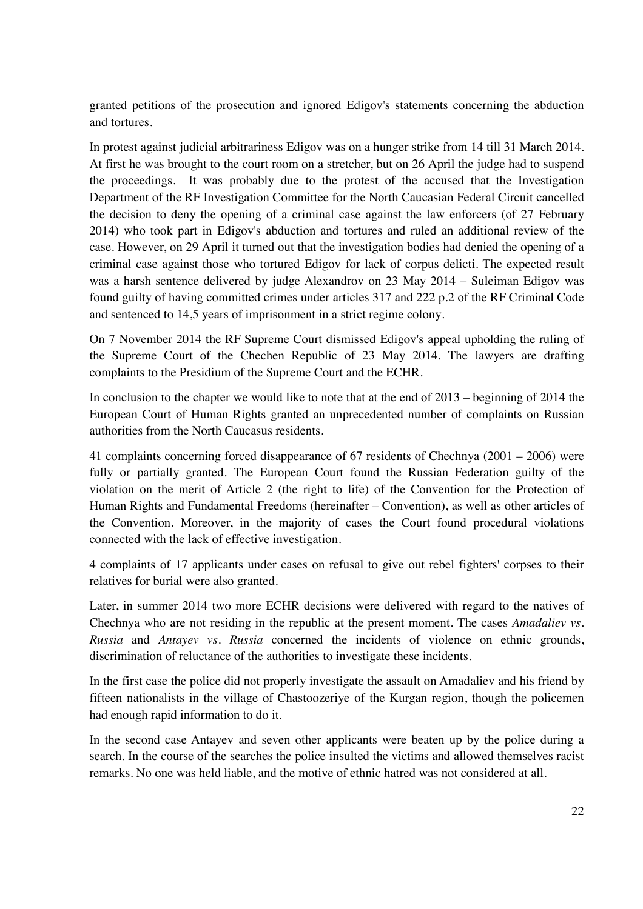granted petitions of the prosecution and ignored Edigov's statements concerning the abduction and tortures.

In protest against judicial arbitrariness Edigov was on a hunger strike from 14 till 31 March 2014. At first he was brought to the court room on a stretcher, but on 26 April the judge had to suspend the proceedings. It was probably due to the protest of the accused that the Investigation Department of the RF Investigation Committee for the North Caucasian Federal Circuit cancelled the decision to deny the opening of a criminal case against the law enforcers (of 27 February 2014) who took part in Edigov's abduction and tortures and ruled an additional review of the case. However, on 29 April it turned out that the investigation bodies had denied the opening of a criminal case against those who tortured Edigov for lack of corpus delicti. The expected result was a harsh sentence delivered by judge Alexandrov on 23 May 2014 – Suleiman Edigov was found guilty of having committed crimes under articles 317 and 222 p.2 of the RF Criminal Code and sentenced to 14,5 years of imprisonment in a strict regime colony.

On 7 November 2014 the RF Supreme Court dismissed Edigov's appeal upholding the ruling of the Supreme Court of the Chechen Republic of 23 May 2014. The lawyers are drafting complaints to the Presidium of the Supreme Court and the ECHR.

In conclusion to the chapter we would like to note that at the end of 2013 – beginning of 2014 the European Court of Human Rights granted an unprecedented number of complaints on Russian authorities from the North Caucasus residents.

41 complaints concerning forced disappearance of 67 residents of Chechnya (2001 – 2006) were fully or partially granted. The European Court found the Russian Federation guilty of the violation on the merit of Article 2 (the right to life) of the Convention for the Protection of Human Rights and Fundamental Freedoms (hereinafter – Convention), as well as other articles of the Convention. Moreover, in the majority of cases the Court found procedural violations connected with the lack of effective investigation.

4 complaints of 17 applicants under cases on refusal to give out rebel fighters' corpses to their relatives for burial were also granted.

Later, in summer 2014 two more ECHR decisions were delivered with regard to the natives of Chechnya who are not residing in the republic at the present moment. The cases *Amadaliev vs. Russia* and *Antayev vs. Russia* concerned the incidents of violence on ethnic grounds, discrimination of reluctance of the authorities to investigate these incidents.

In the first case the police did not properly investigate the assault on Amadaliev and his friend by fifteen nationalists in the village of Chastoozeriye of the Kurgan region, though the policemen had enough rapid information to do it.

In the second case Antayev and seven other applicants were beaten up by the police during a search. In the course of the searches the police insulted the victims and allowed themselves racist remarks. No one was held liable, and the motive of ethnic hatred was not considered at all.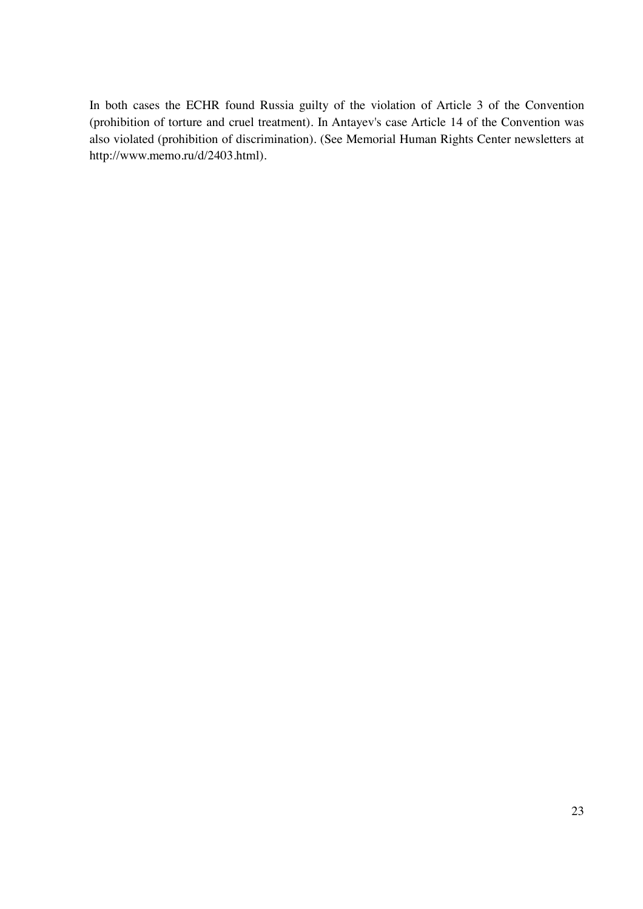In both cases the ECHR found Russia guilty of the violation of Article 3 of the Convention (prohibition of torture and cruel treatment). In Antayev's case Article 14 of the Convention was also violated (prohibition of discrimination). (See Memorial Human Rights Center newsletters at http://www.memo.ru/d/2403.html).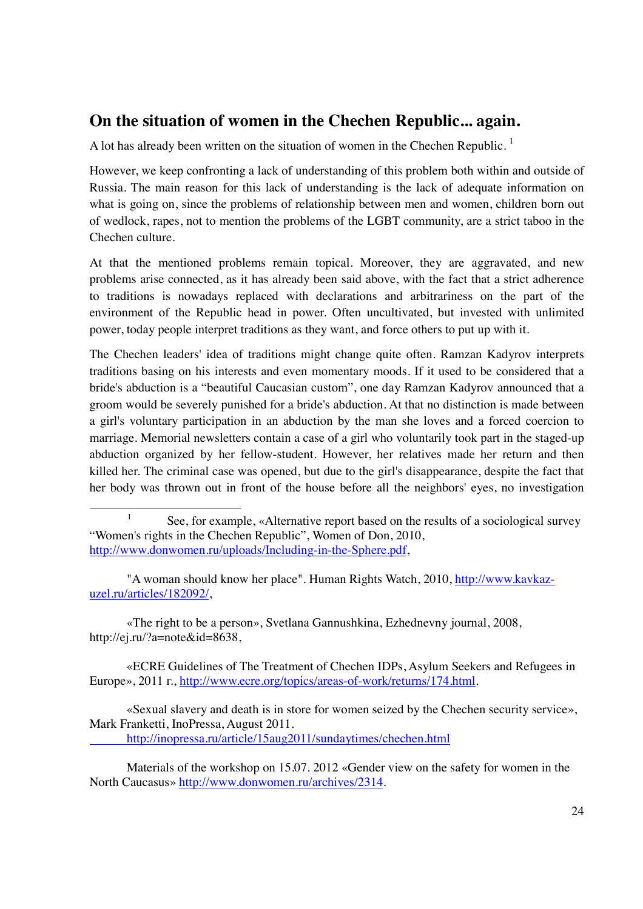## **On the situation of women in the Chechen Republic... again.**

A lot has already been written on the situation of women in the Chechen Republic.<sup>1</sup>

However, we keep confronting a lack of understanding of this problem both within and outside of Russia. The main reason for this lack of understanding is the lack of adequate information on what is going on, since the problems of relationship between men and women, children born out of wedlock, rapes, not to mention the problems of the LGBT community, are a strict taboo in the Chechen culture.

At that the mentioned problems remain topical. Moreover, they are aggravated, and new problems arise connected, as it has already been said above, with the fact that a strict adherence to traditions is nowadays replaced with declarations and arbitrariness on the part of the environment of the Republic head in power. Often uncultivated, but invested with unlimited power, today people interpret traditions as they want, and force others to put up with it.

The Chechen leaders' idea of traditions might change quite often. Ramzan Kadyrov interprets traditions basing on his interests and even momentary moods. If it used to be considered that a bride's abduction is a "beautiful Caucasian custom", one day Ramzan Kadyrov announced that a groom would be severely punished for a bride's abduction. At that no distinction is made between a girl's voluntary participation in an abduction by the man she loves and a forced coercion to marriage. Memorial newsletters contain a case of a girl who voluntarily took part in the staged-up abduction organized by her fellow-student. However, her relatives made her return and then killed her. The criminal case was opened, but due to the girl's disappearance, despite the fact that her body was thrown out in front of the house before all the neighbors' eyes, no investigation

 «The right to be a person», Svetlana Gannushkina, Ezhednevny journal, 2008, http://ej.ru/?a=note&id=8638,

 «ECRE Guidelines of The Treatment of Chechen IDPs, Asylum Seekers and Refugees in Europe», 2011 г., http://www.ecre.org/topics/areas-of-work/returns/174.html.

 «Sexual slavery and death is in store for women seized by the Chechen security service», Mark Franketti, InoPressa, August 2011.

http://inopressa.ru/article/15aug2011/sundaytimes/chechen.html

 Materials of the workshop on 15.07. 2012 «Gender view on the safety for women in the North Caucasus» http://www.donwomen.ru/archives/2314.

 $\begin{array}{c}\n\hline\n\hline\n\hline\n\hline\n\hline\n\end{array}$  $See$ , for example, «Alternative report based on the results of a sociological survey "Women's rights in the Chechen Republic", Women of Don, 2010, http://www.donwomen.ru/uploads/Including-in-the-Sphere.pdf,

 <sup>&</sup>quot;A woman should know her place". Human Rights Watch, 2010, http://www.kavkazuzel.ru/articles/182092/,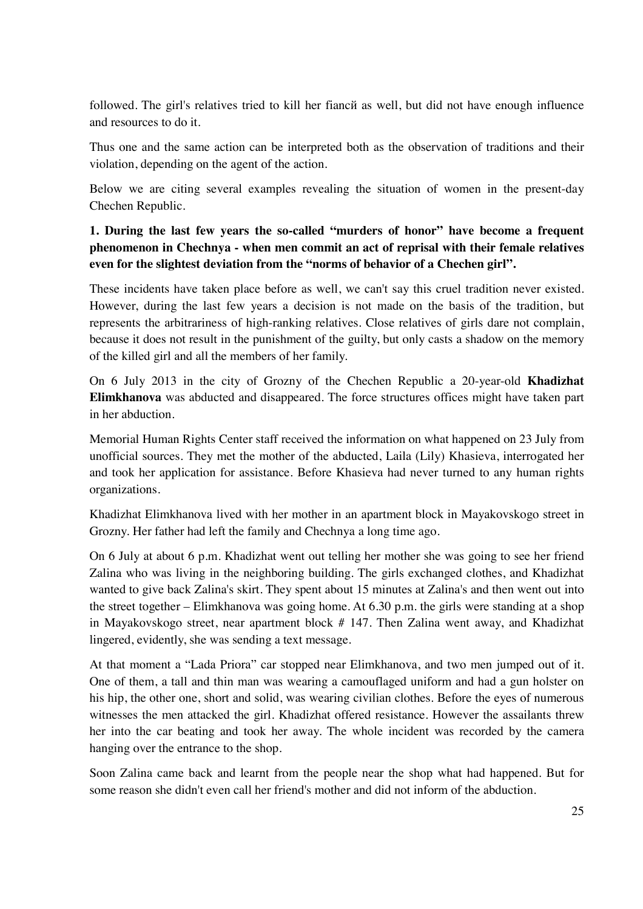followed. The girl's relatives tried to kill her fiancй as well, but did not have enough influence and resources to do it.

Thus one and the same action can be interpreted both as the observation of traditions and their violation, depending on the agent of the action.

Below we are citing several examples revealing the situation of women in the present-day Chechen Republic.

**1. During the last few years the so-called "murders of honor" have become a frequent phenomenon in Chechnya - when men commit an act of reprisal with their female relatives even for the slightest deviation from the "norms of behavior of a Chechen girl".** 

These incidents have taken place before as well, we can't say this cruel tradition never existed. However, during the last few years a decision is not made on the basis of the tradition, but represents the arbitrariness of high-ranking relatives. Close relatives of girls dare not complain, because it does not result in the punishment of the guilty, but only casts a shadow on the memory of the killed girl and all the members of her family.

On 6 July 2013 in the city of Grozny of the Chechen Republic a 20-year-old **Khadizhat Elimkhanova** was abducted and disappeared. The force structures offices might have taken part in her abduction.

Memorial Human Rights Center staff received the information on what happened on 23 July from unofficial sources. They met the mother of the abducted, Laila (Lily) Khasieva, interrogated her and took her application for assistance. Before Khasieva had never turned to any human rights organizations.

Khadizhat Elimkhanova lived with her mother in an apartment block in Mayakovskogo street in Grozny. Her father had left the family and Chechnya a long time ago.

On 6 July at about 6 p.m. Khadizhat went out telling her mother she was going to see her friend Zalina who was living in the neighboring building. The girls exchanged clothes, and Khadizhat wanted to give back Zalina's skirt. They spent about 15 minutes at Zalina's and then went out into the street together – Elimkhanova was going home. At 6.30 p.m. the girls were standing at a shop in Mayakovskogo street, near apartment block # 147. Then Zalina went away, and Khadizhat lingered, evidently, she was sending a text message.

At that moment a "Lada Priora" car stopped near Elimkhanova, and two men jumped out of it. One of them, a tall and thin man was wearing a camouflaged uniform and had a gun holster on his hip, the other one, short and solid, was wearing civilian clothes. Before the eyes of numerous witnesses the men attacked the girl. Khadizhat offered resistance. However the assailants threw her into the car beating and took her away. The whole incident was recorded by the camera hanging over the entrance to the shop.

Soon Zalina came back and learnt from the people near the shop what had happened. But for some reason she didn't even call her friend's mother and did not inform of the abduction.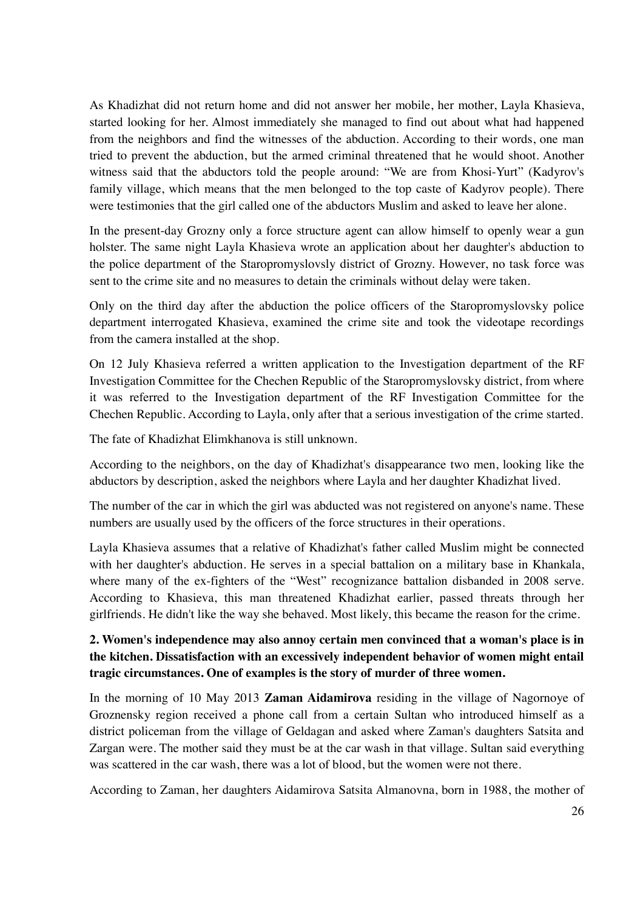As Khadizhat did not return home and did not answer her mobile, her mother, Layla Khasieva, started looking for her. Almost immediately she managed to find out about what had happened from the neighbors and find the witnesses of the abduction. According to their words, one man tried to prevent the abduction, but the armed criminal threatened that he would shoot. Another witness said that the abductors told the people around: "We are from Khosi-Yurt" (Kadyrov's family village, which means that the men belonged to the top caste of Kadyrov people). There were testimonies that the girl called one of the abductors Muslim and asked to leave her alone.

In the present-day Grozny only a force structure agent can allow himself to openly wear a gun holster. The same night Layla Khasieva wrote an application about her daughter's abduction to the police department of the Staropromyslovsly district of Grozny. However, no task force was sent to the crime site and no measures to detain the criminals without delay were taken.

Only on the third day after the abduction the police officers of the Staropromyslovsky police department interrogated Khasieva, examined the crime site and took the videotape recordings from the camera installed at the shop.

On 12 July Khasieva referred a written application to the Investigation department of the RF Investigation Committee for the Chechen Republic of the Staropromyslovsky district, from where it was referred to the Investigation department of the RF Investigation Committee for the Chechen Republic. According to Layla, only after that a serious investigation of the crime started.

The fate of Khadizhat Elimkhanova is still unknown.

According to the neighbors, on the day of Khadizhat's disappearance two men, looking like the abductors by description, asked the neighbors where Layla and her daughter Khadizhat lived.

The number of the car in which the girl was abducted was not registered on anyone's name. These numbers are usually used by the officers of the force structures in their operations.

Layla Khasieva assumes that a relative of Khadizhat's father called Muslim might be connected with her daughter's abduction. He serves in a special battalion on a military base in Khankala, where many of the ex-fighters of the "West" recognizance battalion disbanded in 2008 serve. According to Khasieva, this man threatened Khadizhat earlier, passed threats through her girlfriends. He didn't like the way she behaved. Most likely, this became the reason for the crime.

#### **2. Women's independence may also annoy certain men convinced that a woman's place is in the kitchen. Dissatisfaction with an excessively independent behavior of women might entail tragic circumstances. One of examples is the story of murder of three women.**

In the morning of 10 May 2013 **Zaman Aidamirova** residing in the village of Nagornoye of Groznensky region received a phone call from a certain Sultan who introduced himself as a district policeman from the village of Geldagan and asked where Zaman's daughters Satsita and Zargan were. The mother said they must be at the car wash in that village. Sultan said everything was scattered in the car wash, there was a lot of blood, but the women were not there.

According to Zaman, her daughters Aidamirova Satsita Almanovna, born in 1988, the mother of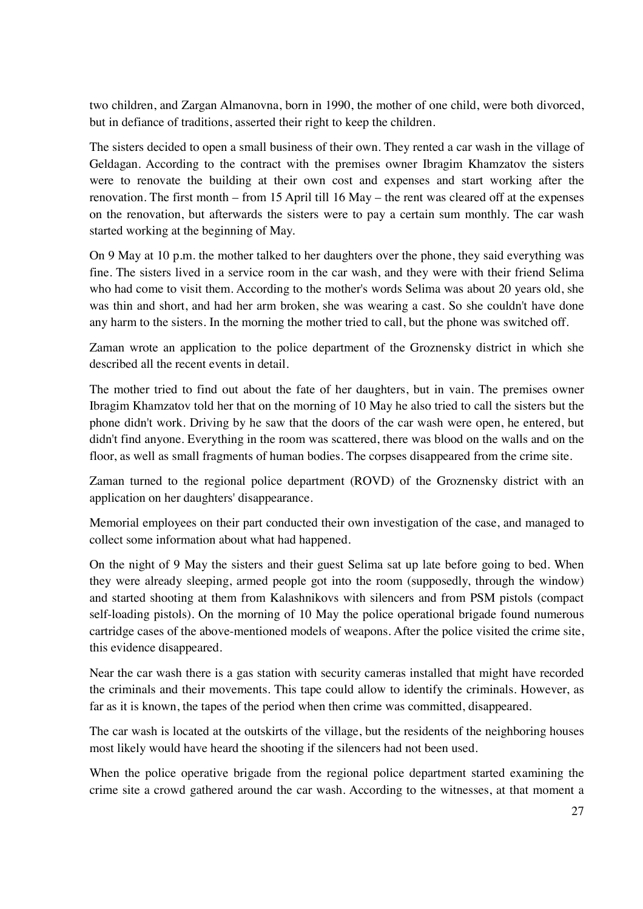two children, and Zargan Almanovna, born in 1990, the mother of one child, were both divorced, but in defiance of traditions, asserted their right to keep the children.

The sisters decided to open a small business of their own. They rented a car wash in the village of Geldagan. According to the contract with the premises owner Ibragim Khamzatov the sisters were to renovate the building at their own cost and expenses and start working after the renovation. The first month – from 15 April till 16 May – the rent was cleared off at the expenses on the renovation, but afterwards the sisters were to pay a certain sum monthly. The car wash started working at the beginning of May.

On 9 May at 10 p.m. the mother talked to her daughters over the phone, they said everything was fine. The sisters lived in a service room in the car wash, and they were with their friend Selima who had come to visit them. According to the mother's words Selima was about 20 years old, she was thin and short, and had her arm broken, she was wearing a cast. So she couldn't have done any harm to the sisters. In the morning the mother tried to call, but the phone was switched off.

Zaman wrote an application to the police department of the Groznensky district in which she described all the recent events in detail.

The mother tried to find out about the fate of her daughters, but in vain. The premises owner Ibragim Khamzatov told her that on the morning of 10 May he also tried to call the sisters but the phone didn't work. Driving by he saw that the doors of the car wash were open, he entered, but didn't find anyone. Everything in the room was scattered, there was blood on the walls and on the floor, as well as small fragments of human bodies. The corpses disappeared from the crime site.

Zaman turned to the regional police department (ROVD) of the Groznensky district with an application on her daughters' disappearance.

Memorial employees on their part conducted their own investigation of the case, and managed to collect some information about what had happened.

On the night of 9 May the sisters and their guest Selima sat up late before going to bed. When they were already sleeping, armed people got into the room (supposedly, through the window) and started shooting at them from Kalashnikovs with silencers and from PSM pistols (compact self-loading pistols). On the morning of 10 May the police operational brigade found numerous cartridge cases of the above-mentioned models of weapons. After the police visited the crime site, this evidence disappeared.

Near the car wash there is a gas station with security cameras installed that might have recorded the criminals and their movements. This tape could allow to identify the criminals. However, as far as it is known, the tapes of the period when then crime was committed, disappeared.

The car wash is located at the outskirts of the village, but the residents of the neighboring houses most likely would have heard the shooting if the silencers had not been used.

When the police operative brigade from the regional police department started examining the crime site a crowd gathered around the car wash. According to the witnesses, at that moment a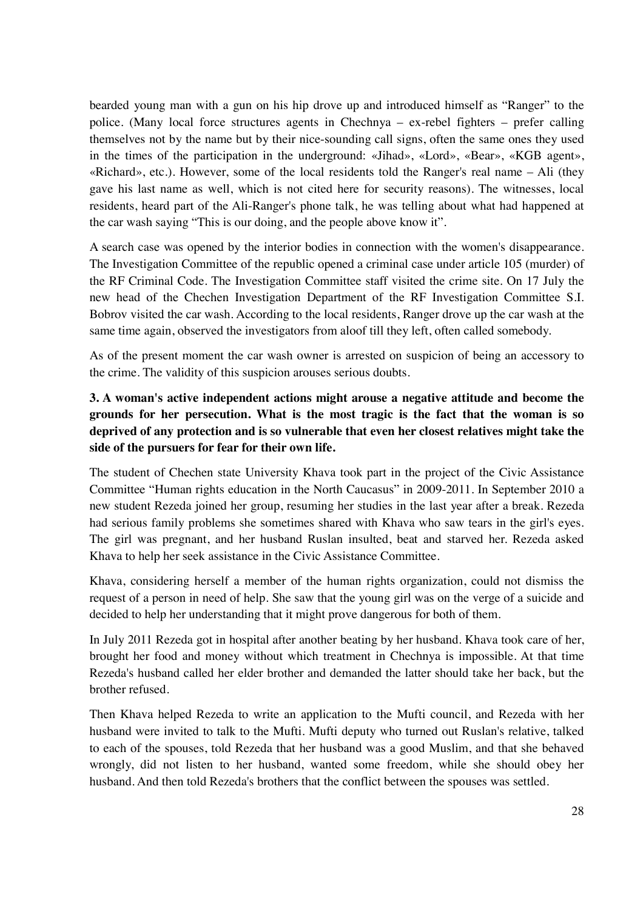bearded young man with a gun on his hip drove up and introduced himself as "Ranger" to the police. (Many local force structures agents in Chechnya – ex-rebel fighters – prefer calling themselves not by the name but by their nice-sounding call signs, often the same ones they used in the times of the participation in the underground: «Jihad», «Lord», «Bear», «KGB agent», «Richard», etc.). However, some of the local residents told the Ranger's real name – Ali (they gave his last name as well, which is not cited here for security reasons). The witnesses, local residents, heard part of the Ali-Ranger's phone talk, he was telling about what had happened at the car wash saying "This is our doing, and the people above know it".

A search case was opened by the interior bodies in connection with the women's disappearance. The Investigation Committee of the republic opened a criminal case under article 105 (murder) of the RF Criminal Code. The Investigation Committee staff visited the crime site. On 17 July the new head of the Chechen Investigation Department of the RF Investigation Committee S.I. Bobrov visited the car wash. According to the local residents, Ranger drove up the car wash at the same time again, observed the investigators from aloof till they left, often called somebody.

As of the present moment the car wash owner is arrested on suspicion of being an accessory to the crime. The validity of this suspicion arouses serious doubts.

### **3. A woman's active independent actions might arouse a negative attitude and become the grounds for her persecution. What is the most tragic is the fact that the woman is so deprived of any protection and is so vulnerable that even her closest relatives might take the side of the pursuers for fear for their own life.**

The student of Chechen state University Khava took part in the project of the Civic Assistance Committee "Human rights education in the North Caucasus" in 2009-2011. In September 2010 a new student Rezeda joined her group, resuming her studies in the last year after a break. Rezeda had serious family problems she sometimes shared with Khava who saw tears in the girl's eyes. The girl was pregnant, and her husband Ruslan insulted, beat and starved her. Rezeda asked Khava to help her seek assistance in the Civic Assistance Committee.

Khava, considering herself a member of the human rights organization, could not dismiss the request of a person in need of help. She saw that the young girl was on the verge of a suicide and decided to help her understanding that it might prove dangerous for both of them.

In July 2011 Rezeda got in hospital after another beating by her husband. Khava took care of her, brought her food and money without which treatment in Chechnya is impossible. At that time Rezeda's husband called her elder brother and demanded the latter should take her back, but the brother refused.

Then Khava helped Rezeda to write an application to the Mufti council, and Rezeda with her husband were invited to talk to the Mufti. Mufti deputy who turned out Ruslan's relative, talked to each of the spouses, told Rezeda that her husband was a good Muslim, and that she behaved wrongly, did not listen to her husband, wanted some freedom, while she should obey her husband. And then told Rezeda's brothers that the conflict between the spouses was settled.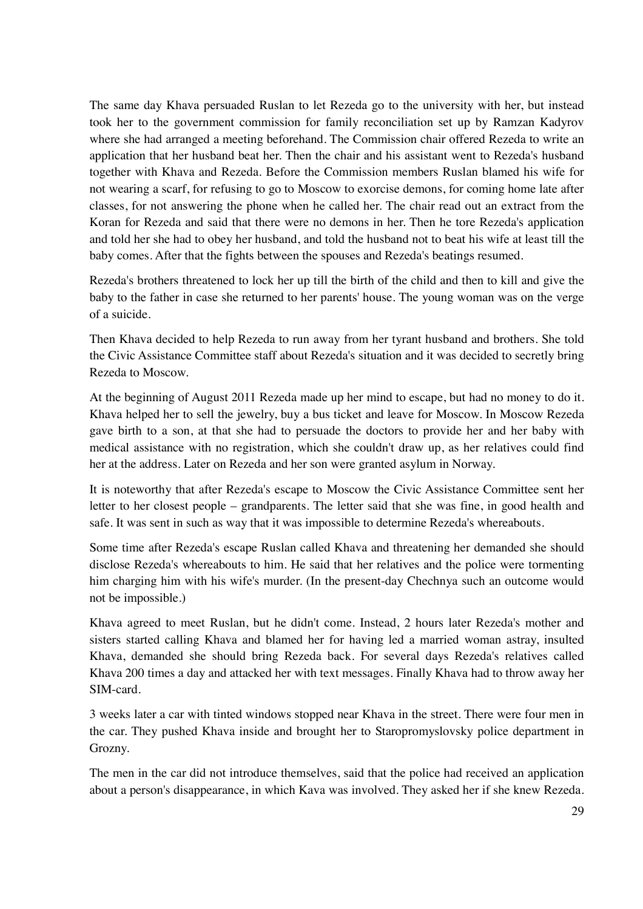The same day Khava persuaded Ruslan to let Rezeda go to the university with her, but instead took her to the government commission for family reconciliation set up by Ramzan Kadyrov where she had arranged a meeting beforehand. The Commission chair offered Rezeda to write an application that her husband beat her. Then the chair and his assistant went to Rezeda's husband together with Khava and Rezeda. Before the Commission members Ruslan blamed his wife for not wearing a scarf, for refusing to go to Moscow to exorcise demons, for coming home late after classes, for not answering the phone when he called her. The chair read out an extract from the Koran for Rezeda and said that there were no demons in her. Then he tore Rezeda's application and told her she had to obey her husband, and told the husband not to beat his wife at least till the baby comes. After that the fights between the spouses and Rezeda's beatings resumed.

Rezeda's brothers threatened to lock her up till the birth of the child and then to kill and give the baby to the father in case she returned to her parents' house. The young woman was on the verge of a suicide.

Then Khava decided to help Rezeda to run away from her tyrant husband and brothers. She told the Civic Assistance Committee staff about Rezeda's situation and it was decided to secretly bring Rezeda to Moscow.

At the beginning of August 2011 Rezeda made up her mind to escape, but had no money to do it. Khava helped her to sell the jewelry, buy a bus ticket and leave for Moscow. In Moscow Rezeda gave birth to a son, at that she had to persuade the doctors to provide her and her baby with medical assistance with no registration, which she couldn't draw up, as her relatives could find her at the address. Later on Rezeda and her son were granted asylum in Norway.

It is noteworthy that after Rezeda's escape to Moscow the Civic Assistance Committee sent her letter to her closest people – grandparents. The letter said that she was fine, in good health and safe. It was sent in such as way that it was impossible to determine Rezeda's whereabouts.

Some time after Rezeda's escape Ruslan called Khava and threatening her demanded she should disclose Rezeda's whereabouts to him. He said that her relatives and the police were tormenting him charging him with his wife's murder. (In the present-day Chechnya such an outcome would not be impossible.)

Khava agreed to meet Ruslan, but he didn't come. Instead, 2 hours later Rezeda's mother and sisters started calling Khava and blamed her for having led a married woman astray, insulted Khava, demanded she should bring Rezeda back. For several days Rezeda's relatives called Khava 200 times a day and attacked her with text messages. Finally Khava had to throw away her SIM-card.

3 weeks later a car with tinted windows stopped near Khava in the street. There were four men in the car. They pushed Khava inside and brought her to Staropromyslovsky police department in Grozny.

The men in the car did not introduce themselves, said that the police had received an application about a person's disappearance, in which Kava was involved. They asked her if she knew Rezeda.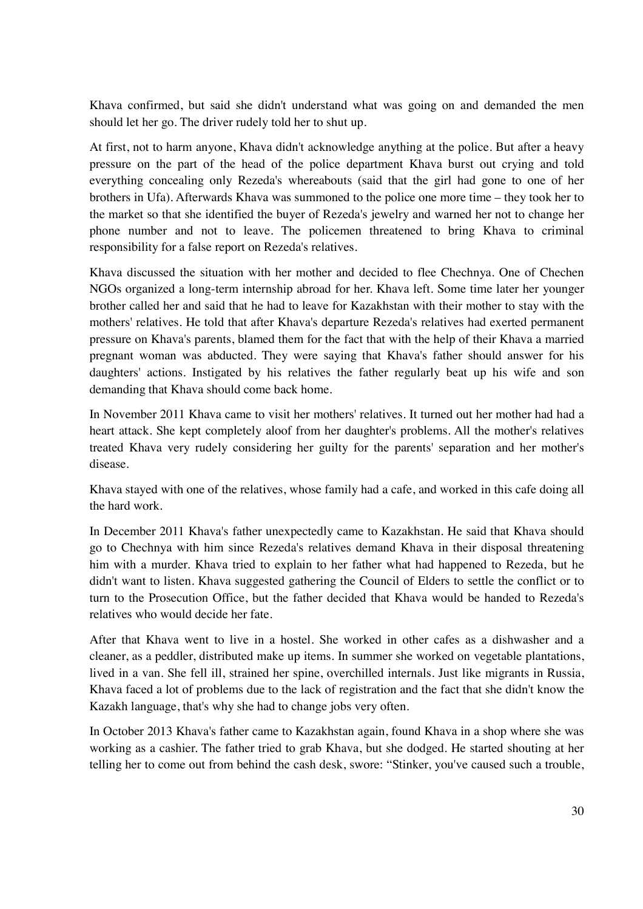Khava confirmed, but said she didn't understand what was going on and demanded the men should let her go. The driver rudely told her to shut up.

At first, not to harm anyone, Khava didn't acknowledge anything at the police. But after a heavy pressure on the part of the head of the police department Khava burst out crying and told everything concealing only Rezeda's whereabouts (said that the girl had gone to one of her brothers in Ufa). Afterwards Khava was summoned to the police one more time – they took her to the market so that she identified the buyer of Rezeda's jewelry and warned her not to change her phone number and not to leave. The policemen threatened to bring Khava to criminal responsibility for a false report on Rezeda's relatives.

Khava discussed the situation with her mother and decided to flee Chechnya. One of Chechen NGOs organized a long-term internship abroad for her. Khava left. Some time later her younger brother called her and said that he had to leave for Kazakhstan with their mother to stay with the mothers' relatives. He told that after Khava's departure Rezeda's relatives had exerted permanent pressure on Khava's parents, blamed them for the fact that with the help of their Khava a married pregnant woman was abducted. They were saying that Khava's father should answer for his daughters' actions. Instigated by his relatives the father regularly beat up his wife and son demanding that Khava should come back home.

In November 2011 Khava came to visit her mothers' relatives. It turned out her mother had had a heart attack. She kept completely aloof from her daughter's problems. All the mother's relatives treated Khava very rudely considering her guilty for the parents' separation and her mother's disease.

Khava stayed with one of the relatives, whose family had a cafe, and worked in this cafe doing all the hard work.

In December 2011 Khava's father unexpectedly came to Kazakhstan. He said that Khava should go to Chechnya with him since Rezeda's relatives demand Khava in their disposal threatening him with a murder. Khava tried to explain to her father what had happened to Rezeda, but he didn't want to listen. Khava suggested gathering the Council of Elders to settle the conflict or to turn to the Prosecution Office, but the father decided that Khava would be handed to Rezeda's relatives who would decide her fate.

After that Khava went to live in a hostel. She worked in other cafes as a dishwasher and a cleaner, as a peddler, distributed make up items. In summer she worked on vegetable plantations, lived in a van. She fell ill, strained her spine, overchilled internals. Just like migrants in Russia, Khava faced a lot of problems due to the lack of registration and the fact that she didn't know the Kazakh language, that's why she had to change jobs very often.

In October 2013 Khava's father came to Kazakhstan again, found Khava in a shop where she was working as a cashier. The father tried to grab Khava, but she dodged. He started shouting at her telling her to come out from behind the cash desk, swore: "Stinker, you've caused such a trouble,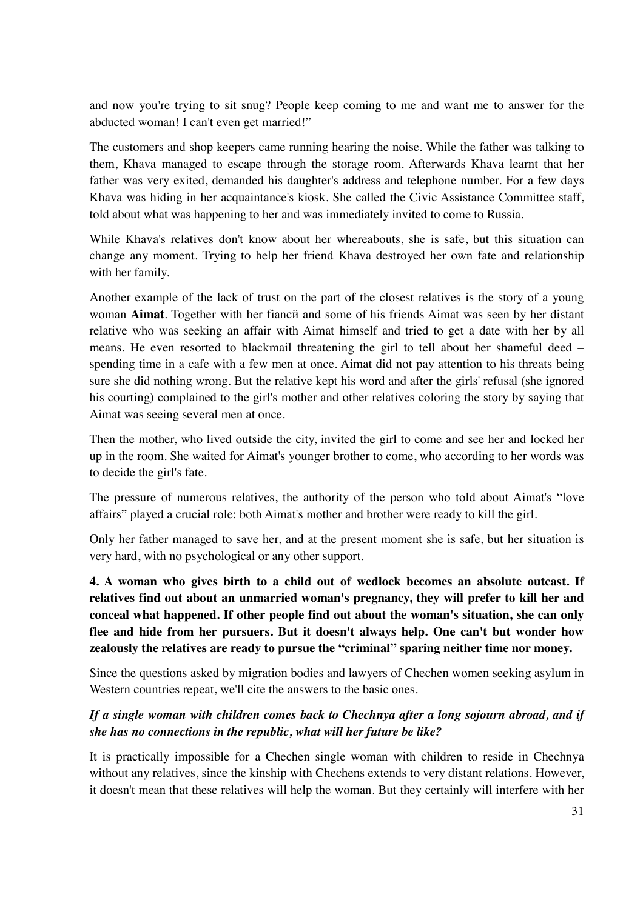and now you're trying to sit snug? People keep coming to me and want me to answer for the abducted woman! I can't even get married!"

The customers and shop keepers came running hearing the noise. While the father was talking to them, Khava managed to escape through the storage room. Afterwards Khava learnt that her father was very exited, demanded his daughter's address and telephone number. For a few days Khava was hiding in her acquaintance's kiosk. She called the Civic Assistance Committee staff, told about what was happening to her and was immediately invited to come to Russia.

While Khava's relatives don't know about her whereabouts, she is safe, but this situation can change any moment. Trying to help her friend Khava destroyed her own fate and relationship with her family.

Another example of the lack of trust on the part of the closest relatives is the story of a young woman **Aimat**. Together with her fiancй and some of his friends Aimat was seen by her distant relative who was seeking an affair with Aimat himself and tried to get a date with her by all means. He even resorted to blackmail threatening the girl to tell about her shameful deed – spending time in a cafe with a few men at once. Aimat did not pay attention to his threats being sure she did nothing wrong. But the relative kept his word and after the girls' refusal (she ignored his courting) complained to the girl's mother and other relatives coloring the story by saying that Aimat was seeing several men at once.

Then the mother, who lived outside the city, invited the girl to come and see her and locked her up in the room. She waited for Aimat's younger brother to come, who according to her words was to decide the girl's fate.

The pressure of numerous relatives, the authority of the person who told about Aimat's "love affairs" played a crucial role: both Aimat's mother and brother were ready to kill the girl.

Only her father managed to save her, and at the present moment she is safe, but her situation is very hard, with no psychological or any other support.

**4. A woman who gives birth to a child out of wedlock becomes an absolute outcast. If relatives find out about an unmarried woman's pregnancy, they will prefer to kill her and conceal what happened. If other people find out about the woman's situation, she can only flee and hide from her pursuers. But it doesn't always help. One can't but wonder how zealously the relatives are ready to pursue the "criminal" sparing neither time nor money.** 

Since the questions asked by migration bodies and lawyers of Chechen women seeking asylum in Western countries repeat, we'll cite the answers to the basic ones.

### *If a single woman with children comes back to Chechnya after a long sojourn abroad, and if she has no connections in the republic, what will her future be like?*

It is practically impossible for a Chechen single woman with children to reside in Chechnya without any relatives, since the kinship with Chechens extends to very distant relations. However, it doesn't mean that these relatives will help the woman. But they certainly will interfere with her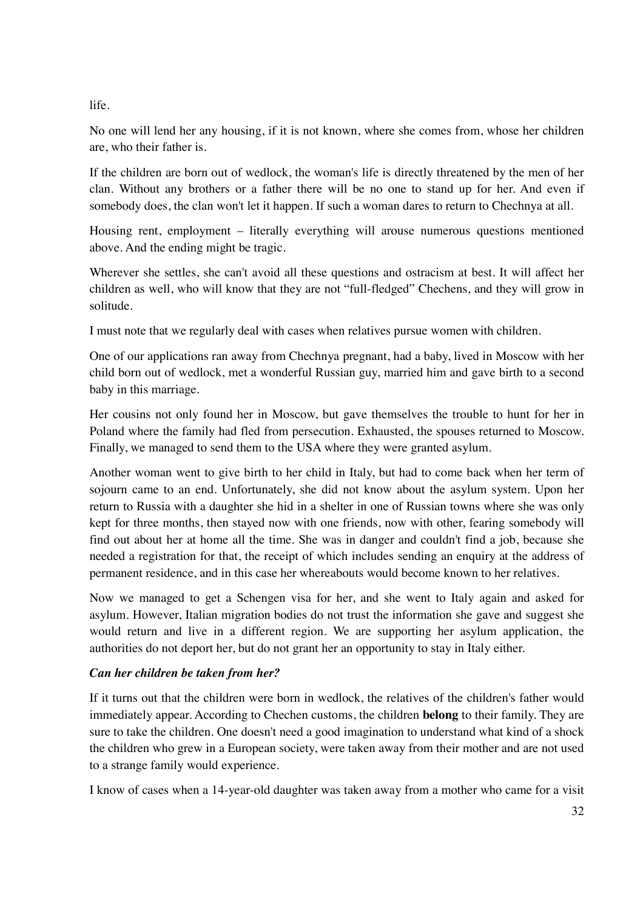life.

No one will lend her any housing, if it is not known, where she comes from, whose her children are, who their father is.

If the children are born out of wedlock, the woman's life is directly threatened by the men of her clan. Without any brothers or a father there will be no one to stand up for her. And even if somebody does, the clan won't let it happen. If such a woman dares to return to Chechnya at all.

Housing rent, employment – literally everything will arouse numerous questions mentioned above. And the ending might be tragic.

Wherever she settles, she can't avoid all these questions and ostracism at best. It will affect her children as well, who will know that they are not "full-fledged" Chechens, and they will grow in solitude.

I must note that we regularly deal with cases when relatives pursue women with children.

One of our applications ran away from Chechnya pregnant, had a baby, lived in Moscow with her child born out of wedlock, met a wonderful Russian guy, married him and gave birth to a second baby in this marriage.

Her cousins not only found her in Moscow, but gave themselves the trouble to hunt for her in Poland where the family had fled from persecution. Exhausted, the spouses returned to Moscow. Finally, we managed to send them to the USA where they were granted asylum.

Another woman went to give birth to her child in Italy, but had to come back when her term of sojourn came to an end. Unfortunately, she did not know about the asylum system. Upon her return to Russia with a daughter she hid in a shelter in one of Russian towns where she was only kept for three months, then stayed now with one friends, now with other, fearing somebody will find out about her at home all the time. She was in danger and couldn't find a job, because she needed a registration for that, the receipt of which includes sending an enquiry at the address of permanent residence, and in this case her whereabouts would become known to her relatives.

Now we managed to get a Schengen visa for her, and she went to Italy again and asked for asylum. However, Italian migration bodies do not trust the information she gave and suggest she would return and live in a different region. We are supporting her asylum application, the authorities do not deport her, but do not grant her an opportunity to stay in Italy either.

### *Can her children be taken from her?*

If it turns out that the children were born in wedlock, the relatives of the children's father would immediately appear. According to Chechen customs, the children **belong** to their family. They are sure to take the children. One doesn't need a good imagination to understand what kind of a shock the children who grew in a European society, were taken away from their mother and are not used to a strange family would experience.

I know of cases when a 14-year-old daughter was taken away from a mother who came for a visit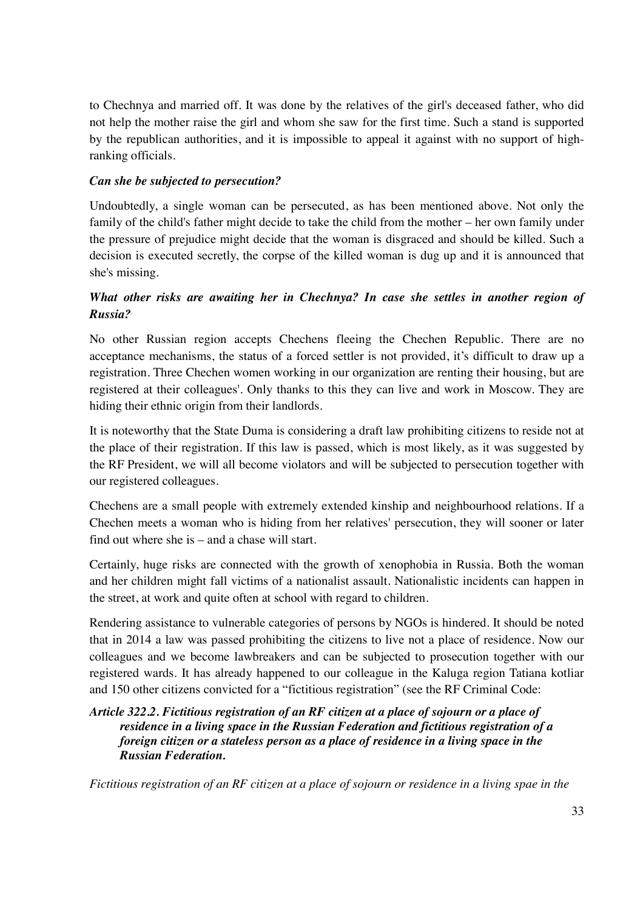to Chechnya and married off. It was done by the relatives of the girl's deceased father, who did not help the mother raise the girl and whom she saw for the first time. Such a stand is supported by the republican authorities, and it is impossible to appeal it against with no support of highranking officials.

#### *Can she be subjected to persecution?*

Undoubtedly, a single woman can be persecuted, as has been mentioned above. Not only the family of the child's father might decide to take the child from the mother – her own family under the pressure of prejudice might decide that the woman is disgraced and should be killed. Such a decision is executed secretly, the corpse of the killed woman is dug up and it is announced that she's missing.

### *What other risks are awaiting her in Chechnya? In case she settles in another region of Russia?*

No other Russian region accepts Chechens fleeing the Chechen Republic. There are no acceptance mechanisms, the status of a forced settler is not provided, it's difficult to draw up a registration. Three Chechen women working in our organization are renting their housing, but are registered at their colleagues'. Only thanks to this they can live and work in Moscow. They are hiding their ethnic origin from their landlords.

It is noteworthy that the State Duma is considering a draft law prohibiting citizens to reside not at the place of their registration. If this law is passed, which is most likely, as it was suggested by the RF President, we will all become violators and will be subjected to persecution together with our registered colleagues.

Chechens are a small people with extremely extended kinship and neighbourhood relations. If a Chechen meets a woman who is hiding from her relatives' persecution, they will sooner or later find out where she is – and a chase will start.

Certainly, huge risks are connected with the growth of xenophobia in Russia. Both the woman and her children might fall victims of a nationalist assault. Nationalistic incidents can happen in the street, at work and quite often at school with regard to children.

Rendering assistance to vulnerable categories of persons by NGOs is hindered. It should be noted that in 2014 a law was passed prohibiting the citizens to live not a place of residence. Now our colleagues and we become lawbreakers and can be subjected to prosecution together with our registered wards. It has already happened to our colleague in the Kaluga region Tatiana kotliar and 150 other citizens convicted for a "fictitious registration" (see the RF Criminal Code:

#### *Article 322.2. Fictitious registration of an RF citizen at a place of sojourn or a place of residence in a living space in the Russian Federation and fictitious registration of a foreign citizen or a stateless person as a place of residence in a living space in the Russian Federation.*

*Fictitious registration of an RF citizen at a place of sojourn or residence in a living spae in the*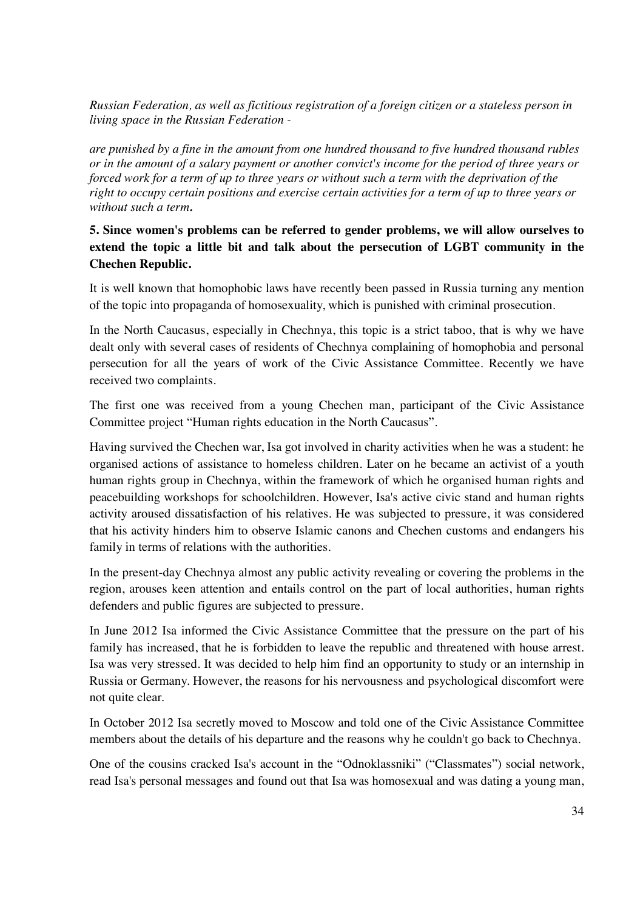*Russian Federation, as well as fictitious registration of a foreign citizen or a stateless person in living space in the Russian Federation -* 

*are punished by a fine in the amount from one hundred thousand to five hundred thousand rubles or in the amount of a salary payment or another convict's income for the period of three years or forced work for a term of up to three years or without such a term with the deprivation of the right to occupy certain positions and exercise certain activities for a term of up to three years or without such a term.* 

#### **5. Since women's problems can be referred to gender problems, we will allow ourselves to extend the topic a little bit and talk about the persecution of LGBT community in the Chechen Republic.**

It is well known that homophobic laws have recently been passed in Russia turning any mention of the topic into propaganda of homosexuality, which is punished with criminal prosecution.

In the North Caucasus, especially in Chechnya, this topic is a strict taboo, that is why we have dealt only with several cases of residents of Chechnya complaining of homophobia and personal persecution for all the years of work of the Civic Assistance Committee. Recently we have received two complaints.

The first one was received from a young Chechen man, participant of the Civic Assistance Committee project "Human rights education in the North Caucasus".

Having survived the Chechen war, Isa got involved in charity activities when he was a student: he organised actions of assistance to homeless children. Later on he became an activist of a youth human rights group in Chechnya, within the framework of which he organised human rights and peacebuilding workshops for schoolchildren. However, Isa's active civic stand and human rights activity aroused dissatisfaction of his relatives. He was subjected to pressure, it was considered that his activity hinders him to observe Islamic canons and Chechen customs and endangers his family in terms of relations with the authorities.

In the present-day Chechnya almost any public activity revealing or covering the problems in the region, arouses keen attention and entails control on the part of local authorities, human rights defenders and public figures are subjected to pressure.

In June 2012 Isa informed the Civic Assistance Committee that the pressure on the part of his family has increased, that he is forbidden to leave the republic and threatened with house arrest. Isa was very stressed. It was decided to help him find an opportunity to study or an internship in Russia or Germany. However, the reasons for his nervousness and psychological discomfort were not quite clear.

In October 2012 Isa secretly moved to Moscow and told one of the Civic Assistance Committee members about the details of his departure and the reasons why he couldn't go back to Chechnya.

One of the cousins cracked Isa's account in the "Odnoklassniki" ("Classmates") social network, read Isa's personal messages and found out that Isa was homosexual and was dating a young man,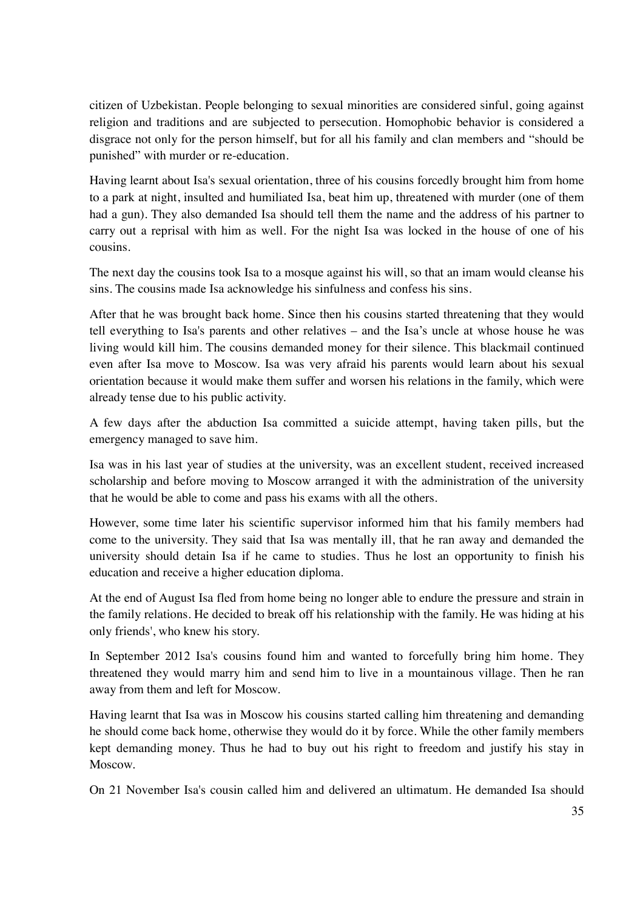citizen of Uzbekistan. People belonging to sexual minorities are considered sinful, going against religion and traditions and are subjected to persecution. Homophobic behavior is considered a disgrace not only for the person himself, but for all his family and clan members and "should be punished" with murder or re-education.

Having learnt about Isa's sexual orientation, three of his cousins forcedly brought him from home to a park at night, insulted and humiliated Isa, beat him up, threatened with murder (one of them had a gun). They also demanded Isa should tell them the name and the address of his partner to carry out a reprisal with him as well. For the night Isa was locked in the house of one of his cousins.

The next day the cousins took Isa to a mosque against his will, so that an imam would cleanse his sins. The cousins made Isa acknowledge his sinfulness and confess his sins.

After that he was brought back home. Since then his cousins started threatening that they would tell everything to Isa's parents and other relatives – and the Isa's uncle at whose house he was living would kill him. The cousins demanded money for their silence. This blackmail continued even after Isa move to Moscow. Isa was very afraid his parents would learn about his sexual orientation because it would make them suffer and worsen his relations in the family, which were already tense due to his public activity.

A few days after the abduction Isa committed a suicide attempt, having taken pills, but the emergency managed to save him.

Isa was in his last year of studies at the university, was an excellent student, received increased scholarship and before moving to Moscow arranged it with the administration of the university that he would be able to come and pass his exams with all the others.

However, some time later his scientific supervisor informed him that his family members had come to the university. They said that Isa was mentally ill, that he ran away and demanded the university should detain Isa if he came to studies. Thus he lost an opportunity to finish his education and receive a higher education diploma.

At the end of August Isa fled from home being no longer able to endure the pressure and strain in the family relations. He decided to break off his relationship with the family. He was hiding at his only friends', who knew his story.

In September 2012 Isa's cousins found him and wanted to forcefully bring him home. They threatened they would marry him and send him to live in a mountainous village. Then he ran away from them and left for Moscow.

Having learnt that Isa was in Moscow his cousins started calling him threatening and demanding he should come back home, otherwise they would do it by force. While the other family members kept demanding money. Thus he had to buy out his right to freedom and justify his stay in Moscow.

On 21 November Isa's cousin called him and delivered an ultimatum. He demanded Isa should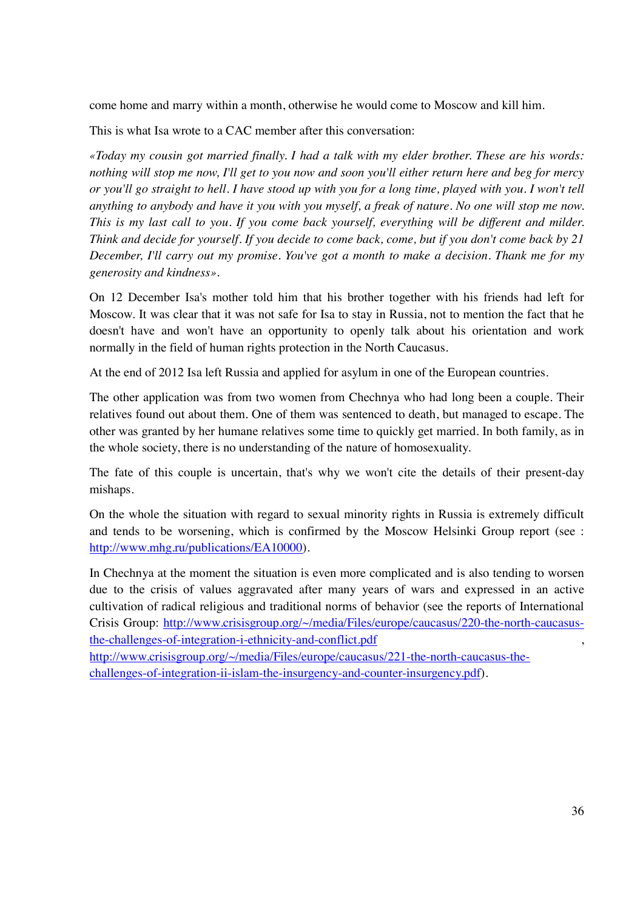come home and marry within a month, otherwise he would come to Moscow and kill him.

This is what Isa wrote to a CAC member after this conversation:

*«Today my cousin got married finally. I had a talk with my elder brother. These are his words: nothing will stop me now, I'll get to you now and soon you'll either return here and beg for mercy or you'll go straight to hell. I have stood up with you for a long time, played with you. I won't tell anything to anybody and have it you with you myself, a freak of nature. No one will stop me now. This is my last call to you. If you come back yourself, everything will be different and milder. Think and decide for yourself. If you decide to come back, come, but if you don't come back by 21 December, I'll carry out my promise. You've got a month to make a decision. Thank me for my generosity and kindness».* 

On 12 December Isa's mother told him that his brother together with his friends had left for Moscow. It was clear that it was not safe for Isa to stay in Russia, not to mention the fact that he doesn't have and won't have an opportunity to openly talk about his orientation and work normally in the field of human rights protection in the North Caucasus.

At the end of 2012 Isa left Russia and applied for asylum in one of the European countries.

The other application was from two women from Chechnya who had long been a couple. Their relatives found out about them. One of them was sentenced to death, but managed to escape. The other was granted by her humane relatives some time to quickly get married. In both family, as in the whole society, there is no understanding of the nature of homosexuality.

The fate of this couple is uncertain, that's why we won't cite the details of their present-day mishaps.

On the whole the situation with regard to sexual minority rights in Russia is extremely difficult and tends to be worsening, which is confirmed by the Moscow Helsinki Group report (see : http://www.mhg.ru/publications/EA10000).

In Chechnya at the moment the situation is even more complicated and is also tending to worsen due to the crisis of values aggravated after many years of wars and expressed in an active cultivation of radical religious and traditional norms of behavior (see the reports of International Crisis Group: http://www.crisisgroup.org/~/media/Files/europe/caucasus/220-the-north-caucasusthe-challenges-of-integration-i-ethnicity-and-conflict.pdf ,

http://www.crisisgroup.org/~/media/Files/europe/caucasus/221-the-north-caucasus-thechallenges-of-integration-ii-islam-the-insurgency-and-counter-insurgency.pdf).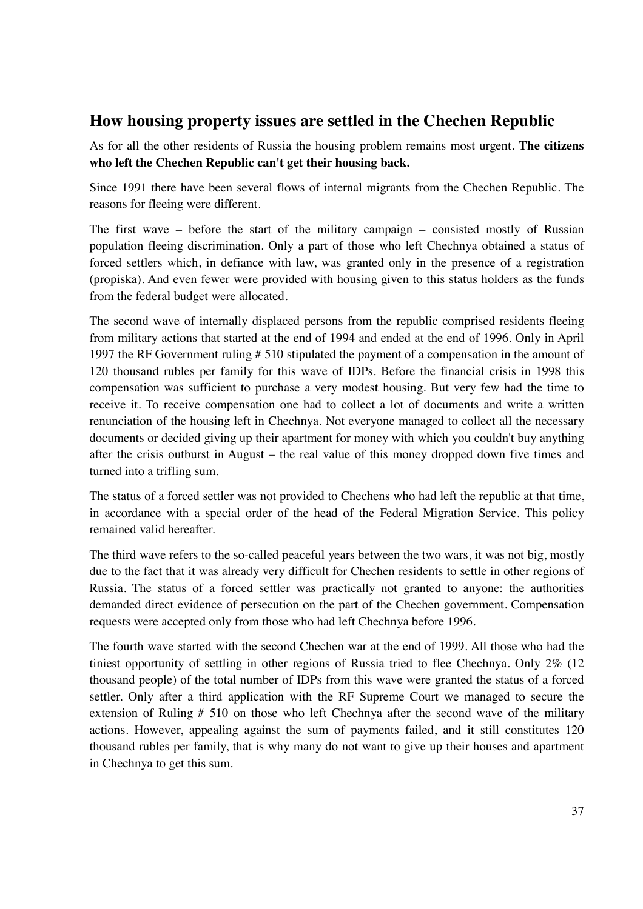## **How housing property issues are settled in the Chechen Republic**

As for all the other residents of Russia the housing problem remains most urgent. **The citizens who left the Chechen Republic can't get their housing back.** 

Since 1991 there have been several flows of internal migrants from the Chechen Republic. The reasons for fleeing were different.

The first wave – before the start of the military campaign – consisted mostly of Russian population fleeing discrimination. Only a part of those who left Chechnya obtained a status of forced settlers which, in defiance with law, was granted only in the presence of a registration (propiska). And even fewer were provided with housing given to this status holders as the funds from the federal budget were allocated.

The second wave of internally displaced persons from the republic comprised residents fleeing from military actions that started at the end of 1994 and ended at the end of 1996. Only in April 1997 the RF Government ruling # 510 stipulated the payment of a compensation in the amount of 120 thousand rubles per family for this wave of IDPs. Before the financial crisis in 1998 this compensation was sufficient to purchase a very modest housing. But very few had the time to receive it. To receive compensation one had to collect a lot of documents and write a written renunciation of the housing left in Chechnya. Not everyone managed to collect all the necessary documents or decided giving up their apartment for money with which you couldn't buy anything after the crisis outburst in August – the real value of this money dropped down five times and turned into a trifling sum.

The status of a forced settler was not provided to Chechens who had left the republic at that time, in accordance with a special order of the head of the Federal Migration Service. This policy remained valid hereafter.

The third wave refers to the so-called peaceful years between the two wars, it was not big, mostly due to the fact that it was already very difficult for Chechen residents to settle in other regions of Russia. The status of a forced settler was practically not granted to anyone: the authorities demanded direct evidence of persecution on the part of the Chechen government. Compensation requests were accepted only from those who had left Chechnya before 1996.

The fourth wave started with the second Chechen war at the end of 1999. All those who had the tiniest opportunity of settling in other regions of Russia tried to flee Chechnya. Only 2% (12 thousand people) of the total number of IDPs from this wave were granted the status of a forced settler. Only after a third application with the RF Supreme Court we managed to secure the extension of Ruling # 510 on those who left Chechnya after the second wave of the military actions. However, appealing against the sum of payments failed, and it still constitutes 120 thousand rubles per family, that is why many do not want to give up their houses and apartment in Chechnya to get this sum.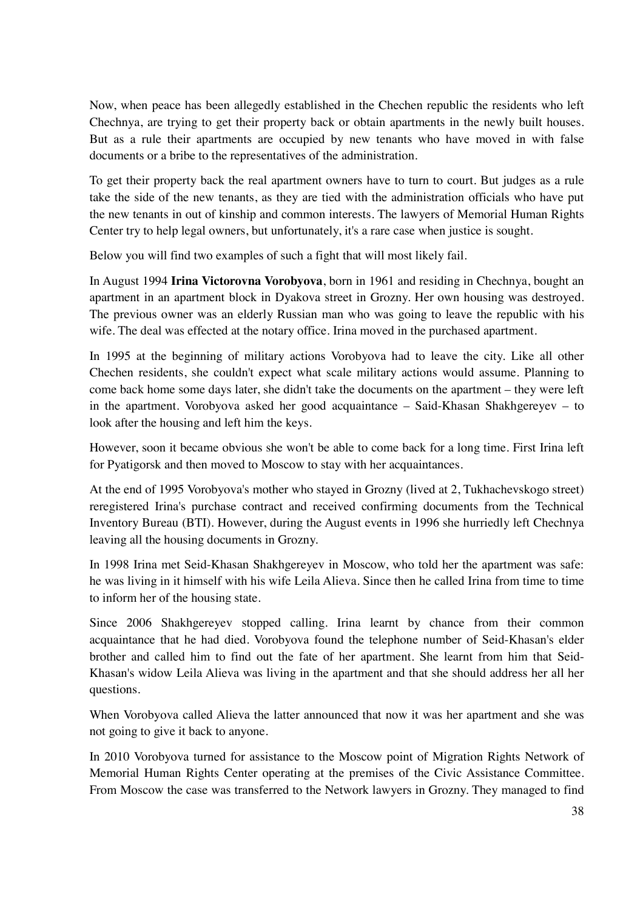Now, when peace has been allegedly established in the Chechen republic the residents who left Chechnya, are trying to get their property back or obtain apartments in the newly built houses. But as a rule their apartments are occupied by new tenants who have moved in with false documents or a bribe to the representatives of the administration.

To get their property back the real apartment owners have to turn to court. But judges as a rule take the side of the new tenants, as they are tied with the administration officials who have put the new tenants in out of kinship and common interests. The lawyers of Memorial Human Rights Center try to help legal owners, but unfortunately, it's a rare case when justice is sought.

Below you will find two examples of such a fight that will most likely fail.

In August 1994 **Irina Victorovna Vorobyova**, born in 1961 and residing in Chechnya, bought an apartment in an apartment block in Dyakova street in Grozny. Her own housing was destroyed. The previous owner was an elderly Russian man who was going to leave the republic with his wife. The deal was effected at the notary office. Irina moved in the purchased apartment.

In 1995 at the beginning of military actions Vorobyova had to leave the city. Like all other Chechen residents, she couldn't expect what scale military actions would assume. Planning to come back home some days later, she didn't take the documents on the apartment – they were left in the apartment. Vorobyova asked her good acquaintance – Said-Khasan Shakhgereyev – to look after the housing and left him the keys.

However, soon it became obvious she won't be able to come back for a long time. First Irina left for Pyatigorsk and then moved to Moscow to stay with her acquaintances.

At the end of 1995 Vorobyova's mother who stayed in Grozny (lived at 2, Tukhachevskogo street) reregistered Irina's purchase contract and received confirming documents from the Technical Inventory Bureau (BTI). However, during the August events in 1996 she hurriedly left Chechnya leaving all the housing documents in Grozny.

In 1998 Irina met Seid-Khasan Shakhgereyev in Moscow, who told her the apartment was safe: he was living in it himself with his wife Leila Alieva. Since then he called Irina from time to time to inform her of the housing state.

Since 2006 Shakhgereyev stopped calling. Irina learnt by chance from their common acquaintance that he had died. Vorobyova found the telephone number of Seid-Khasan's elder brother and called him to find out the fate of her apartment. She learnt from him that Seid-Khasan's widow Leila Alieva was living in the apartment and that she should address her all her questions.

When Vorobyova called Alieva the latter announced that now it was her apartment and she was not going to give it back to anyone.

In 2010 Vorobyova turned for assistance to the Moscow point of Migration Rights Network of Memorial Human Rights Center operating at the premises of the Civic Assistance Committee. From Moscow the case was transferred to the Network lawyers in Grozny. They managed to find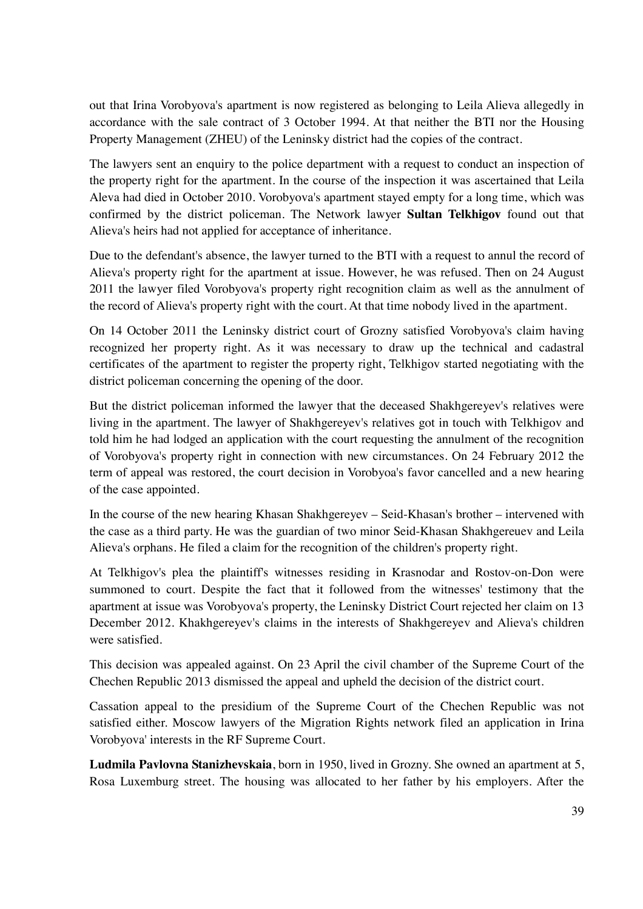out that Irina Vorobyova's apartment is now registered as belonging to Leila Alieva allegedly in accordance with the sale contract of 3 October 1994. At that neither the BTI nor the Housing Property Management (ZHEU) of the Leninsky district had the copies of the contract.

The lawyers sent an enquiry to the police department with a request to conduct an inspection of the property right for the apartment. In the course of the inspection it was ascertained that Leila Aleva had died in October 2010. Vorobyova's apartment stayed empty for a long time, which was confirmed by the district policeman. The Network lawyer **Sultan Telkhigov** found out that Alieva's heirs had not applied for acceptance of inheritance.

Due to the defendant's absence, the lawyer turned to the BTI with a request to annul the record of Alieva's property right for the apartment at issue. However, he was refused. Then on 24 August 2011 the lawyer filed Vorobyova's property right recognition claim as well as the annulment of the record of Alieva's property right with the court. At that time nobody lived in the apartment.

On 14 October 2011 the Leninsky district court of Grozny satisfied Vorobyova's claim having recognized her property right. As it was necessary to draw up the technical and cadastral certificates of the apartment to register the property right, Telkhigov started negotiating with the district policeman concerning the opening of the door.

But the district policeman informed the lawyer that the deceased Shakhgereyev's relatives were living in the apartment. The lawyer of Shakhgereyev's relatives got in touch with Telkhigov and told him he had lodged an application with the court requesting the annulment of the recognition of Vorobyova's property right in connection with new circumstances. On 24 February 2012 the term of appeal was restored, the court decision in Vorobyoa's favor cancelled and a new hearing of the case appointed.

In the course of the new hearing Khasan Shakhgereyev – Seid-Khasan's brother – intervened with the case as a third party. He was the guardian of two minor Seid-Khasan Shakhgereuev and Leila Alieva's orphans. He filed a claim for the recognition of the children's property right.

At Telkhigov's plea the plaintiff's witnesses residing in Krasnodar and Rostov-on-Don were summoned to court. Despite the fact that it followed from the witnesses' testimony that the apartment at issue was Vorobyova's property, the Leninsky District Court rejected her claim on 13 December 2012. Khakhgereyev's claims in the interests of Shakhgereyev and Alieva's children were satisfied.

This decision was appealed against. On 23 April the civil chamber of the Supreme Court of the Chechen Republic 2013 dismissed the appeal and upheld the decision of the district court.

Cassation appeal to the presidium of the Supreme Court of the Chechen Republic was not satisfied either. Moscow lawyers of the Migration Rights network filed an application in Irina Vorobyova' interests in the RF Supreme Court.

**Ludmila Pavlovna Stanizhevskaia**, born in 1950, lived in Grozny. She owned an apartment at 5, Rosa Luxemburg street. The housing was allocated to her father by his employers. After the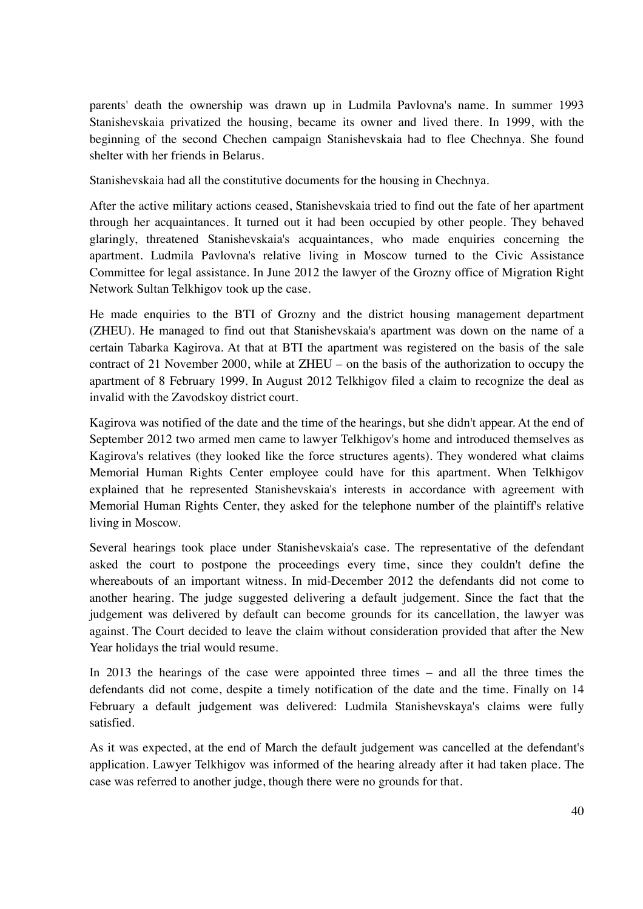parents' death the ownership was drawn up in Ludmila Pavlovna's name. In summer 1993 Stanishevskaia privatized the housing, became its owner and lived there. In 1999, with the beginning of the second Chechen campaign Stanishevskaia had to flee Chechnya. She found shelter with her friends in Belarus.

Stanishevskaia had all the constitutive documents for the housing in Chechnya.

After the active military actions ceased, Stanishevskaia tried to find out the fate of her apartment through her acquaintances. It turned out it had been occupied by other people. They behaved glaringly, threatened Stanishevskaia's acquaintances, who made enquiries concerning the apartment. Ludmila Pavlovna's relative living in Moscow turned to the Civic Assistance Committee for legal assistance. In June 2012 the lawyer of the Grozny office of Migration Right Network Sultan Telkhigov took up the case.

He made enquiries to the BTI of Grozny and the district housing management department (ZHEU). He managed to find out that Stanishevskaia's apartment was down on the name of a certain Tabarka Kagirova. At that at BTI the apartment was registered on the basis of the sale contract of 21 November 2000, while at ZHEU – on the basis of the authorization to occupy the apartment of 8 February 1999. In August 2012 Telkhigov filed a claim to recognize the deal as invalid with the Zavodskoy district court.

Kagirova was notified of the date and the time of the hearings, but she didn't appear. At the end of September 2012 two armed men came to lawyer Telkhigov's home and introduced themselves as Kagirova's relatives (they looked like the force structures agents). They wondered what claims Memorial Human Rights Center employee could have for this apartment. When Telkhigov explained that he represented Stanishevskaia's interests in accordance with agreement with Memorial Human Rights Center, they asked for the telephone number of the plaintiff's relative living in Moscow.

Several hearings took place under Stanishevskaia's case. The representative of the defendant asked the court to postpone the proceedings every time, since they couldn't define the whereabouts of an important witness. In mid-December 2012 the defendants did not come to another hearing. The judge suggested delivering a default judgement. Since the fact that the judgement was delivered by default can become grounds for its cancellation, the lawyer was against. The Court decided to leave the claim without consideration provided that after the New Year holidays the trial would resume.

In 2013 the hearings of the case were appointed three times – and all the three times the defendants did not come, despite a timely notification of the date and the time. Finally on 14 February a default judgement was delivered: Ludmila Stanishevskaya's claims were fully satisfied.

As it was expected, at the end of March the default judgement was cancelled at the defendant's application. Lawyer Telkhigov was informed of the hearing already after it had taken place. The case was referred to another judge, though there were no grounds for that.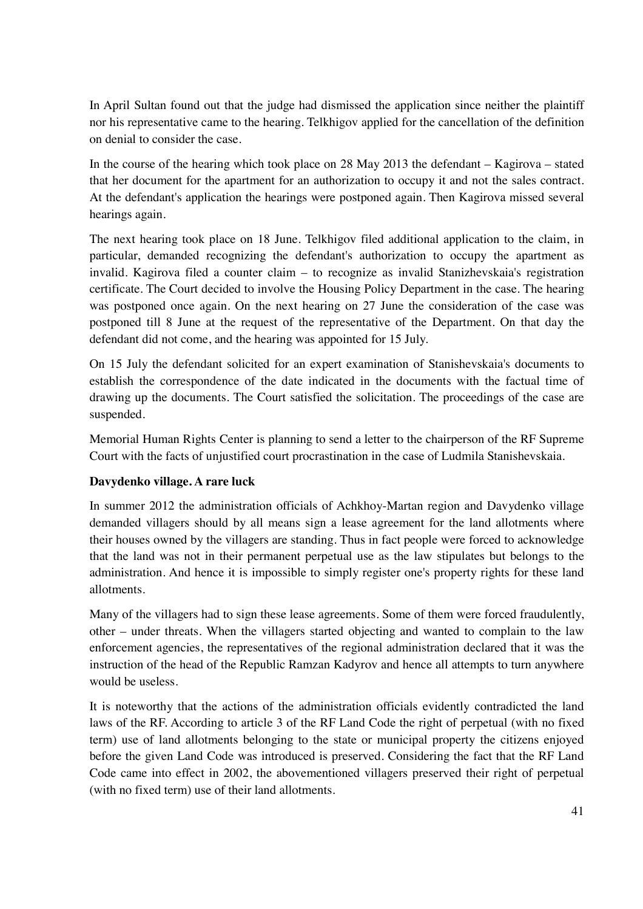In April Sultan found out that the judge had dismissed the application since neither the plaintiff nor his representative came to the hearing. Telkhigov applied for the cancellation of the definition on denial to consider the case.

In the course of the hearing which took place on 28 May 2013 the defendant – Kagirova – stated that her document for the apartment for an authorization to occupy it and not the sales contract. At the defendant's application the hearings were postponed again. Then Kagirova missed several hearings again.

The next hearing took place on 18 June. Telkhigov filed additional application to the claim, in particular, demanded recognizing the defendant's authorization to occupy the apartment as invalid. Kagirova filed a counter claim – to recognize as invalid Stanizhevskaia's registration certificate. The Court decided to involve the Housing Policy Department in the case. The hearing was postponed once again. On the next hearing on 27 June the consideration of the case was postponed till 8 June at the request of the representative of the Department. On that day the defendant did not come, and the hearing was appointed for 15 July.

On 15 July the defendant solicited for an expert examination of Stanishevskaia's documents to establish the correspondence of the date indicated in the documents with the factual time of drawing up the documents. The Court satisfied the solicitation. The proceedings of the case are suspended.

Memorial Human Rights Center is planning to send a letter to the chairperson of the RF Supreme Court with the facts of unjustified court procrastination in the case of Ludmila Stanishevskaia.

#### **Davydenko village. A rare luck**

In summer 2012 the administration officials of Achkhoy-Martan region and Davydenko village demanded villagers should by all means sign a lease agreement for the land allotments where their houses owned by the villagers are standing. Thus in fact people were forced to acknowledge that the land was not in their permanent perpetual use as the law stipulates but belongs to the administration. And hence it is impossible to simply register one's property rights for these land allotments.

Many of the villagers had to sign these lease agreements. Some of them were forced fraudulently, other – under threats. When the villagers started objecting and wanted to complain to the law enforcement agencies, the representatives of the regional administration declared that it was the instruction of the head of the Republic Ramzan Kadyrov and hence all attempts to turn anywhere would be useless.

It is noteworthy that the actions of the administration officials evidently contradicted the land laws of the RF. According to article 3 of the RF Land Code the right of perpetual (with no fixed term) use of land allotments belonging to the state or municipal property the citizens enjoyed before the given Land Code was introduced is preserved. Considering the fact that the RF Land Code came into effect in 2002, the abovementioned villagers preserved their right of perpetual (with no fixed term) use of their land allotments.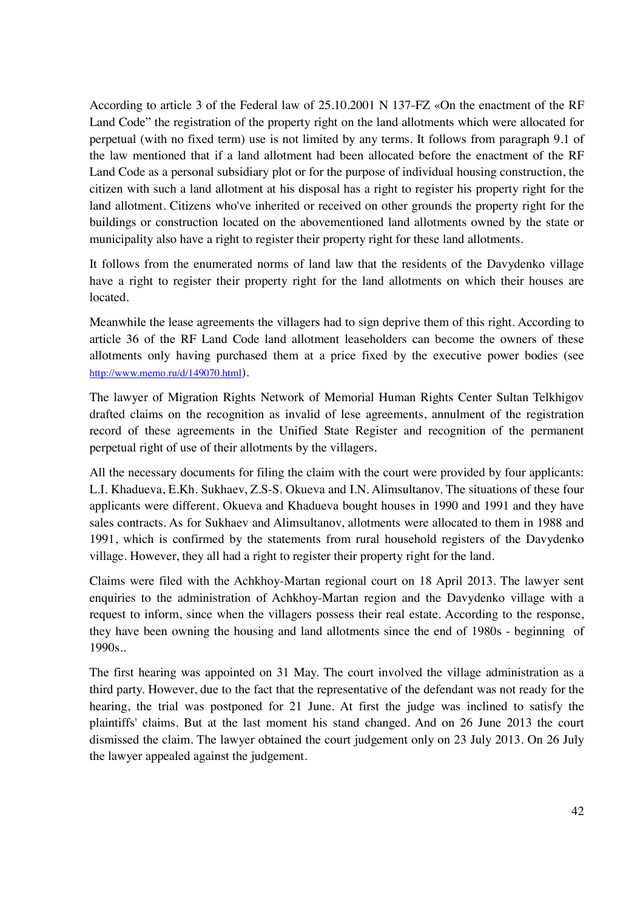According to article 3 of the Federal law of 25.10.2001 N 137-FZ «On the enactment of the RF Land Code" the registration of the property right on the land allotments which were allocated for perpetual (with no fixed term) use is not limited by any terms. It follows from paragraph 9.1 of the law mentioned that if a land allotment had been allocated before the enactment of the RF Land Code as a personal subsidiary plot or for the purpose of individual housing construction, the citizen with such a land allotment at his disposal has a right to register his property right for the land allotment. Citizens who've inherited or received on other grounds the property right for the buildings or construction located on the abovementioned land allotments owned by the state or municipality also have a right to register their property right for these land allotments.

It follows from the enumerated norms of land law that the residents of the Davydenko village have a right to register their property right for the land allotments on which their houses are located.

Meanwhile the lease agreements the villagers had to sign deprive them of this right. According to article 36 of the RF Land Code land allotment leaseholders can become the owners of these allotments only having purchased them at a price fixed by the executive power bodies (see http://www.memo.ru/d/149070.html).

The lawyer of Migration Rights Network of Memorial Human Rights Center Sultan Telkhigov drafted claims on the recognition as invalid of lese agreements, annulment of the registration record of these agreements in the Unified State Register and recognition of the permanent perpetual right of use of their allotments by the villagers.

All the necessary documents for filing the claim with the court were provided by four applicants: L.I. Khadueva, E.Kh. Sukhaev, Z.S-S. Okueva and I.N. Alimsultanov. The situations of these four applicants were different. Okueva and Khadueva bought houses in 1990 and 1991 and they have sales contracts. As for Sukhaev and Alimsultanov, allotments were allocated to them in 1988 and 1991, which is confirmed by the statements from rural household registers of the Davydenko village. However, they all had a right to register their property right for the land.

Claims were filed with the Achkhoy-Martan regional court on 18 April 2013. The lawyer sent enquiries to the administration of Achkhoy-Martan region and the Davydenko village with a request to inform, since when the villagers possess their real estate. According to the response, they have been owning the housing and land allotments since the end of 1980s - beginning of 1990s..

The first hearing was appointed on 31 May. The court involved the village administration as a third party. However, due to the fact that the representative of the defendant was not ready for the hearing, the trial was postponed for 21 June. At first the judge was inclined to satisfy the plaintiffs' claims. But at the last moment his stand changed. And on 26 June 2013 the court dismissed the claim. The lawyer obtained the court judgement only on 23 July 2013. On 26 July the lawyer appealed against the judgement.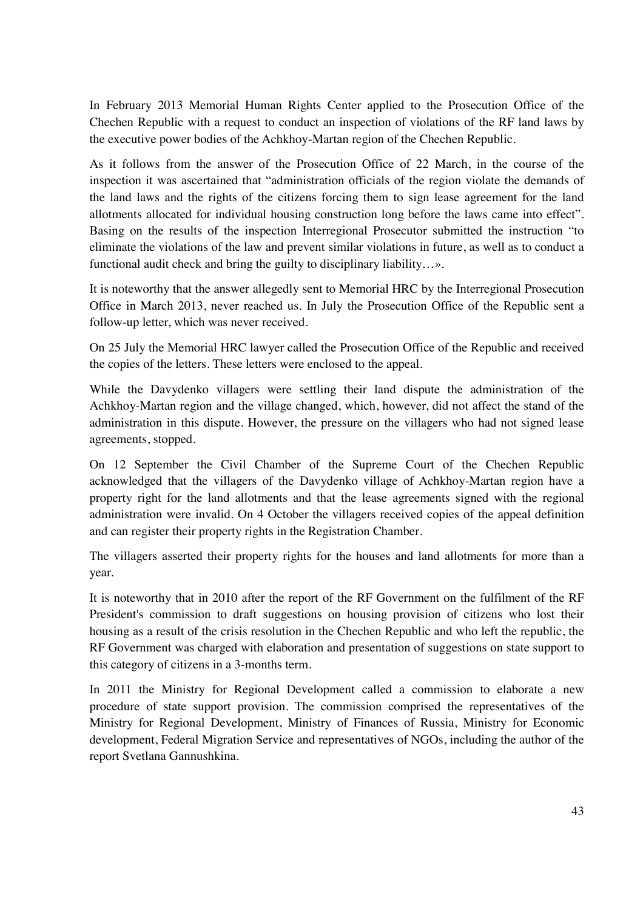In February 2013 Memorial Human Rights Center applied to the Prosecution Office of the Chechen Republic with a request to conduct an inspection of violations of the RF land laws by the executive power bodies of the Achkhoy-Martan region of the Chechen Republic.

As it follows from the answer of the Prosecution Office of 22 March, in the course of the inspection it was ascertained that "administration officials of the region violate the demands of the land laws and the rights of the citizens forcing them to sign lease agreement for the land allotments allocated for individual housing construction long before the laws came into effect". Basing on the results of the inspection Interregional Prosecutor submitted the instruction "to eliminate the violations of the law and prevent similar violations in future, as well as to conduct a functional audit check and bring the guilty to disciplinary liability…».

It is noteworthy that the answer allegedly sent to Memorial HRC by the Interregional Prosecution Office in March 2013, never reached us. In July the Prosecution Office of the Republic sent a follow-up letter, which was never received.

On 25 July the Memorial HRC lawyer called the Prosecution Office of the Republic and received the copies of the letters. These letters were enclosed to the appeal.

While the Davydenko villagers were settling their land dispute the administration of the Achkhoy-Martan region and the village changed, which, however, did not affect the stand of the administration in this dispute. However, the pressure on the villagers who had not signed lease agreements, stopped.

On 12 September the Civil Chamber of the Supreme Court of the Chechen Republic acknowledged that the villagers of the Davydenko village of Achkhoy-Martan region have a property right for the land allotments and that the lease agreements signed with the regional administration were invalid. On 4 October the villagers received copies of the appeal definition and can register their property rights in the Registration Chamber.

The villagers asserted their property rights for the houses and land allotments for more than a year.

It is noteworthy that in 2010 after the report of the RF Government on the fulfilment of the RF President's commission to draft suggestions on housing provision of citizens who lost their housing as a result of the crisis resolution in the Chechen Republic and who left the republic, the RF Government was charged with elaboration and presentation of suggestions on state support to this category of citizens in a 3-months term.

In 2011 the Ministry for Regional Development called a commission to elaborate a new procedure of state support provision. The commission comprised the representatives of the Ministry for Regional Development, Ministry of Finances of Russia, Ministry for Economic development, Federal Migration Service and representatives of NGOs, including the author of the report Svetlana Gannushkina.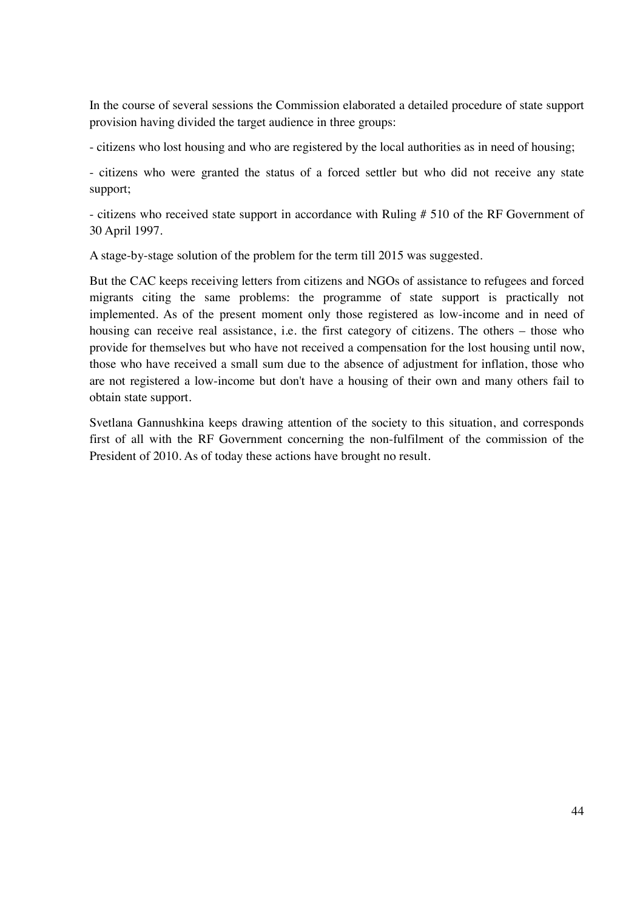In the course of several sessions the Commission elaborated a detailed procedure of state support provision having divided the target audience in three groups:

- citizens who lost housing and who are registered by the local authorities as in need of housing;

- citizens who were granted the status of a forced settler but who did not receive any state support;

- citizens who received state support in accordance with Ruling # 510 of the RF Government of 30 April 1997.

A stage-by-stage solution of the problem for the term till 2015 was suggested.

But the CAC keeps receiving letters from citizens and NGOs of assistance to refugees and forced migrants citing the same problems: the programme of state support is practically not implemented. As of the present moment only those registered as low-income and in need of housing can receive real assistance, i.e. the first category of citizens. The others – those who provide for themselves but who have not received a compensation for the lost housing until now, those who have received a small sum due to the absence of adjustment for inflation, those who are not registered a low-income but don't have a housing of their own and many others fail to obtain state support.

Svetlana Gannushkina keeps drawing attention of the society to this situation, and corresponds first of all with the RF Government concerning the non-fulfilment of the commission of the President of 2010. As of today these actions have brought no result.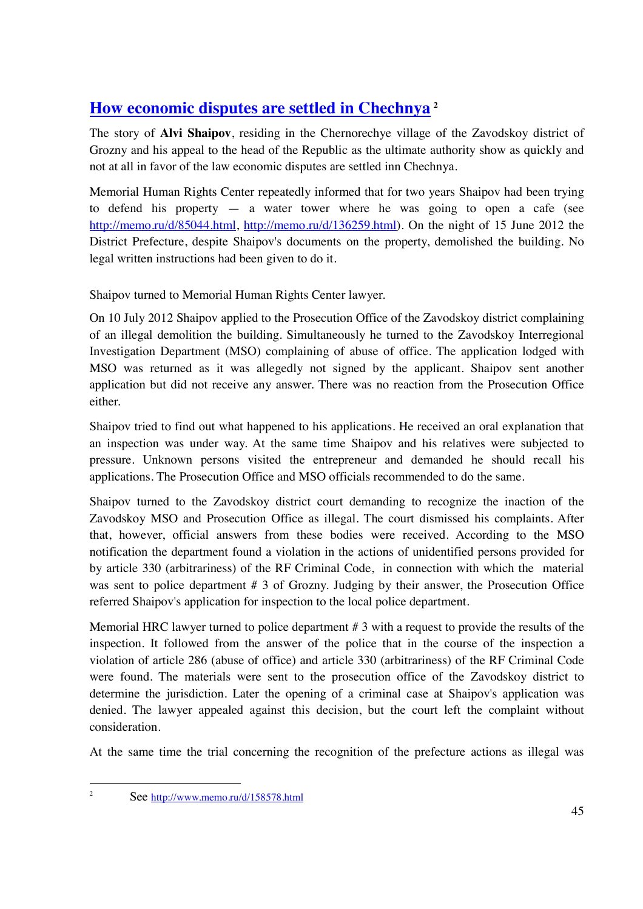# **How economic disputes are settled in Chechnya <sup>2</sup>**

The story of **Alvi Shaipov**, residing in the Chernorechye village of the Zavodskoy district of Grozny and his appeal to the head of the Republic as the ultimate authority show as quickly and not at all in favor of the law economic disputes are settled inn Chechnya.

Memorial Human Rights Center repeatedly informed that for two years Shaipov had been trying to defend his property — a water tower where he was going to open a cafe (see http://memo.ru/d/85044.html, http://memo.ru/d/136259.html). On the night of 15 June 2012 the District Prefecture, despite Shaipov's documents on the property, demolished the building. No legal written instructions had been given to do it.

Shaipov turned to Memorial Human Rights Center lawyer.

On 10 July 2012 Shaipov applied to the Prosecution Office of the Zavodskoy district complaining of an illegal demolition the building. Simultaneously he turned to the Zavodskoy Interregional Investigation Department (MSO) complaining of abuse of office. The application lodged with MSO was returned as it was allegedly not signed by the applicant. Shaipov sent another application but did not receive any answer. There was no reaction from the Prosecution Office either.

Shaipov tried to find out what happened to his applications. He received an oral explanation that an inspection was under way. At the same time Shaipov and his relatives were subjected to pressure. Unknown persons visited the entrepreneur and demanded he should recall his applications. The Prosecution Office and MSO officials recommended to do the same.

Shaipov turned to the Zavodskoy district court demanding to recognize the inaction of the Zavodskoy MSO and Prosecution Office as illegal. The court dismissed his complaints. After that, however, official answers from these bodies were received. According to the MSO notification the department found a violation in the actions of unidentified persons provided for by article 330 (arbitrariness) of the RF Criminal Code, in connection with which the material was sent to police department # 3 of Grozny. Judging by their answer, the Prosecution Office referred Shaipov's application for inspection to the local police department.

Memorial HRC lawyer turned to police department # 3 with a request to provide the results of the inspection. It followed from the answer of the police that in the course of the inspection a violation of article 286 (abuse of office) and article 330 (arbitrariness) of the RF Criminal Code were found. The materials were sent to the prosecution office of the Zavodskoy district to determine the jurisdiction. Later the opening of a criminal case at Shaipov's application was denied. The lawyer appealed against this decision, but the court left the complaint without consideration.

At the same time the trial concerning the recognition of the prefecture actions as illegal was

 $\frac{1}{2}$ 

See http://www.memo.ru/d/158578.html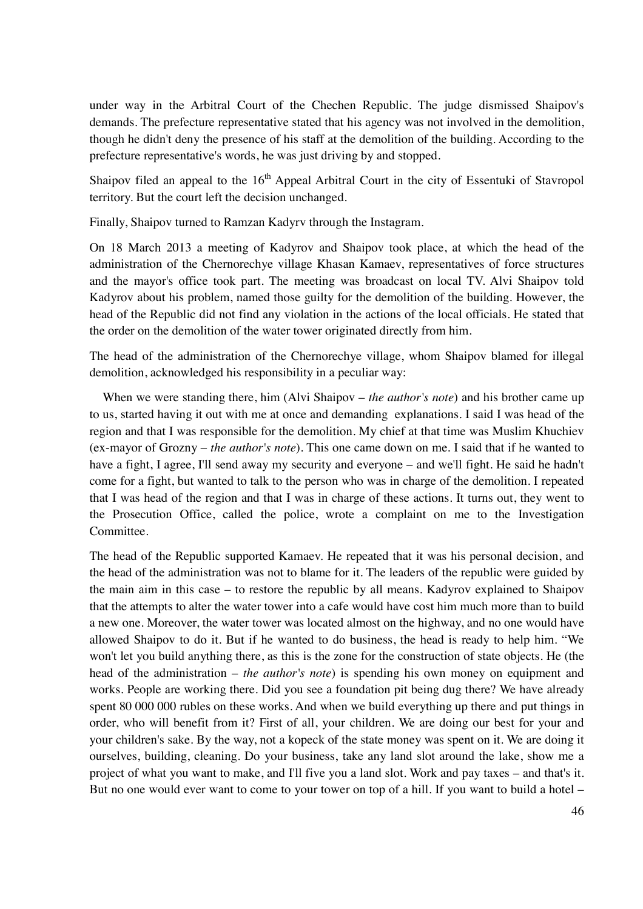under way in the Arbitral Court of the Chechen Republic. The judge dismissed Shaipov's demands. The prefecture representative stated that his agency was not involved in the demolition, though he didn't deny the presence of his staff at the demolition of the building. According to the prefecture representative's words, he was just driving by and stopped.

Shaipov filed an appeal to the  $16<sup>th</sup>$  Appeal Arbitral Court in the city of Essentuki of Stavropol territory. But the court left the decision unchanged.

Finally, Shaipov turned to Ramzan Kadyrv through the Instagram.

On 18 March 2013 a meeting of Kadyrov and Shaipov took place, at which the head of the administration of the Chernorechye village Khasan Kamaev, representatives of force structures and the mayor's office took part. The meeting was broadcast on local TV. Alvi Shaipov told Kadyrov about his problem, named those guilty for the demolition of the building. However, the head of the Republic did not find any violation in the actions of the local officials. He stated that the order on the demolition of the water tower originated directly from him.

The head of the administration of the Chernorechye village, whom Shaipov blamed for illegal demolition, acknowledged his responsibility in a peculiar way:

 When we were standing there, him (Alvi Shaipov – *the author's note*) and his brother came up to us, started having it out with me at once and demanding explanations. I said I was head of the region and that I was responsible for the demolition. My chief at that time was Muslim Khuchiev (ex-mayor of Grozny – *the author's note*). This one came down on me. I said that if he wanted to have a fight, I agree, I'll send away my security and everyone – and we'll fight. He said he hadn't come for a fight, but wanted to talk to the person who was in charge of the demolition. I repeated that I was head of the region and that I was in charge of these actions. It turns out, they went to the Prosecution Office, called the police, wrote a complaint on me to the Investigation Committee.

The head of the Republic supported Kamaev. He repeated that it was his personal decision, and the head of the administration was not to blame for it. The leaders of the republic were guided by the main aim in this case – to restore the republic by all means. Kadyrov explained to Shaipov that the attempts to alter the water tower into a cafe would have cost him much more than to build a new one. Moreover, the water tower was located almost on the highway, and no one would have allowed Shaipov to do it. But if he wanted to do business, the head is ready to help him. "We won't let you build anything there, as this is the zone for the construction of state objects. He (the head of the administration – *the author's note*) is spending his own money on equipment and works. People are working there. Did you see a foundation pit being dug there? We have already spent 80 000 000 rubles on these works. And when we build everything up there and put things in order, who will benefit from it? First of all, your children. We are doing our best for your and your children's sake. By the way, not a kopeck of the state money was spent on it. We are doing it ourselves, building, cleaning. Do your business, take any land slot around the lake, show me a project of what you want to make, and I'll five you a land slot. Work and pay taxes – and that's it. But no one would ever want to come to your tower on top of a hill. If you want to build a hotel –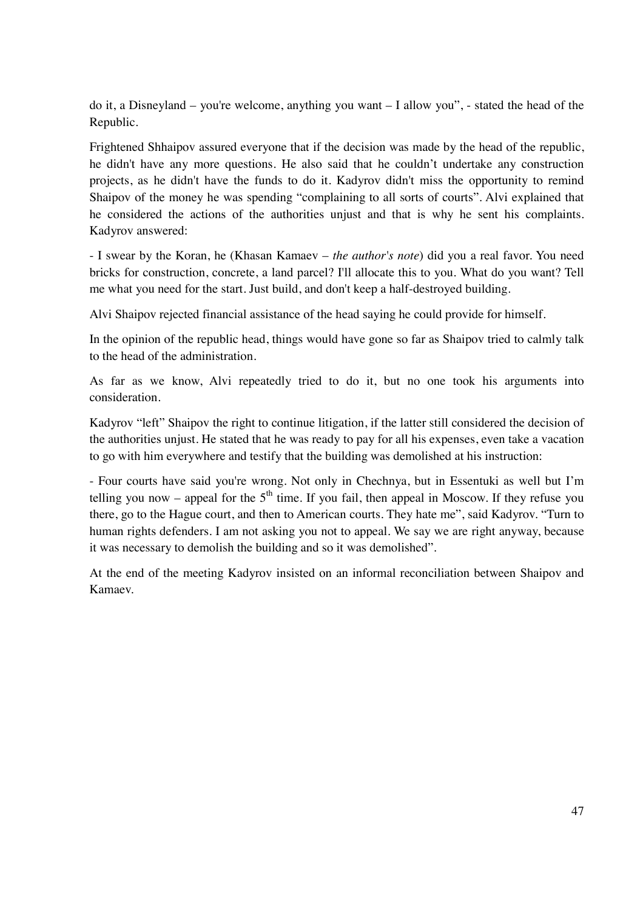do it, a Disneyland – you're welcome, anything you want – I allow you", - stated the head of the Republic.

Frightened Shhaipov assured everyone that if the decision was made by the head of the republic, he didn't have any more questions. He also said that he couldn't undertake any construction projects, as he didn't have the funds to do it. Kadyrov didn't miss the opportunity to remind Shaipov of the money he was spending "complaining to all sorts of courts". Alvi explained that he considered the actions of the authorities unjust and that is why he sent his complaints. Kadyrov answered:

- I swear by the Koran, he (Khasan Kamaev – *the author's note*) did you a real favor. You need bricks for construction, concrete, a land parcel? I'll allocate this to you. What do you want? Tell me what you need for the start. Just build, and don't keep a half-destroyed building.

Alvi Shaipov rejected financial assistance of the head saying he could provide for himself.

In the opinion of the republic head, things would have gone so far as Shaipov tried to calmly talk to the head of the administration.

As far as we know, Alvi repeatedly tried to do it, but no one took his arguments into consideration.

Kadyrov "left" Shaipov the right to continue litigation, if the latter still considered the decision of the authorities unjust. He stated that he was ready to pay for all his expenses, even take a vacation to go with him everywhere and testify that the building was demolished at his instruction:

- Four courts have said you're wrong. Not only in Chechnya, but in Essentuki as well but I'm telling you now – appeal for the  $5<sup>th</sup>$  time. If you fail, then appeal in Moscow. If they refuse you there, go to the Hague court, and then to American courts. They hate me", said Kadyrov. "Turn to human rights defenders. I am not asking you not to appeal. We say we are right anyway, because it was necessary to demolish the building and so it was demolished".

At the end of the meeting Kadyrov insisted on an informal reconciliation between Shaipov and Kamaev.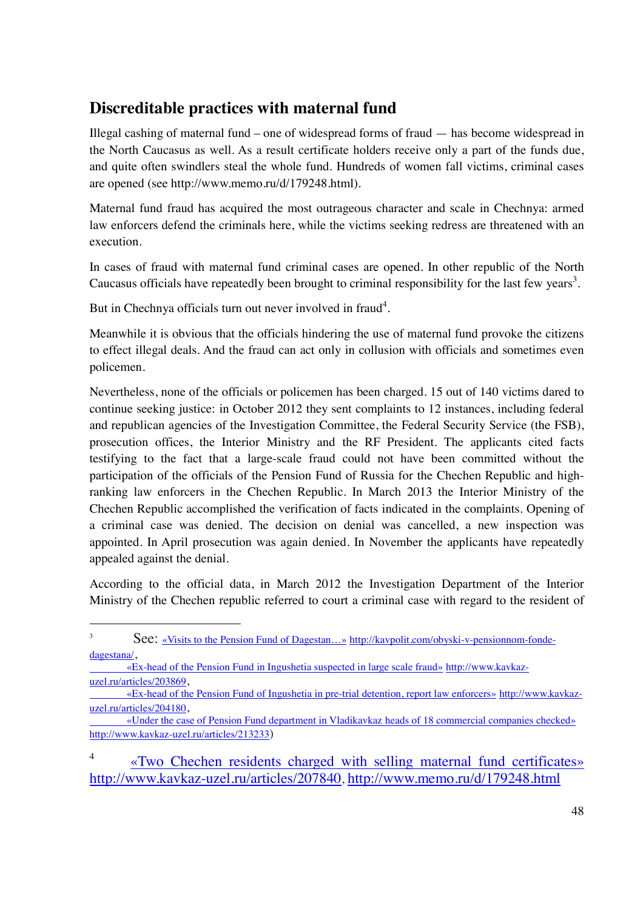# **Discreditable practices with maternal fund**

Illegal cashing of maternal fund – one of widespread forms of fraud — has become widespread in the North Caucasus as well. As a result certificate holders receive only a part of the funds due, and quite often swindlers steal the whole fund. Hundreds of women fall victims, criminal cases are opened (see http://www.memo.ru/d/179248.html).

Maternal fund fraud has acquired the most outrageous character and scale in Chechnya: armed law enforcers defend the criminals here, while the victims seeking redress are threatened with an execution.

In cases of fraud with maternal fund criminal cases are opened. In other republic of the North Caucasus officials have repeatedly been brought to criminal responsibility for the last few years<sup>3</sup>.

But in Chechnya officials turn out never involved in fraud<sup>4</sup>.

-

Meanwhile it is obvious that the officials hindering the use of maternal fund provoke the citizens to effect illegal deals. And the fraud can act only in collusion with officials and sometimes even policemen.

Nevertheless, none of the officials or policemen has been charged. 15 out of 140 victims dared to continue seeking justice: in October 2012 they sent complaints to 12 instances, including federal and republican agencies of the Investigation Committee, the Federal Security Service (the FSB), prosecution offices, the Interior Ministry and the RF President. The applicants cited facts testifying to the fact that a large-scale fraud could not have been committed without the participation of the officials of the Pension Fund of Russia for the Chechen Republic and highranking law enforcers in the Chechen Republic. In March 2013 the Interior Ministry of the Chechen Republic accomplished the verification of facts indicated in the complaints. Opening of a criminal case was denied. The decision on denial was cancelled, a new inspection was appointed. In April prosecution was again denied. In November the applicants have repeatedly appealed against the denial.

According to the official data, in March 2012 the Investigation Department of the Interior Ministry of the Chechen republic referred to court a criminal case with regard to the resident of

dagestana/,<br>
<u>«Ex-head of the Pension Fund in Ingushetia suspected in large scale fraud» http://www.kavkaz-</u> uzel.ru/articles/203869, «Ex-head of the Pension Fund of Ingushetia in pre-trial detention, report law enforcers» http://www.kavkaz-

4 «Two Chechen residents charged with selling maternal fund certificates» http://www.kavkaz-uzel.ru/articles/207840, http://www.memo.ru/d/179248.html

<sup>3</sup> See: «Visits to the Pension Fund of Dagestan...» http://kavpolit.com/obyski-v-pensionnom-fonde-

uzel.ru/articles/204180, «Under the case of Pension Fund department in Vladikavkaz heads of 18 commercial companies checked»

http://www.kavkaz-uzel.ru/articles/213233)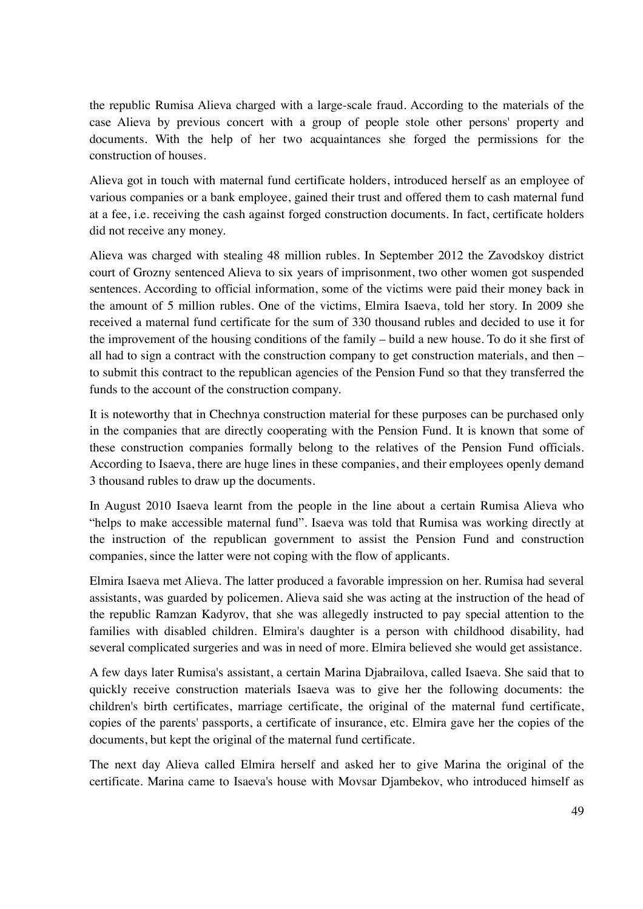the republic Rumisa Alieva charged with a large-scale fraud. According to the materials of the case Alieva by previous concert with a group of people stole other persons' property and documents. With the help of her two acquaintances she forged the permissions for the construction of houses.

Alieva got in touch with maternal fund certificate holders, introduced herself as an employee of various companies or a bank employee, gained their trust and offered them to cash maternal fund at a fee, i.e. receiving the cash against forged construction documents. In fact, certificate holders did not receive any money.

Alieva was charged with stealing 48 million rubles. In September 2012 the Zavodskoy district court of Grozny sentenced Alieva to six years of imprisonment, two other women got suspended sentences. According to official information, some of the victims were paid their money back in the amount of 5 million rubles. One of the victims, Elmira Isaeva, told her story. In 2009 she received a maternal fund certificate for the sum of 330 thousand rubles and decided to use it for the improvement of the housing conditions of the family – build a new house. To do it she first of all had to sign a contract with the construction company to get construction materials, and then – to submit this contract to the republican agencies of the Pension Fund so that they transferred the funds to the account of the construction company.

It is noteworthy that in Chechnya construction material for these purposes can be purchased only in the companies that are directly cooperating with the Pension Fund. It is known that some of these construction companies formally belong to the relatives of the Pension Fund officials. According to Isaeva, there are huge lines in these companies, and their employees openly demand 3 thousand rubles to draw up the documents.

In August 2010 Isaeva learnt from the people in the line about a certain Rumisa Alieva who "helps to make accessible maternal fund". Isaeva was told that Rumisa was working directly at the instruction of the republican government to assist the Pension Fund and construction companies, since the latter were not coping with the flow of applicants*.* 

Elmira Isaeva met Alieva. The latter produced a favorable impression on her. Rumisa had several assistants, was guarded by policemen. Alieva said she was acting at the instruction of the head of the republic Ramzan Kadyrov, that she was allegedly instructed to pay special attention to the families with disabled children. Elmira's daughter is a person with childhood disability, had several complicated surgeries and was in need of more. Elmira believed she would get assistance.

A few days later Rumisa's assistant, a certain Marina Djabrailova, called Isaeva. She said that to quickly receive construction materials Isaeva was to give her the following documents: the children's birth certificates, marriage certificate, the original of the maternal fund certificate, copies of the parents' passports, a certificate of insurance, etc. Elmira gave her the copies of the documents, but kept the original of the maternal fund certificate.

The next day Alieva called Elmira herself and asked her to give Marina the original of the certificate. Marina came to Isaeva's house with Movsar Djambekov, who introduced himself as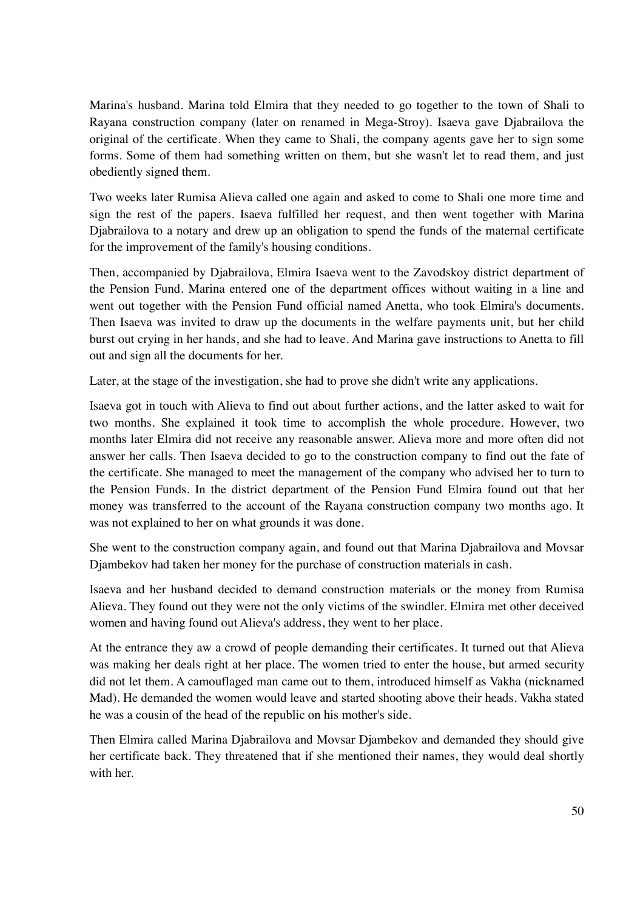Marina's husband. Marina told Elmira that they needed to go together to the town of Shali to Rayana construction company (later on renamed in Mega-Stroy). Isaeva gave Djabrailova the original of the certificate. When they came to Shali, the company agents gave her to sign some forms. Some of them had something written on them, but she wasn't let to read them, and just obediently signed them.

Two weeks later Rumisa Alieva called one again and asked to come to Shali one more time and sign the rest of the papers. Isaeva fulfilled her request, and then went together with Marina Djabrailova to a notary and drew up an obligation to spend the funds of the maternal certificate for the improvement of the family's housing conditions.

Then, accompanied by Djabrailova, Elmira Isaeva went to the Zavodskoy district department of the Pension Fund. Marina entered one of the department offices without waiting in a line and went out together with the Pension Fund official named Anetta, who took Elmira's documents. Then Isaeva was invited to draw up the documents in the welfare payments unit, but her child burst out crying in her hands, and she had to leave. And Marina gave instructions to Anetta to fill out and sign all the documents for her.

Later, at the stage of the investigation, she had to prove she didn't write any applications.

Isaeva got in touch with Alieva to find out about further actions, and the latter asked to wait for two months. She explained it took time to accomplish the whole procedure. However, two months later Elmira did not receive any reasonable answer. Alieva more and more often did not answer her calls. Then Isaeva decided to go to the construction company to find out the fate of the certificate. She managed to meet the management of the company who advised her to turn to the Pension Funds. In the district department of the Pension Fund Elmira found out that her money was transferred to the account of the Rayana construction company two months ago. It was not explained to her on what grounds it was done.

She went to the construction company again, and found out that Marina Djabrailova and Movsar Djambekov had taken her money for the purchase of construction materials in cash.

Isaeva and her husband decided to demand construction materials or the money from Rumisa Alieva. They found out they were not the only victims of the swindler. Elmira met other deceived women and having found out Alieva's address, they went to her place.

At the entrance they aw a crowd of people demanding their certificates. It turned out that Alieva was making her deals right at her place. The women tried to enter the house, but armed security did not let them. A camouflaged man came out to them, introduced himself as Vakha (nicknamed Mad). He demanded the women would leave and started shooting above their heads. Vakha stated he was a cousin of the head of the republic on his mother's side.

Then Elmira called Marina Djabrailova and Movsar Djambekov and demanded they should give her certificate back. They threatened that if she mentioned their names, they would deal shortly with her.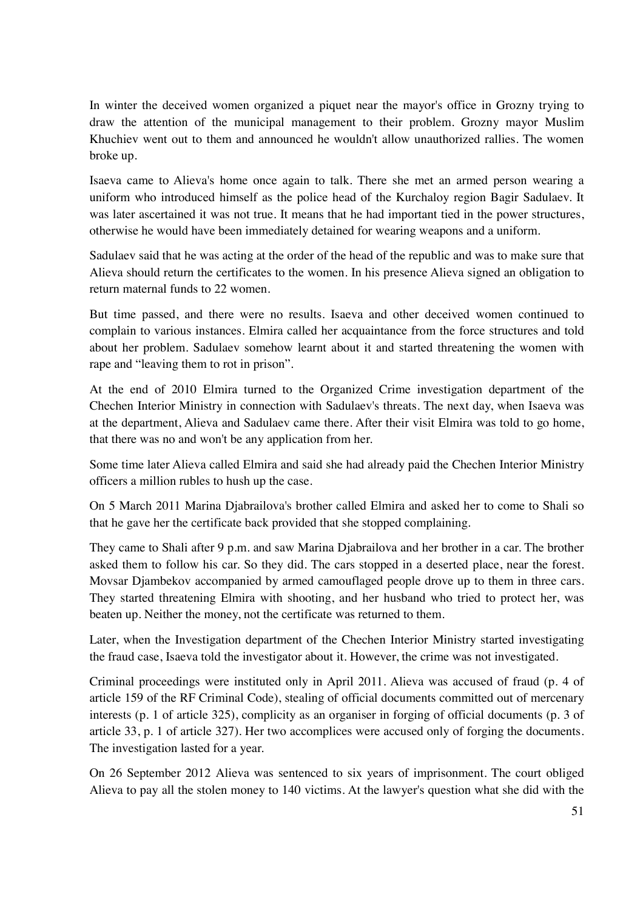In winter the deceived women organized a piquet near the mayor's office in Grozny trying to draw the attention of the municipal management to their problem. Grozny mayor Muslim Khuchiev went out to them and announced he wouldn't allow unauthorized rallies. The women broke up.

Isaeva came to Alieva's home once again to talk. There she met an armed person wearing a uniform who introduced himself as the police head of the Kurchaloy region Bagir Sadulaev. It was later ascertained it was not true. It means that he had important tied in the power structures, otherwise he would have been immediately detained for wearing weapons and a uniform.

Sadulaev said that he was acting at the order of the head of the republic and was to make sure that Alieva should return the certificates to the women. In his presence Alieva signed an obligation to return maternal funds to 22 women.

But time passed, and there were no results. Isaeva and other deceived women continued to complain to various instances. Elmira called her acquaintance from the force structures and told about her problem. Sadulaev somehow learnt about it and started threatening the women with rape and "leaving them to rot in prison"*.* 

At the end of 2010 Elmira turned to the Organized Crime investigation department of the Chechen Interior Ministry in connection with Sadulaev's threats. The next day, when Isaeva was at the department, Alieva and Sadulaev came there. After their visit Elmira was told to go home, that there was no and won't be any application from her.

Some time later Alieva called Elmira and said she had already paid the Chechen Interior Ministry officers a million rubles to hush up the case.

On 5 March 2011 Marina Djabrailova's brother called Elmira and asked her to come to Shali so that he gave her the certificate back provided that she stopped complaining.

They came to Shali after 9 p.m. and saw Marina Djabrailova and her brother in a car. The brother asked them to follow his car. So they did. The cars stopped in a deserted place, near the forest. Movsar Djambekov accompanied by armed camouflaged people drove up to them in three cars. They started threatening Elmira with shooting, and her husband who tried to protect her, was beaten up. Neither the money, not the certificate was returned to them.

Later, when the Investigation department of the Chechen Interior Ministry started investigating the fraud case, Isaeva told the investigator about it. However, the crime was not investigated.

Criminal proceedings were instituted only in April 2011. Alieva was accused of fraud (p. 4 of article 159 of the RF Criminal Code), stealing of official documents committed out of mercenary interests (p. 1 of article 325), complicity as an organiser in forging of official documents (p. 3 of article 33, p. 1 of article 327). Her two accomplices were accused only of forging the documents. The investigation lasted for a year.

On 26 September 2012 Alieva was sentenced to six years of imprisonment. The court obliged Alieva to pay all the stolen money to 140 victims. At the lawyer's question what she did with the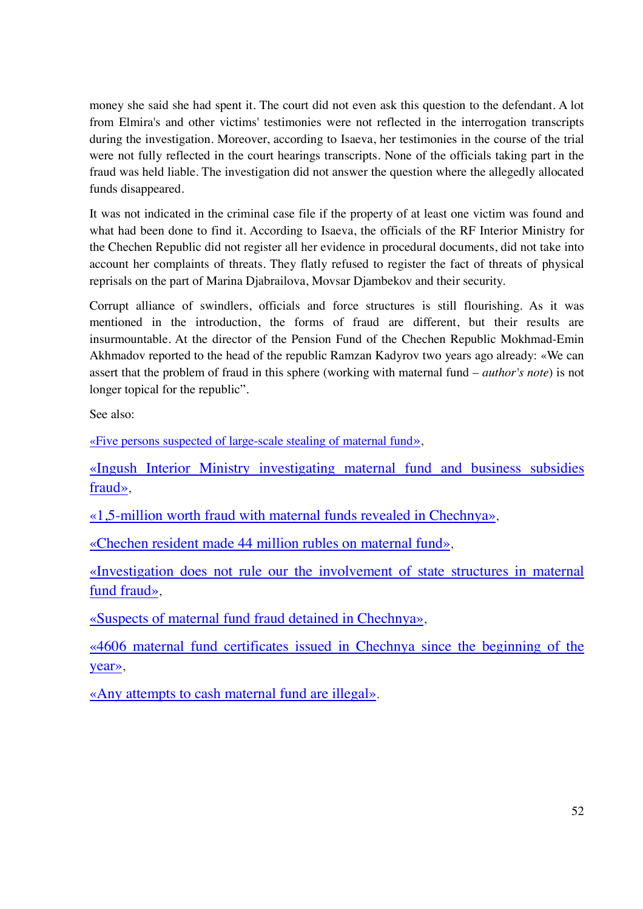money she said she had spent it. The court did not even ask this question to the defendant. A lot from Elmira's and other victims' testimonies were not reflected in the interrogation transcripts during the investigation. Moreover, according to Isaeva, her testimonies in the course of the trial were not fully reflected in the court hearings transcripts. None of the officials taking part in the fraud was held liable. The investigation did not answer the question where the allegedly allocated funds disappeared.

It was not indicated in the criminal case file if the property of at least one victim was found and what had been done to find it. According to Isaeva, the officials of the RF Interior Ministry for the Chechen Republic did not register all her evidence in procedural documents, did not take into account her complaints of threats. They flatly refused to register the fact of threats of physical reprisals on the part of Marina Djabrailova, Movsar Djambekov and their security.

Corrupt alliance of swindlers, officials and force structures is still flourishing. As it was mentioned in the introduction, the forms of fraud are different, but their results are insurmountable. At the director of the Pension Fund of the Chechen Republic Mokhmad-Emin Akhmadov reported to the head of the republic Ramzan Kadyrov two years ago already: «We can assert that the problem of fraud in this sphere (working with maternal fund – *author's note*) is not longer topical for the republic"*.* 

See also:

«Five persons suspected of large-scale stealing of maternal fund»,

«Ingush Interior Ministry investigating maternal fund and business subsidies fraud»,

«1,5-million worth fraud with maternal funds revealed in Chechnya»,

«Chechen resident made 44 million rubles on maternal fund»,

«Investigation does not rule our the involvement of state structures in maternal fund fraud»,

«Suspects of maternal fund fraud detained in Chechnya»,

«4606 maternal fund certificates issued in Chechnya since the beginning of the year»,

«Any attempts to cash maternal fund are illegal».